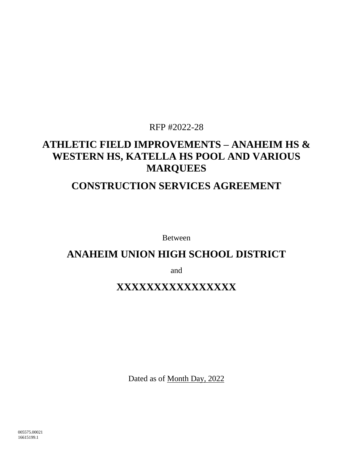# RFP #2022-28

# **ATHLETIC FIELD IMPROVEMENTS – ANAHEIM HS & WESTERN HS, KATELLA HS POOL AND VARIOUS MARQUEES**

# **CONSTRUCTION SERVICES AGREEMENT**

Between

# **ANAHEIM UNION HIGH SCHOOL DISTRICT**

and

# **XXXXXXXXXXXXXXXX**

Dated as of Month Day, 2022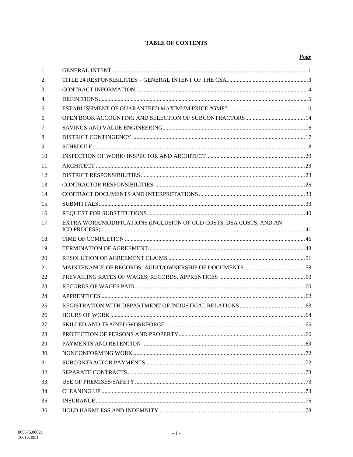# **TABLE OF CONTENTS**

| 1.  |                                                                     |  |  |  |
|-----|---------------------------------------------------------------------|--|--|--|
| 2.  |                                                                     |  |  |  |
| 3.  |                                                                     |  |  |  |
| 4.  |                                                                     |  |  |  |
| 5.  |                                                                     |  |  |  |
| 6.  |                                                                     |  |  |  |
| 7.  |                                                                     |  |  |  |
| 8.  |                                                                     |  |  |  |
| 9.  |                                                                     |  |  |  |
| 10. |                                                                     |  |  |  |
| 11. |                                                                     |  |  |  |
| 12. |                                                                     |  |  |  |
| 13. |                                                                     |  |  |  |
| 14. |                                                                     |  |  |  |
| 15. |                                                                     |  |  |  |
| 16. |                                                                     |  |  |  |
| 17. | EXTRA WORK/MODIFICATIONS (INCLUSION OF CCD COSTS, DSA COSTS, AND AN |  |  |  |
| 18. |                                                                     |  |  |  |
| 19. |                                                                     |  |  |  |
| 20. |                                                                     |  |  |  |
| 21. |                                                                     |  |  |  |
| 22. |                                                                     |  |  |  |
| 23. |                                                                     |  |  |  |
| 24. |                                                                     |  |  |  |
| 25. |                                                                     |  |  |  |
| 26. |                                                                     |  |  |  |
| 27. |                                                                     |  |  |  |
| 28. |                                                                     |  |  |  |
| 29. |                                                                     |  |  |  |
| 30. |                                                                     |  |  |  |
| 31. |                                                                     |  |  |  |
| 32. |                                                                     |  |  |  |
| 33. |                                                                     |  |  |  |
| 34. |                                                                     |  |  |  |
| 35. |                                                                     |  |  |  |
| 36. |                                                                     |  |  |  |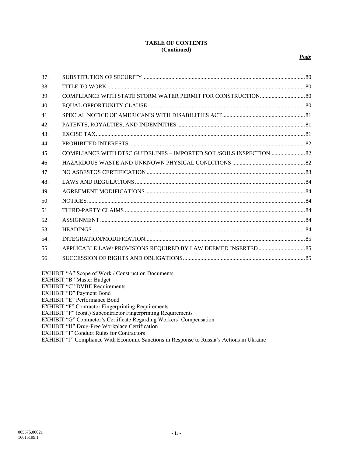#### **TABLE OF CONTENTS (Continued)**

| 37. |                                                                      |  |
|-----|----------------------------------------------------------------------|--|
| 38. |                                                                      |  |
| 39. |                                                                      |  |
| 40. |                                                                      |  |
| 41. |                                                                      |  |
| 42. |                                                                      |  |
| 43. |                                                                      |  |
| 44. |                                                                      |  |
| 45. | COMPLIANCE WITH DTSC GUIDELINES - IMPORTED SOIL/SOILS INSPECTION  82 |  |
| 46. |                                                                      |  |
| 47. |                                                                      |  |
| 48. |                                                                      |  |
| 49. |                                                                      |  |
| 50. |                                                                      |  |
| 51. |                                                                      |  |
| 52. |                                                                      |  |
| 53. |                                                                      |  |
| 54. |                                                                      |  |
| 55. |                                                                      |  |
| 56. |                                                                      |  |
|     |                                                                      |  |

EXHIBIT "A" Scope of Work / Construction Documents

EXHIBIT "B" Master Budget

EXHIBIT "C" DVBE Requirements

EXHIBIT "D" Payment Bond

EXHIBIT "E" Performance Bond

EXHIBIT "F" Contractor Fingerprinting Requirements

EXHIBIT "F" (cont.) Subcontractor Fingerprinting Requirements

EXHIBIT "G" Contractor's Certificate Regarding Workers' Compensation

EXHIBIT "H" Drug-Free Workplace Certification

EXHIBIT "I" Conduct Rules for Contractors

EXHIBIT "J" Compliance With Economic Sanctions in Response to Russia's Actions in Ukraine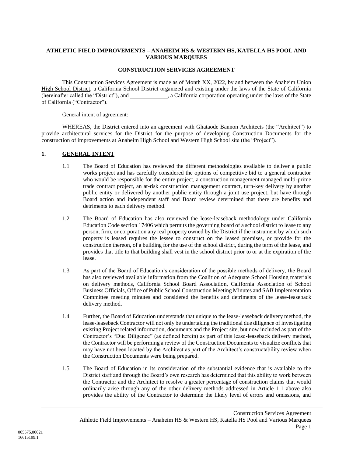#### **ATHLETIC FIELD IMPROVEMENTS – ANAHEIM HS & WESTERN HS, KATELLA HS POOL AND VARIOUS MARQUEES**

#### **CONSTRUCTION SERVICES AGREEMENT**

This Construction Services Agreement is made as of <u>Month XX, 2022</u>, by and between the Anaheim Union High School District, a California School District organized and existing under the laws of the State of California (hereinafter called the "District"), and \_\_\_\_\_\_\_\_\_\_\_\_, a California corporation operating under the laws of the State of California ("Contractor").

General intent of agreement:

WHEREAS, the District entered into an agreement with Ghataode Bannon Architects (the "Architect") to provide architectural services for the District for the purpose of developing Construction Documents for the construction of improvements at Anaheim High School and Western High School site (the "Project").

### <span id="page-3-0"></span>**1. GENERAL INTENT**

- 1.1 The Board of Education has reviewed the different methodologies available to deliver a public works project and has carefully considered the options of competitive bid to a general contractor who would be responsible for the entire project, a construction management managed multi-prime trade contract project, an at-risk construction management contract, turn-key delivery by another public entity or delivered by another public entity through a joint use project, but have through Board action and independent staff and Board review determined that there are benefits and detriments to each delivery method.
- 1.2 The Board of Education has also reviewed the lease-leaseback methodology under California Education Code section 17406 which permits the governing board of a school district to lease to any person, firm, or corporation any real property owned by the District if the instrument by which such property is leased requires the lessee to construct on the leased premises, or provide for the construction thereon, of a building for the use of the school district, during the term of the lease, and provides that title to that building shall vest in the school district prior to or at the expiration of the lease.
- 1.3 As part of the Board of Education's consideration of the possible methods of delivery, the Board has also reviewed available information from the Coalition of Adequate School Housing materials on delivery methods, California School Board Association, California Association of School Business Officials, Office of Public School Construction Meeting Minutes and SAB Implementation Committee meeting minutes and considered the benefits and detriments of the lease-leaseback delivery method.
- 1.4 Further, the Board of Education understands that unique to the lease-leaseback delivery method, the lease-leaseback Contractor will not only be undertaking the traditional due diligence of investigating existing Project related information, documents and the Project site, but now included as part of the Contractor's "Due Diligence" (as defined herein) as part of this lease-leaseback delivery method, the Contractor will be performing a review of the Construction Documents to visualize conflicts that may have not been located by the Architect as part of the Architect's constructability review when the Construction Documents were being prepared.
- 1.5 The Board of Education in its consideration of the substantial evidence that is available to the District staff and through the Board's own research has determined that this ability to work between the Contractor and the Architect to resolve a greater percentage of construction claims that would ordinarily arise through any of the other delivery methods addressed in Article [1.1](#page-3-0) above also provides the ability of the Contractor to determine the likely level of errors and omissions, and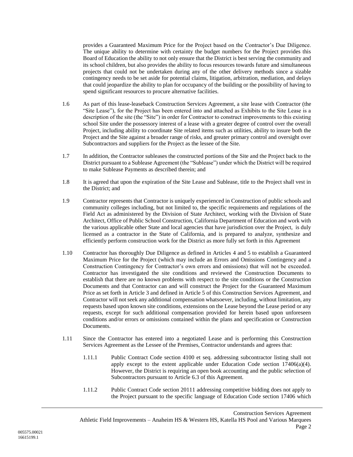provides a Guaranteed Maximum Price for the Project based on the Contractor's Due Diligence. The unique ability to determine with certainty the budget numbers for the Project provides this Board of Education the ability to not only ensure that the District is best serving the community and its school children, but also provides the ability to focus resources towards future and simultaneous projects that could not be undertaken during any of the other delivery methods since a sizable contingency needs to be set aside for potential claims, litigation, arbitration, mediation, and delays that could jeopardize the ability to plan for occupancy of the building or the possibility of having to spend significant resources to procure alternative facilities.

- 1.6 As part of this lease-leaseback Construction Services Agreement, a site lease with Contractor (the "Site Lease"), for the Project has been entered into and attached as Exhibits to the Site Lease is a description of the site (the "Site") in order for Contractor to construct improvements to this existing school Site under the possessory interest of a lease with a greater degree of control over the overall Project, including ability to coordinate Site related items such as utilities, ability to insure both the Project and the Site against a broader range of risks, and greater primary control and oversight over Subcontractors and suppliers for the Project as the lessee of the Site.
- 1.7 In addition, the Contractor subleases the constructed portions of the Site and the Project back to the District pursuant to a Sublease Agreement (the "Sublease") under which the District will be required to make Sublease Payments as described therein; and
- 1.8 It is agreed that upon the expiration of the Site Lease and Sublease, title to the Project shall vest in the District; and
- 1.9 Contractor represents that Contractor is uniquely experienced in Construction of public schools and community colleges including, but not limited to, the specific requirements and regulations of the Field Act as administered by the Division of State Architect, working with the Division of State Architect, Office of Public School Construction, California Department of Education and work with the various applicable other State and local agencies that have jurisdiction over the Project, is duly licensed as a contractor in the State of California, and is prepared to analyze, synthesize and efficiently perform construction work for the District as more fully set forth in this Agreement
- 1.10 Contractor has thoroughly Due Diligence as defined in Articles [4](#page-7-0) and [5](#page-12-0) to establish a Guaranteed Maximum Price for the Project (which may include an Errors and Omissions Contingency and a Construction Contingency for Contractor's own errors and omissions) that will not be exceeded. Contractor has investigated the site conditions and reviewed the Construction Documents to establish that there are no known problems with respect to the site conditions or the Construction Documents and that Contractor can and will construct the Project for the Guaranteed Maximum Price as set forth in Article [3](#page-6-0) and defined in Articl[e 5](#page-12-0) of this Construction Services Agreement, and Contractor will not seek any additional compensation whatsoever, including, without limitation, any requests based upon known site conditions, extensions on the Lease beyond the Lease period or any requests, except for such additional compensation provided for herein based upon unforeseen conditions and/or errors or omissions contained within the plans and specification or Construction Documents.
- 1.11 Since the Contractor has entered into a negotiated Lease and is performing this Construction Services Agreement as the Lessee of the Premises, Contractor understands and agrees that:
	- 1.11.1 Public Contract Code section 4100 et seq. addressing subcontractor listing shall not apply except to the extent applicable under Education Code section  $17406(a)(4)$ . However, the District is requiring an open book accounting and the public selection of Subcontractors pursuant to Article [6.3](#page-17-0) of this Agreement.
	- 1.11.2 Public Contract Code section 20111 addressing competitive bidding does not apply to the Project pursuant to the specific language of Education Code section 17406 which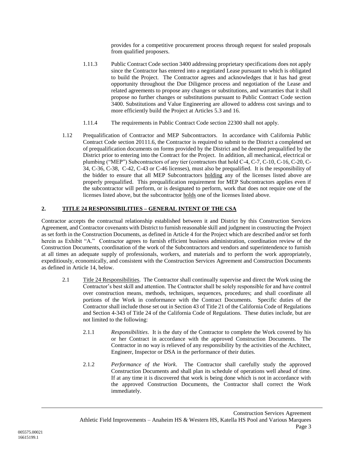provides for a competitive procurement process through request for sealed proposals from qualified proposers.

- 1.11.3 Public Contract Code section 3400 addressing proprietary specifications does not apply since the Contractor has entered into a negotiated Lease pursuant to which is obligated to build the Project. The Contractor agrees and acknowledges that it has had great opportunity throughout the Due Diligence process and negotiation of the Lease and related agreements to propose any changes or substitutions, and warranties that it shall propose no further changes or substitutions pursuant to Public Contract Code section 3400. Substitutions and Value Engineering are allowed to address cost savings and to more efficiently build the Project at Articles [5.3](#page-14-0) and [16.](#page-42-0)
- 1.11.4 The requirements in Public Contract Code section 22300 shall not apply.
- <span id="page-5-0"></span>1.12 Prequalification of Contractor and MEP Subcontractors. In accordance with California Public Contract Code section 20111.6, the Contractor is required to submit to the District a completed set of prequalification documents on forms provided by the District and be deemed prequalified by the District prior to entering into the Contract for the Project. In addition, all mechanical, electrical or plumbing ("MEP") Subcontractors of any tier (contractors that hold C-4, C-7, C-10, C-16, C-20, C-34, C-36, C-38, C-42, C-43 or C-46 licenses), must also be prequalified. It is the responsibility of the bidder to ensure that all MEP Subcontractors holding any of the licenses listed above are properly prequalified. This prequalification requirement for MEP Subcontractors applies even if the subcontractor will perform, or is designated to perform, work that does not require one of the licenses listed above, but the subcontractor holds one of the licenses listed above.

# **2. TITLE 24 RESPONSIBILITIES – GENERAL INTENT OF THE CSA**

Contractor accepts the contractual relationship established between it and District by this Construction Services Agreement, and Contractor covenants with District to furnish reasonable skill and judgment in constructing the Project as set forth in the Construction Documents, as defined in Article 4 for the Project which are described and/or set forth herein as Exhibit "A." Contractor agrees to furnish efficient business administration, coordination review of the Construction Documents, coordination of the work of the Subcontractors and vendors and superintendence to furnish at all times an adequate supply of professionals, workers, and materials and to perform the work appropriately, expeditiously, economically, and consistent with the Construction Services Agreement and Construction Documents as defined in Article [14,](#page-35-0) below.

- 2.1 Title 24 Responsibilities. The Contractor shall continually supervise and direct the Work using the Contractor's best skill and attention. The Contractor shall be solely responsible for and have control over construction means, methods, techniques, sequences, procedures; and shall coordinate all portions of the Work in conformance with the Contract Documents. Specific duties of the Contractor shall include those set out in Section 43 of Title 21 of the California Code of Regulations and Section 4-343 of Title 24 of the California Code of Regulations. These duties include, but are not limited to the following:
	- 2.1.1 *Responsibilities*. It is the duty of the Contractor to complete the Work covered by his or her Contract in accordance with the approved Construction Documents. The Contractor in no way is relieved of any responsibility by the activities of the Architect, Engineer, Inspector or DSA in the performance of their duties.
	- 2.1.2 *Performance of the Work*. The Contractor shall carefully study the approved Construction Documents and shall plan its schedule of operations well ahead of time. If at any time it is discovered that work is being done which is not in accordance with the approved Construction Documents, the Contractor shall correct the Work immediately.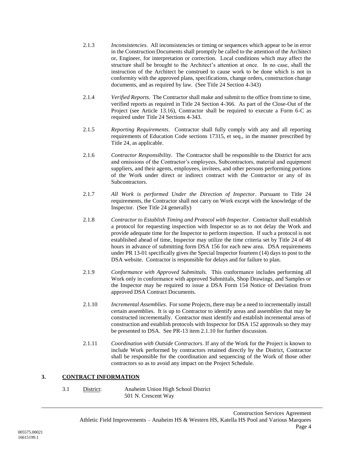- 2.1.3 *Inconsistencies*. All inconsistencies or timing or sequences which appear to be in error in the Construction Documents shall promptly be called to the attention of the Architect or, Engineer, for interpretation or correction. Local conditions which may affect the structure shall be brought to the Architect's attention at once. In no case, shall the instruction of the Architect be construed to cause work to be done which is not in conformity with the approved plans, specifications, change orders, construction change documents, and as required by law. (See Title 24 Section 4-343)
- 2.1.4 *Verified Reports*. The Contractor shall make and submit to the office from time to time, verified reports as required in Title 24 Section 4-366. As part of the Close-Out of the Project (see Article [13.16\)](#page-32-0), Contractor shall be required to execute a Form 6-C as required under Title 24 Sections 4-343.
- 2.1.5 *Reporting Requirements*. Contractor shall fully comply with any and all reporting requirements of Education Code sections 17315, et seq., in the manner prescribed by Title 24, as applicable.
- 2.1.6 *Contractor Responsibility*. The Contractor shall be responsible to the District for acts and omissions of the Contractor's employees, Subcontractors, material and equipment suppliers, and their agents, employees, invitees, and other persons performing portions of the Work under direct or indirect contract with the Contractor or any of its Subcontractors.
- 2.1.7 *All Work is performed Under the Direction of Inspector*. Pursuant to Title 24 requirements, the Contractor shall not carry on Work except with the knowledge of the Inspector. (See Title 24 generally)
- 2.1.8 *Contractor to Establish Timing and Protocol with Inspector*. Contractor shall establish a protocol for requesting inspection with Inspector so as to not delay the Work and provide adequate time for the Inspector to perform inspection. If such a protocol is not established ahead of time, Inspector may utilize the time criteria set by Title 24 of 48 hours in advance of submitting form DSA 156 for each new area. DSA requirements under PR 13-01 specifically gives the Special Inspector fourteen (14) days to post to the DSA website. Contractor is responsible for delays and for failure to plan.
- 2.1.9 *Conformance with Approved Submittals.* This conformance includes performing all Work only in conformance with approved Submittals, Shop Drawings, and Samples or the Inspector may be required to issue a DSA Form 154 Notice of Deviation from approved DSA Contract Documents.
- 2.1.10 *Incremental Assemblies*. For some Projects, there may be a need to incrementally install certain assemblies. It is up to Contractor to identify areas and assemblies that may be constructed incrementally. Contractor must identify and establish incremental areas of construction and establish protocols with Inspector for DSA 152 approvals so they may be presented to DSA. See PR-13 item 2.1.10 for further discussion.
- 2.1.11 *Coordination with Outside Contractors*. If any of the Work for the Project is known to include Work performed by contractors retained directly by the District, Contractor shall be responsible for the coordination and sequencing of the Work of those other contractors so as to avoid any impact on the Project Schedule.

### <span id="page-6-0"></span>**3. CONTRACT INFORMATION**

3.1 District: Anaheim Union High School District 501 N. Crescent Way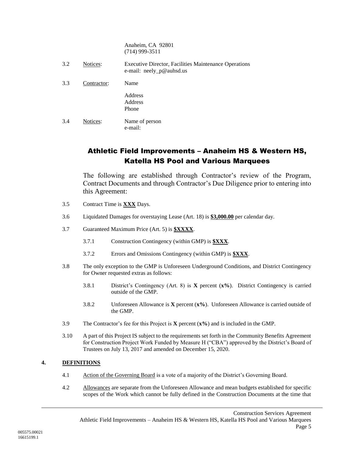Anaheim, CA 92801 (714) 999-3511

| 3.2 | Notices:    | <b>Executive Director, Facilities Maintenance Operations</b><br>e-mail: neely_p@auhsd.us |
|-----|-------------|------------------------------------------------------------------------------------------|
| 3.3 | Contractor: | Name                                                                                     |
|     |             | Address<br>Address<br>Phone                                                              |
| 3.4 | Notices:    | Name of person<br>e-mail:                                                                |

# Athletic Field Improvements – Anaheim HS & Western HS, Katella HS Pool and Various Marquees

The following are established through Contractor's review of the Program, Contract Documents and through Contractor's Due Diligence prior to entering into this Agreement:

- 3.5 Contract Time is **XXX** Days.
- 3.6 Liquidated Damages for overstaying Lease (Art. 18) is **\$3,000.00** per calendar day.
- 3.7 Guaranteed Maximum Price (Art. 5) is **\$XXXX**.
	- 3.7.1 Construction Contingency (within GMP) is **\$XXX**.
	- 3.7.2 Errors and Omissions Contingency (within GMP) is **\$XXX**.
- <span id="page-7-2"></span><span id="page-7-1"></span>3.8 The only exception to the GMP is Unforeseen Underground Conditions, and District Contingency for Owner requested extras as follows:
	- 3.8.1 District's Contingency (Art. 8) is **X** percent (**x%**). District Contingency is carried outside of the GMP.
	- 3.8.2 Unforeseen Allowance is **X** percent (**x%**). Unforeseen Allowance is carried outside of the GMP.
- 3.9 The Contractor's fee for this Project is **X** percent (**x%**) and is included in the GMP.
- 3.10 A part of this Project IS subject to the requirements set forth in the Community Benefits Agreement for Construction Project Work Funded by Measure H ("CBA") approved by the District's Board of Trustees on July 13, 2017 and amended on December 15, 2020.

### <span id="page-7-0"></span>**4. DEFINITIONS**

- 4.1 Action of the Governing Board is a vote of a majority of the District's Governing Board.
- 4.2 Allowances are separate from the Unforeseen Allowance and mean budgets established for specific scopes of the Work which cannot be fully defined in the Construction Documents at the time that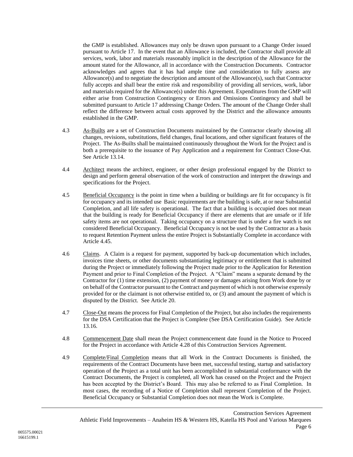the GMP is established. Allowances may only be drawn upon pursuant to a Change Order issued pursuant to Article [17.](#page-43-0) In the event that an Allowance is included, the Contractor shall provide all services, work, labor and materials reasonably implicit in the description of the Allowance for the amount stated for the Allowance, all in accordance with the Construction Documents. Contractor acknowledges and agrees that it has had ample time and consideration to fully assess any Allowance(s) and to negotiate the description and amount of the Allowance(s), such that Contractor fully accepts and shall bear the entire risk and responsibility of providing all services, work, labor and materials required for the Allowance(s) under this Agreement. Expenditures from the GMP will either arise from Construction Contingency or Errors and Omissions Contingency and shall be submitted pursuant to Article [17](#page-43-0) addressing Change Orders. The amount of the Change Order shall reflect the difference between actual costs approved by the District and the allowance amounts established in the GMP.

- 4.3 As-Builts are a set of Construction Documents maintained by the Contractor clearly showing all changes, revisions, substitutions, field changes, final locations, and other significant features of the Project. The As-Builts shall be maintained continuously throughout the Work for the Project and is both a prerequisite to the issuance of Pay Application and a requirement for Contract Close-Out. See Article [13.14.](#page-29-0)
- 4.4 Architect means the architect, engineer, or other design professional engaged by the District to design and perform general observation of the work of construction and interpret the drawings and specifications for the Project.
- 4.5 Beneficial Occupancy is the point in time when a building or buildings are fit for occupancy is fit for occupancy and its intended use Basic requirements are the building is safe, at or near Substantial Completion, and all life safety is operational. The fact that a building is occupied does not mean that the building is ready for Beneficial Occupancy if there are elements that are unsafe or if life safety items are not operational. Taking occupancy on a structure that is under a fire watch is not considered Beneficial Occupancy. Beneficial Occupancy is not be used by the Contractor as a basis to request Retention Payment unless the entire Project is Substantially Complete in accordance with Article [4.45.](#page-12-1)
- 4.6 Claims. A Claim is a request for payment, supported by back-up documentation which includes, invoices time sheets, or other documents substantiating legitimacy or entitlement that is submitted during the Project or immediately following the Project made prior to the Application for Retention Payment and prior to Final Completion of the Project. A "Claim" means a separate demand by the Contractor for (1) time extension, (2) payment of money or damages arising from Work done by or on behalf of the Contractor pursuant to the Contract and payment of which is not otherwise expressly provided for or the claimant is not otherwise entitled to, or (3) and amount the payment of which is disputed by the District. See Article [20.](#page-53-0)
- 4.7 Close-Out means the process for Final Completion of the Project, but also includes the requirements for the DSA Certification that the Project is Complete (See DSA Certification Guide). See Article [13.16.](#page-32-0)
- 4.8 Commencement Date shall mean the Project commencement date found in the Notice to Proceed for the Project in accordance with Article [4.28](#page-10-0) of this Construction Services Agreement.
- 4.9 Complete/Final Completion means that all Work in the Contract Documents is finished, the requirements of the Contract Documents have been met, successful testing, startup and satisfactory operation of the Project as a total unit has been accomplished in substantial conformance with the Contract Documents, the Project is completed, all Work has ceased on the Project and the Project has been accepted by the District's Board. This may also be referred to as Final Completion. In most cases, the recording of a Notice of Completion shall represent Completion of the Project. Beneficial Occupancy or Substantial Completion does not mean the Work is Complete.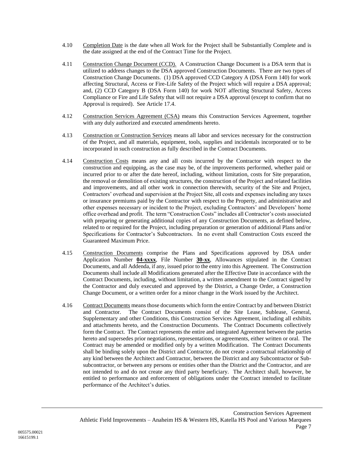- 4.10 Completion Date is the date when all Work for the Project shall be Substantially Complete and is the date assigned at the end of the Contract Time for the Project.
- 4.11 Construction Change Document (CCD). A Construction Change Document is a DSA term that is utilized to address changes to the DSA approved Construction Documents. There are two types of Construction Change Documents. (1) DSA approved CCD Category A (DSA Form 140) for work affecting Structural, Access or Fire-Life Safety of the Project which will require a DSA approval; and, (2) CCD Category B (DSA Form 140) for work NOT affecting Structural Safety, Access Compliance or Fire and Life Safety that will not require a DSA approval (except to confirm that no Approval is required). See Article [17.4.](#page-44-0)
- 4.12 Construction Services Agreement (CSA) means this Construction Services Agreement, together with any duly authorized and executed amendments hereto.
- 4.13 Construction or Construction Services means all labor and services necessary for the construction of the Project, and all materials, equipment, tools, supplies and incidentals incorporated or to be incorporated in such construction as fully described in the Contract Documents.
- 4.14 Construction Costs means any and all costs incurred by the Contractor with respect to the construction and equipping, as the case may be, of the improvements performed, whether paid or incurred prior to or after the date hereof, including, without limitation, costs for Site preparation, the removal or demolition of existing structures, the construction of the Project and related facilities and improvements, and all other work in connection therewith, security of the Site and Project, Contractors' overhead and supervision at the Project Site, all costs and expenses including any taxes or insurance premiums paid by the Contractor with respect to the Property, and administrative and other expenses necessary or incident to the Project, excluding Contractors' and Developers' home office overhead and profit. The term "Construction Costs" includes all Contractor's costs associated with preparing or generating additional copies of any Construction Documents, as defined below, related to or required for the Project, including preparation or generation of additional Plans and/or Specifications for Contractor's Subcontractors. In no event shall Construction Costs exceed the Guaranteed Maximum Price.
- 4.15 Construction Documents comprise the Plans and Specifications approved by DSA under Application Number **04-xxxx**, File Number **30-xx**, Allowances stipulated in the Contract Documents, and all Addenda, if any, issued prior to the entry into this Agreement. The Construction Documents shall include all Modifications generated after the Effective Date in accordance with the Contract Documents, including, without limitation, a written amendment to the Contract signed by the Contractor and duly executed and approved by the District, a Change Order, a Construction Change Document, or a written order for a minor change in the Work issued by the Architect.
- 4.16 Contract Documents means those documents which form the entire Contract by and between District and Contractor. The Contract Documents consist of the Site Lease, Sublease, General, Supplementary and other Conditions, this Construction Services Agreement, including all exhibits and attachments hereto, and the Construction Documents. The Contract Documents collectively form the Contract. The Contract represents the entire and integrated Agreement between the parties hereto and supersedes prior negotiations, representations, or agreements, either written or oral. The Contract may be amended or modified only by a written Modification. The Contract Documents shall be binding solely upon the District and Contractor, do not create a contractual relationship of any kind between the Architect and Contractor, between the District and any Subcontractor or Subsubcontractor, or between any persons or entities other than the District and the Contractor, and are not intended to and do not create any third party beneficiary. The Architect shall, however, be entitled to performance and enforcement of obligations under the Contract intended to facilitate performance of the Architect's duties.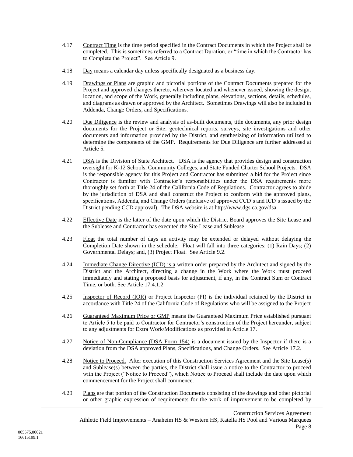- 4.17 Contract Time is the time period specified in the Contract Documents in which the Project shall be completed. This is sometimes referred to a Contract Duration, or "time in which the Contractor has to Complete the Project". See Article [9.](#page-20-0)
- 4.18 Day means a calendar day unless specifically designated as a business day.
- 4.19 Drawings or Plans are graphic and pictorial portions of the Contract Documents prepared for the Project and approved changes thereto, wherever located and whenever issued, showing the design, location, and scope of the Work, generally including plans, elevations, sections, details, schedules, and diagrams as drawn or approved by the Architect. Sometimes Drawings will also be included in Addenda, Change Orders, and Specifications.
- 4.20 Due Diligence is the review and analysis of as-built documents, title documents, any prior design documents for the Project or Site, geotechnical reports, surveys, site investigations and other documents and information provided by the District, and synthesizing of information utilized to determine the components of the GMP. Requirements for Due Diligence are further addressed at Article [5.](#page-12-0)
- 4.21 DSA is the Division of State Architect. DSA is the agency that provides design and construction oversight for K-12 Schools, Community Colleges, and State Funded Charter School Projects. DSA is the responsible agency for this Project and Contractor has submitted a bid for the Project since Contractor is familiar with Contractor's responsibilities under the DSA requirements more thoroughly set forth at Title 24 of the California Code of Regulations. Contractor agrees to abide by the jurisdiction of DSA and shall construct the Project to conform with the approved plans, specifications, Addenda, and Change Orders (inclusive of approved CCD's and ICD's issued by the District pending CCD approval). The DSA website is at http://www.dgs.ca.gov/dsa.
- 4.22 Effective Date is the latter of the date upon which the District Board approves the Site Lease and the Sublease and Contractor has executed the Site Lease and Sublease
- 4.23 Float the total number of days an activity may be extended or delayed without delaying the Completion Date shown in the schedule. Float will fall into three categories: (1) Rain Days; (2) Governmental Delays; and, (3) Project Float. See Article [9.2.](#page-20-1)
- 4.24 Immediate Change Directive (ICD) is a written order prepared by the Architect and signed by the District and the Architect, directing a change in the Work where the Work must proceed immediately and stating a proposed basis for adjustment, if any, in the Contract Sum or Contract Time, or both. See Article [17.4.1.2](#page-44-1)
- 4.25 Inspector of Record (IOR) or Project Inspector (PI) is the individual retained by the District in accordance with Title 24 of the California Code of Regulations who will be assigned to the Project
- 4.26 Guaranteed Maximum Price or GMP means the Guaranteed Maximum Price established pursuant to Article 5 to be paid to Contractor for Contractor's construction of the Project hereunder, subject to any adjustments for Extra Work/Modifications as provided in Article [17.](#page-43-0)
- 4.27 Notice of Non-Compliance (DSA Form 154) is a document issued by the Inspector if there is a deviation from the DSA approved Plans, Specifications, and Change Orders. See Article [17.2.](#page-43-1)
- <span id="page-10-0"></span>4.28 Notice to Proceed. After execution of this Construction Services Agreement and the Site Lease(s) and Sublease(s) between the parties, the District shall issue a notice to the Contractor to proceed with the Project ("Notice to Proceed"), which Notice to Proceed shall include the date upon which commencement for the Project shall commence.
- 4.29 Plans are that portion of the Construction Documents consisting of the drawings and other pictorial or other graphic expression of requirements for the work of improvement to be completed by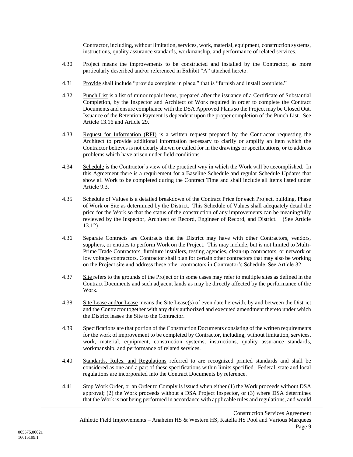Contractor, including, without limitation, services, work, material, equipment, construction systems, instructions, quality assurance standards, workmanship, and performance of related services.

- 4.30 Project means the improvements to be constructed and installed by the Contractor, as more particularly described and/or referenced in Exhibit "A" attached hereto.
- 4.31 Provide shall include "provide complete in place," that is "furnish and install complete."
- 4.32 Punch List is a list of minor repair items, prepared after the issuance of a Certificate of Substantial Completion, by the Inspector and Architect of Work required in order to complete the Contract Documents and ensure compliance with the DSA Approved Plans so the Project may be Closed Out. Issuance of the Retention Payment is dependent upon the proper completion of the Punch List. See Article [13.16](#page-32-0) and Article [29.](#page-71-0)
- 4.33 Request for Information (RFI) is a written request prepared by the Contractor requesting the Architect to provide additional information necessary to clarify or amplify an item which the Contractor believes is not clearly shown or called for in the drawings or specifications, or to address problems which have arisen under field conditions.
- 4.34 Schedule is the Contractor's view of the practical way in which the Work will be accomplished. In this Agreement there is a requirement for a Baseline Schedule and regular Schedule Updates that show all Work to be completed during the Contract Time and shall include all items listed under Article [9.3.](#page-21-0)
- 4.35 Schedule of Values is a detailed breakdown of the Contract Price for each Project, building, Phase of Work or Site as determined by the District. This Schedule of Values shall adequately detail the price for the Work so that the status of the construction of any improvements can be meaningfully reviewed by the Inspector, Architect of Record, Engineer of Record, and District. (See Article [13.12\)](#page-29-1)
- 4.36 Separate Contracts are Contracts that the District may have with other Contractors, vendors, suppliers, or entities to perform Work on the Project. This may include, but is not limited to Multi-Prime Trade Contractors, furniture installers, testing agencies, clean-up contractors, or network or low voltage contractors. Contractor shall plan for certain other contractors that may also be working on the Project site and address these other contractors in Contractor's Schedule. See Article [32.](#page-75-0)
- 4.37 Site refers to the grounds of the Project or in some cases may refer to multiple sites as defined in the Contract Documents and such adjacent lands as may be directly affected by the performance of the Work.
- 4.38 Site Lease and/or Lease means the Site Lease(s) of even date herewith, by and between the District and the Contractor together with any duly authorized and executed amendment thereto under which the District leases the Site to the Contractor.
- 4.39 Specifications are that portion of the Construction Documents consisting of the written requirements for the work of improvement to be completed by Contractor, including, without limitation, services, work, material, equipment, construction systems, instructions, quality assurance standards, workmanship, and performance of related services.
- 4.40 Standards, Rules, and Regulations referred to are recognized printed standards and shall be considered as one and a part of these specifications within limits specified. Federal, state and local regulations are incorporated into the Contract Documents by reference.
- 4.41 Stop Work Order, or an Order to Comply is issued when either (1) the Work proceeds without DSA approval; (2) the Work proceeds without a DSA Project Inspector, or (3) where DSA determines that the Work is not being performed in accordance with applicable rules and regulations, and would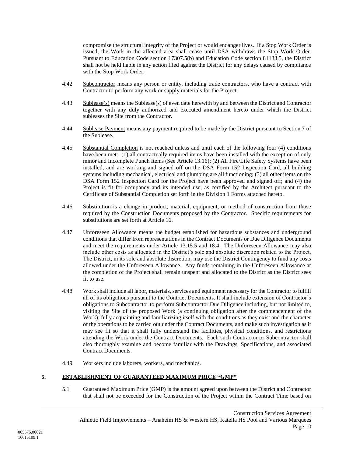compromise the structural integrity of the Project or would endanger lives. If a Stop Work Order is issued, the Work in the affected area shall cease until DSA withdraws the Stop Work Order. Pursuant to Education Code section 17307.5(b) and Education Code section 81133.5, the District shall not be held liable in any action filed against the District for any delays caused by compliance with the Stop Work Order.

- 4.42 Subcontractor means any person or entity, including trade contractors, who have a contract with Contractor to perform any work or supply materials for the Project.
- 4.43 Sublease(s) means the Sublease(s) of even date herewith by and between the District and Contractor together with any duly authorized and executed amendment hereto under which the District subleases the Site from the Contractor.
- 4.44 Sublease Payment means any payment required to be made by the District pursuant to Section 7 of the Sublease.
- <span id="page-12-1"></span>4.45 Substantial Completion is not reached unless and until each of the following four (4) conditions have been met: (1) all contractually required items have been installed with the exception of only minor and Incomplete Punch Items (See Article [13.16\)](#page-32-0); (2) All Fire/Life Safety Systems have been installed, and are working and signed off on the DSA Form 152 Inspection Card, all building systems including mechanical, electrical and plumbing are all functioning; (3) all other items on the DSA Form 152 Inspection Card for the Project have been approved and signed off; and (4) the Project is fit for occupancy and its intended use, as certified by the Architect pursuant to the Certificate of Substantial Completion set forth in the Division 1 Forms attached hereto.
- 4.46 Substitution is a change in product, material, equipment, or method of construction from those required by the Construction Documents proposed by the Contractor. Specific requirements for substitutions are set forth at Article [16.](#page-42-0)
- 4.47 Unforeseen Allowance means the budget established for hazardous substances and underground conditions that differ from representations in the Contract Documents or Due Diligence Documents and meet the requirements under Article [13.15.5](#page-30-0) and [18.4.](#page-49-0) The Unforeseen Allowance may also include other costs as allocated in the District's sole and absolute discretion related to the Project. The District, in its sole and absolute discretion, may use the District Contingency to fund any costs allowed under the Unforeseen Allowance. Any funds remaining in the Unforeseen Allowance at the completion of the Project shall remain unspent and allocated to the District as the District sees fit to use.
- 4.48 Work shall include all labor, materials, services and equipment necessary for the Contractor to fulfill all of its obligations pursuant to the Contract Documents. It shall include extension of Contractor's obligations to Subcontractor to perform Subcontractor Due Diligence including, but not limited to, visiting the Site of the proposed Work (a continuing obligation after the commencement of the Work), fully acquainting and familiarizing itself with the conditions as they exist and the character of the operations to be carried out under the Contract Documents, and make such investigation as it may see fit so that it shall fully understand the facilities, physical conditions, and restrictions attending the Work under the Contract Documents. Each such Contractor or Subcontractor shall also thoroughly examine and become familiar with the Drawings, Specifications, and associated Contract Documents.
- 4.49 Workers include laborers, workers, and mechanics.

#### <span id="page-12-2"></span><span id="page-12-0"></span>**5. ESTABLISHMENT OF GUARANTEED MAXIMUM PRICE "GMP"**

5.1 Guaranteed Maximum Price (GMP) is the amount agreed upon between the District and Contractor that shall not be exceeded for the Construction of the Project within the Contract Time based on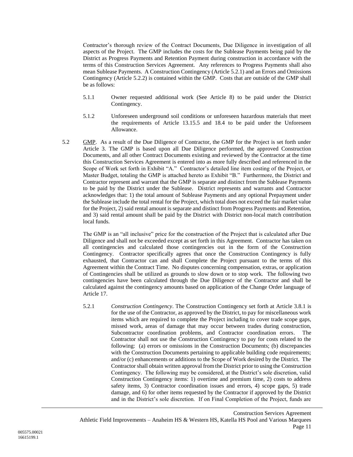Contractor's thorough review of the Contract Documents, Due Diligence in investigation of all aspects of the Project. The GMP includes the costs for the Sublease Payments being paid by the District as Progress Payments and Retention Payment during construction in accordance with the terms of this Construction Services Agreement. Any references to Progress Payments shall also mean Sublease Payments. A Construction Contingency (Articl[e 5.2.1\)](#page-13-0) and an Errors and Omissions Contingency (Article [5.2.2\)](#page-14-1) is contained within the GMP. Costs that are outside of the GMP shall be as follows:

- 5.1.1 Owner requested additional work (See Article 8) to be paid under the District Contingency.
- 5.1.2 Unforeseen underground soil conditions or unforeseen hazardous materials that meet the requirements of Article [13.15.5](#page-30-0) and [18.4](#page-49-0) to be paid under the Unforeseen Allowance.
- 5.2 GMP. As a result of the Due Diligence of Contractor, the GMP for the Project is set forth under Article [3.](#page-6-0) The GMP is based upon all Due Diligence performed, the approved Construction Documents, and all other Contract Documents existing and reviewed by the Contractor at the time this Construction Services Agreement is entered into as more fully described and referenced in the Scope of Work set forth in Exhibit "A." Contractor's detailed line item costing of the Project, or Master Budget, totaling the GMP is attached hereto as Exhibit "B." Furthermore, the District and Contractor represent and warrant that the GMP is separate and distinct from the Sublease Payments to be paid by the District under the Sublease. District represents and warrants and Contractor acknowledges that: 1) the total amount of Sublease Payments and any optional Prepayment under the Sublease include the total rental for the Project, which total does not exceed the fair market value for the Project, 2) said rental amount is separate and distinct from Progress Payments and Retention, and 3) said rental amount shall be paid by the District with District non-local match contribution local funds.

The GMP is an "all inclusive" price for the construction of the Project that is calculated after Due Diligence and shall not be exceeded except as set forth in this Agreement. Contractor has taken on all contingencies and calculated those contingencies out in the form of the Construction Contingency. Contractor specifically agrees that once the Construction Contingency is fully exhausted, that Contractor can and shall Complete the Project pursuant to the terms of this Agreement within the Contract Time. No disputes concerning compensation, extras, or application of Contingencies shall be utilized as grounds to slow down or to stop work. The following two contingencies have been calculated through the Due Diligence of the Contractor and shall be calculated against the contingency amounts based on application of the Change Order language of Article [17.](#page-43-0)

<span id="page-13-0"></span>5.2.1 *Construction Contingency*. The Construction Contingency set forth at Article [3.8.1](#page-7-1) is for the use of the Contractor, as approved by the District, to pay for miscellaneous work items which are required to complete the Project including to cover trade scope gaps, missed work, areas of damage that may occur between trades during construction, Subcontractor coordination problems, and Contractor coordination errors. The Contractor shall not use the Construction Contingency to pay for costs related to the following: (a) errors or omissions in the Construction Documents; (b) discrepancies with the Construction Documents pertaining to applicable building code requirements; and/or (c) enhancements or additions to the Scope of Work desired by the District. The Contractor shall obtain written approval from the District prior to using the Construction Contingency. The following may be considered, at the District's sole discretion, valid Construction Contingency items: 1) overtime and premium time, 2) costs to address safety items, 3) Contractor coordination issues and errors, 4) scope gaps, 5) trade damage, and 6) for other items requested by the Contractor if approved by the District and in the District's sole discretion. If on Final Completion of the Project, funds are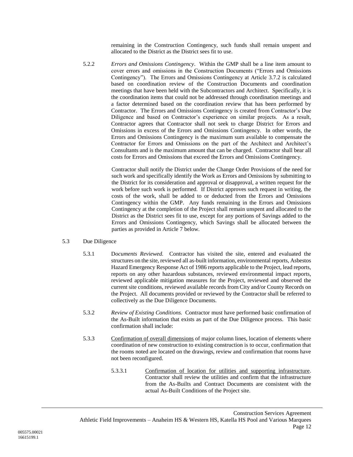remaining in the Construction Contingency, such funds shall remain unspent and allocated to the District as the District sees fit to use.

<span id="page-14-1"></span>5.2.2 *Errors and Omissions Contingency*. Within the GMP shall be a line item amount to cover errors and omissions in the Construction Documents ("Errors and Omissions Contingency"). The Errors and Omissions Contingency at Article [3.7.2](#page-7-2) is calculated based on coordination review of the Construction Documents and coordination meetings that have been held with the Subcontractors and Architect. Specifically, it is the coordination items that could not be addressed through coordination meetings and a factor determined based on the coordination review that has been performed by Contractor. The Errors and Omissions Contingency is created from Contractor's Due Diligence and based on Contractor's experience on similar projects. As a result, Contractor agrees that Contractor shall not seek to charge District for Errors and Omissions in excess of the Errors and Omissions Contingency. In other words, the Errors and Omissions Contingency is the maximum sum available to compensate the Contractor for Errors and Omissions on the part of the Architect and Architect's Consultants and is the maximum amount that can be charged. Contractor shall bear all costs for Errors and Omissions that exceed the Errors and Omissions Contingency.

> Contractor shall notify the District under the Change Order Provisions of the need for such work and specifically identify the Work as Errors and Omissions by submitting to the District for its consideration and approval or disapproval, a written request for the work before such work is performed. If District approves such request in writing, the costs of the work, shall be added to or deducted from the Errors and Omissions Contingency within the GMP. Any funds remaining in the Errors and Omissions Contingency at the completion of the Project shall remain unspent and allocated to the District as the District sees fit to use, except for any portions of Savings added to the Errors and Omissions Contingency, which Savings shall be allocated between the parties as provided in Article [7](#page-18-0) below.

- <span id="page-14-0"></span>5.3 Due Diligence
	- 5.3.1 D*ocuments Reviewed.* Contractor has visited the site, entered and evaluated the structures on the site, reviewed all as-built information, environmental reports, Asbestos Hazard Emergency Response Act of 1986 reports applicable to the Project, lead reports, reports on any other hazardous substances, reviewed environmental impact reports, reviewed applicable mitigation measures for the Project, reviewed and observed the current site conditions, reviewed available records from City and/or County Records on the Project. All documents provided or reviewed by the Contractor shall be referred to collectively as the Due Diligence Documents.
	- 5.3.2 *Review of Existing Conditions.* Contractor must have performed basic confirmation of the As-Built information that exists as part of the Due Diligence process. This basic confirmation shall include:
	- 5.3.3 Confirmation of overall dimensions of major column lines, location of elements where coordination of new construction to existing construction is to occur, confirmation that the rooms noted are located on the drawings, review and confirmation that rooms have not been reconfigured.
		- 5.3.3.1 Confirmation of location for utilities and supporting infrastructure. Contractor shall review the utilities and confirm that the infrastructure from the As-Builts and Contract Documents are consistent with the actual As-Built Conditions of the Project site.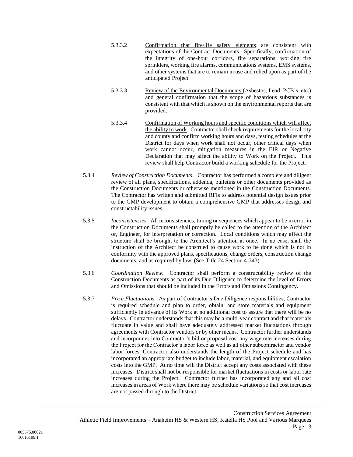- 5.3.3.2 Confirmation that fire/life safety elements are consistent with expectations of the Contract Documents. Specifically, confirmation of the integrity of one-hour corridors, fire separations, working fire sprinklers, working fire alarms, communications systems, EMS systems, and other systems that are to remain in use and relied upon as part of the anticipated Project.
- 5.3.3.3 Review of the Environmental Documents (Asbestos, Lead, PCB's, etc.) and general confirmation that the scope of hazardous substances is consistent with that which is shown on the environmental reports that are provided.
- 5.3.3.4 Confirmation of Working hours and specific conditions which will affect the ability to work. Contractor shall check requirements for the local city and county and confirm working hours and days, testing schedules at the District for days when work shall not occur, other critical days when work cannot occur, mitigation measures in the EIR or Negative Declaration that may affect the ability to Work on the Project. This review shall help Contractor build a working schedule for the Project.
- 5.3.4 *Review of Construction Documents*. Contractor has performed a complete and diligent review of all plans, specifications, addenda, bulletins or other documents provided as the Construction Documents or otherwise mentioned in the Construction Documents. The Contractor has written and submitted RFIs to address potential design issues prior to the GMP development to obtain a comprehensive GMP that addresses design and constructability issues.
- 5.3.5 *Inconsistencies*. All inconsistencies, timing or sequences which appear to be in error in the Construction Documents shall promptly be called to the attention of the Architect or, Engineer, for interpretation or correction. Local conditions which may affect the structure shall be brought to the Architect's attention at once. In no case, shall the instruction of the Architect be construed to cause work to be done which is not in conformity with the approved plans, specifications, change orders, construction change documents, and as required by law. (See Title 24 Section 4-343)
- 5.3.6 *Coordination Review*. Contractor shall perform a constructability review of the Construction Documents as part of its Due Diligence to determine the level of Errors and Omissions that should be included in the Errors and Omissions Contingency.
- 5.3.7 *Price Fluctuations*. As part of Contractor's Due Diligence responsibilities, Contractor is required schedule and plan to order, obtain, and store materials and equipment sufficiently in advance of its Work at no additional cost to assure that there will be no delays. Contractor understands that this may be a multi-year contract and that materials fluctuate in value and shall have adequately addressed market fluctuations through agreements with Contractor vendors or by other means. Contractor further understands and incorporates into Contractor's bid or proposal cost any wage rate increases during the Project for the Contractor's labor force as well as all other subcontractor and vendor labor forces. Contractor also understands the length of the Project schedule and has incorporated an appropriate budget to include labor, material, and equipment escalation costs into the GMP. At no time will the District accept any costs associated with these increases. District shall not be responsible for market fluctuations in costs or labor rate increases during the Project. Contractor further has incorporated any and all cost increases in areas of Work where there may be schedule variations so that cost increases are not passed through to the District.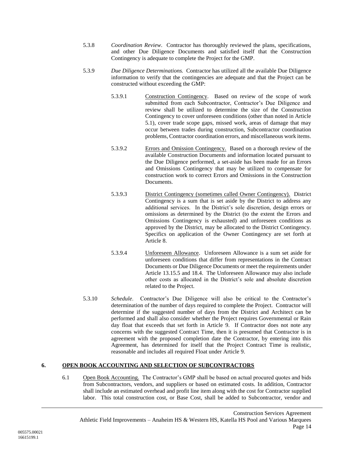- 5.3.8 *Coordination Review*. Contractor has thoroughly reviewed the plans, specifications, and other Due Diligence Documents and satisfied itself that the Construction Contingency is adequate to complete the Project for the GMP.
- 5.3.9 *Due Diligence Determinations.* Contractor has utilized all the available Due Diligence information to verify that the contingencies are adequate and that the Project can be constructed without exceeding the GMP:
	- 5.3.9.1 Construction Contingency. Based on review of the scope of work submitted from each Subcontractor, Contractor's Due Diligence and review shall be utilized to determine the size of the Construction Contingency to cover unforeseen conditions (other than noted in Article [5.1\)](#page-12-2), cover trade scope gaps, missed work, areas of damage that may occur between trades during construction, Subcontractor coordination problems, Contractor coordination errors, and miscellaneous work items.
	- 5.3.9.2 Errors and Omission Contingency. Based on a thorough review of the available Construction Documents and information located pursuant to the Due Diligence performed, a set-aside has been made for an Errors and Omissions Contingency that may be utilized to compensate for construction work to correct Errors and Omissions in the Construction Documents.
	- 5.3.9.3 District Contingency (sometimes called Owner Contingency). District Contingency is a sum that is set aside by the District to address any additional services. In the District's sole discretion, design errors or omissions as determined by the District (to the extent the Errors and Omissions Contingency is exhausted) and unforeseen conditions as approved by the District, may be allocated to the District Contingency. Specifics on application of the Owner Contingency are set forth at Article [8.](#page-19-0)
	- 5.3.9.4 Unforeseen Allowance. Unforeseen Allowance is a sum set aside for unforeseen conditions that differ from representations in the Contract Documents or Due Diligence Documents or meet the requirements under Article [13.15.5](#page-30-0) and [18.4.](#page-49-0) The Unforeseen Allowance may also include other costs as allocated in the District's sole and absolute discretion related to the Project.
- 5.3.10 *Schedule*. Contractor's Due Diligence will also be critical to the Contractor's determination of the number of days required to complete the Project. Contractor will determine if the suggested number of days from the District and Architect can be performed and shall also consider whether the Project requires Governmental or Rain day float that exceeds that set forth in Article [9.](#page-20-0) If Contractor does not note any concerns with the suggested Contract Time, then it is presumed that Contractor is in agreement with the proposed completion date the Contractor, by entering into this Agreement, has determined for itself that the Project Contract Time is realistic, reasonable and includes all required Float under Article [9.](#page-20-0)

### **6. OPEN BOOK ACCOUNTING AND SELECTION OF SUBCONTRACTORS**

6.1 Open Book Accounting. The Contractor's GMP shall be based on actual procured quotes and bids from Subcontractors, vendors, and suppliers or based on estimated costs. In addition, Contractor shall include an estimated overhead and profit line item along with the cost for Contractor supplied labor. This total construction cost, or Base Cost, shall be added to Subcontractor, vendor and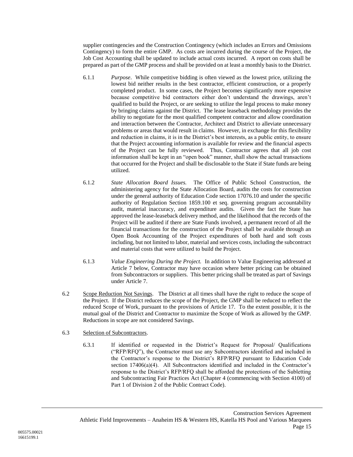supplier contingencies and the Construction Contingency (which includes an Errors and Omissions Contingency) to form the entire GMP. As costs are incurred during the course of the Project, the Job Cost Accounting shall be updated to include actual costs incurred. A report on costs shall be prepared as part of the GMP process and shall be provided on at least a monthly basis to the District.

- 6.1.1 *Purpose*. While competitive bidding is often viewed as the lowest price, utilizing the lowest bid neither results in the best contractor, efficient construction, or a properly completed product. In some cases, the Project becomes significantly more expensive because competitive bid contractors either don't understand the drawings, aren't qualified to build the Project, or are seeking to utilize the legal process to make money by bringing claims against the District. The lease leaseback methodology provides the ability to negotiate for the most qualified competent contractor and allow coordination and interaction between the Contractor, Architect and District to alleviate unnecessary problems or areas that would result in claims. However, in exchange for this flexibility and reduction in claims, it is in the District's best interests, as a public entity, to ensure that the Project accounting information is available for review and the financial aspects of the Project can be fully reviewed. Thus, Contractor agrees that all job cost information shall be kept in an "open book" manner, shall show the actual transactions that occurred for the Project and shall be disclosable to the State if State funds are being utilized.
- 6.1.2 *State Allocation Board Issues.* The Office of Public School Construction, the administering agency for the State Allocation Board, audits the costs for construction under the general authority of Education Code section 17076.10 and under the specific authority of Regulation Section 1859.100 et seq. governing program accountability audit, material inaccuracy, and expenditure audits. Given the fact the State has approved the lease-leaseback delivery method, and the likelihood that the records of the Project will be audited if there are State Funds involved, a permanent record of all the financial transactions for the construction of the Project shall be available through an Open Book Accounting of the Project expenditures of both hard and soft costs including, but not limited to labor, material and services costs, including the subcontract and material costs that were utilized to build the Project.
- 6.1.3 *Value Engineering During the Project.* In addition to Value Engineering addressed at Article [7](#page-18-0) below, Contractor may have occasion where better pricing can be obtained from Subcontractors or suppliers. This better pricing shall be treated as part of Savings under Article [7.](#page-18-0)
- 6.2 Scope Reduction Not Savings. The District at all times shall have the right to reduce the scope of the Project. If the District reduces the scope of the Project, the GMP shall be reduced to reflect the reduced Scope of Work, pursuant to the provisions of Article [17.](#page-43-0) To the extent possible, it is the mutual goal of the District and Contractor to maximize the Scope of Work as allowed by the GMP. Reductions in scope are not considered Savings.

### <span id="page-17-0"></span>6.3 Selection of Subcontractors.

6.3.1 If identified or requested in the District's Request for Proposal/ Qualifications ("RFP/RFQ"), the Contractor must use any Subcontractors identified and included in the Contractor's response to the District's RFP/RFQ pursuant to Education Code section 17406(a)(4). All Subcontractors identified and included in the Contractor's response to the District's RFP/RFQ shall be afforded the protections of the Subletting and Subcontracting Fair Practices Act (Chapter 4 (commencing with Section 4100) of Part 1 of Division 2 of the Public Contract Code).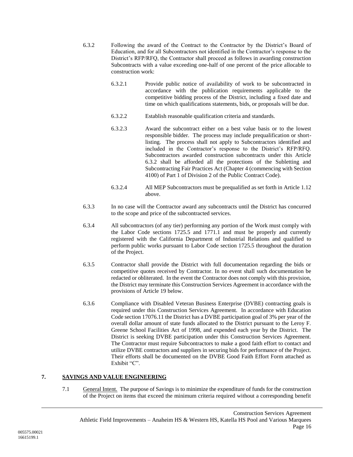- <span id="page-18-1"></span>6.3.2 Following the award of the Contract to the Contractor by the District's Board of Education, and for all Subcontractors not identified in the Contractor's response to the District's RFP/RFQ, the Contractor shall proceed as follows in awarding construction Subcontracts with a value exceeding one-half of one percent of the price allocable to construction work:
	- 6.3.2.1 Provide public notice of availability of work to be subcontracted in accordance with the publication requirements applicable to the competitive bidding process of the District, including a fixed date and time on which qualifications statements, bids, or proposals will be due.
	- 6.3.2.2 Establish reasonable qualification criteria and standards.
	- 6.3.2.3 Award the subcontract either on a best value basis or to the lowest responsible bidder. The process may include prequalification or shortlisting. The process shall not apply to Subcontractors identified and included in the Contractor's response to the District's RFP/RFQ. Subcontractors awarded construction subcontracts under this Article [6.3.2](#page-18-1) shall be afforded all the protections of the Subletting and Subcontracting Fair Practices Act (Chapter 4 (commencing with Section 4100) of Part 1 of Division 2 of the Public Contract Code).
	- 6.3.2.4 All MEP Subcontractors must be prequalified as set forth in Article [1.12](#page-5-0) above.
- 6.3.3 In no case will the Contractor award any subcontracts until the District has concurred to the scope and price of the subcontracted services.
- 6.3.4 All subcontractors (of any tier) performing any portion of the Work must comply with the Labor Code sections 1725.5 and 1771.1 and must be properly and currently registered with the California Department of Industrial Relations and qualified to perform public works pursuant to Labor Code section 1725.5 throughout the duration of the Project.
- 6.3.5 Contractor shall provide the District with full documentation regarding the bids or competitive quotes received by Contractor. In no event shall such documentation be redacted or obliterated. In the event the Contractor does not comply with this provision, the District may terminate this Construction Services Agreement in accordance with the provisions of Article [19](#page-50-0) below.
- 6.3.6 Compliance with Disabled Veteran Business Enterprise (DVBE) contracting goals is required under this Construction Services Agreement. In accordance with Education Code section 17076.11 the District has a DVBE participation goal of 3% per year of the overall dollar amount of state funds allocated to the District pursuant to the Leroy F. Greene School Facilities Act of 1998, and expended each year by the District. The District is seeking DVBE participation under this Construction Services Agreement. The Contractor must require Subcontractors to make a good faith effort to contact and utilize DVBE contractors and suppliers in securing bids for performance of the Project. Their efforts shall be documented on the DVBE Good Faith Effort Form attached as Exhibit "C".

### <span id="page-18-0"></span>**7. SAVINGS AND VALUE ENGINEERING**

7.1 General Intent. The purpose of Savings is to minimize the expenditure of funds for the construction of the Project on items that exceed the minimum criteria required without a corresponding benefit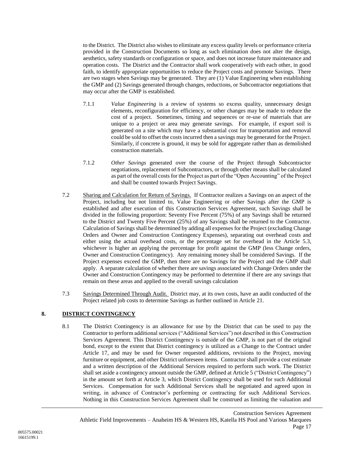to the District. The District also wishes to eliminate any excess quality levels or performance criteria provided in the Construction Documents so long as such elimination does not alter the design, aesthetics, safety standards or configuration or space, and does not increase future maintenance and operation costs. The District and the Contractor shall work cooperatively with each other, in good faith, to identify appropriate opportunities to reduce the Project costs and promote Savings. There are two stages when Savings may be generated. They are (1) Value Engineering when establishing the GMP and (2) Savings generated through changes, reductions, or Subcontractor negotiations that may occur after the GMP is established.

- 7.1.1 *Value Engineering* is a review of systems so excess quality, unnecessary design elements, reconfiguration for efficiency, or other changes may be made to reduce the cost of a project. Sometimes, timing and sequences or re-use of materials that are unique to a project or area may generate savings. For example, if export soil is generated on a site which may have a substantial cost for transportation and removal could be sold to offset the costs incurred then a savings may be generated for the Project. Similarly, if concrete is ground, it may be sold for aggregate rather than as demolished construction materials.
- 7.1.2 *Other Savings* generated over the course of the Project through Subcontractor negotiations, replacement of Subcontractors, or through other means shall be calculated as part of the overall costs for the Project as part of the "Open Accounting" of the Project and shall be counted towards Project Savings.
- 7.2 Sharing and Calculation for Return of Savings. If Contractor realizes a Savings on an aspect of the Project, including but not limited to, Value Engineering or other Savings after the GMP is established and after execution of this Construction Services Agreement, such Savings shall be divided in the following proportion: Seventy Five Percent (75%) of any Savings shall be returned to the District and Twenty Five Percent (25%) of any Savings shall be returned to the Contractor. Calculation of Savings shall be determined by adding all expenses for the Project (excluding Change Orders and Owner and Construction Contingency Expenses), separating out overhead costs and either using the actual overhead costs, or the percentage set for overhead in the Article [5.3,](#page-14-0) whichever is higher an applying the percentage for profit against the GMP (less Change orders, Owner and Construction Contingency). Any remaining money shall be considered Savings. If the Project expenses exceed the GMP, then there are no Savings for the Project and the GMP shall apply. A separate calculation of whether there are savings associated with Change Orders under the Owner and Construction Contingency may be performed to determine if there are any savings that remain on these areas and applied to the overall savings calculation
- 7.3 Savings Determined Through Audit. District may, at its own costs, have an audit conducted of the Project related job costs to determine Savings as further outlined in Article [21.](#page-60-0)

# <span id="page-19-0"></span>**8. DISTRICT CONTINGENCY**

8.1 The District Contingency is an allowance for use by the District that can be used to pay the Contractor to perform additional services ("Additional Services") not described in this Construction Services Agreement. This District Contingency is outside of the GMP, is not part of the original bond, except to the extent that District contingency is utilized as a Change to the Contract under Article [17,](#page-43-0) and may be used for Owner requested additions, revisions to the Project, moving furniture or equipment, and other District unforeseen items. Contractor shall provide a cost estimate and a written description of the Additional Services required to perform such work. The District shall set aside a contingency amount outside the GMP, defined at Article [5](#page-12-0) ("District Contingency") in the amount set forth at Article 3, which District Contingency shall be used for such Additional Services. Compensation for such Additional Services shall be negotiated and agreed upon in writing, in advance of Contractor's performing or contracting for such Additional Services. Nothing in this Construction Services Agreement shall be construed as limiting the valuation and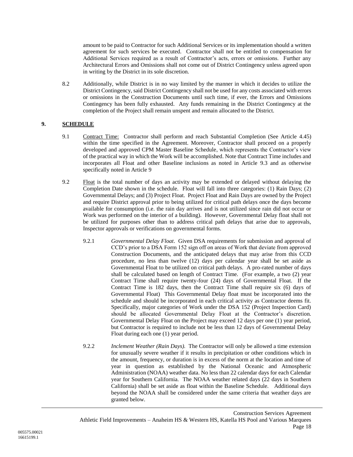amount to be paid to Contractor for such Additional Services or its implementation should a written agreement for such services be executed. Contractor shall not be entitled to compensation for Additional Services required as a result of Contractor's acts, errors or omissions. Further any Architectural Errors and Omissions shall not come out of District Contingency unless agreed upon in writing by the District in its sole discretion.

8.2 Additionally, while District is in no way limited by the manner in which it decides to utilize the District Contingency, said District Contingency shall not be used for any costs associated with errors or omissions in the Construction Documents until such time, if ever, the Errors and Omissions Contingency has been fully exhausted. Any funds remaining in the District Contingency at the completion of the Project shall remain unspent and remain allocated to the District.

# <span id="page-20-0"></span>**9. SCHEDULE**

- 9.1 Contract Time: Contractor shall perform and reach Substantial Completion (See Article [4.45\)](#page-12-1) within the time specified in the Agreement. Moreover, Contractor shall proceed on a properly developed and approved CPM Master Baseline Schedule, which represents the Contractor's view of the practical way in which the Work will be accomplished. Note that Contract Time includes and incorporates all Float and other Baseline inclusions as noted in Article [9.3](#page-21-0) and as otherwise specifically noted in Article [9](#page-20-0)
- <span id="page-20-2"></span><span id="page-20-1"></span>9.2 Float is the total number of days an activity may be extended or delayed without delaying the Completion Date shown in the schedule. Float will fall into three categories: (1) Rain Days; (2) Governmental Delays; and (3) Project Float. Project Float and Rain Days are owned by the Project and require District approval prior to being utilized for critical path delays once the days become available for consumption (i.e. the rain day arrives and is not utilized since rain did not occur or Work was performed on the interior of a building). However, Governmental Delay float shall not be utilized for purposes other than to address critical path delays that arise due to approvals, Inspector approvals or verifications on governmental forms.
	- 9.2.1 *Governmental Delay Float*. Given DSA requirements for submission and approval of CCD's prior to a DSA Form 152 sign off on areas of Work that deviate from approved Construction Documents, and the anticipated delays that may arise from this CCD procedure, no less than twelve (12) days per calendar year shall be set aside as Governmental Float to be utilized on critical path delays. A pro-rated number of days shall be calculated based on length of Contract Time. (For example, a two (2) year Contract Time shall require twenty-four (24) days of Governmental Float. If the Contract Time is 182 days, then the Contract Time shall require six (6) days of Governmental Float) This Governmental Delay float must be incorporated into the schedule and should be incorporated in each critical activity as Contractor deems fit. Specifically, major categories of Work under the DSA 152 (Project Inspection Card) should be allocated Governmental Delay Float at the Contractor's discretion. Governmental Delay Float on the Project may exceed 12 days per one (1) year period, but Contractor is required to include not be less than 12 days of Governmental Delay Float during each one (1) year period.
	- 9.2.2 *Inclement Weather (Rain Days).* The Contractor will only be allowed a time extension for unusually severe weather if it results in precipitation or other conditions which in the amount, frequency, or duration is in excess of the norm at the location and time of year in question as established by the National Oceanic and Atmospheric Administration (NOAA) weather data. No less than 22 calendar days for each Calendar year for Southern California. The NOAA weather related days (22 days in Southern California) shall be set aside as float within the Baseline Schedule. Additional days beyond the NOAA shall be considered under the same criteria that weather days are granted below.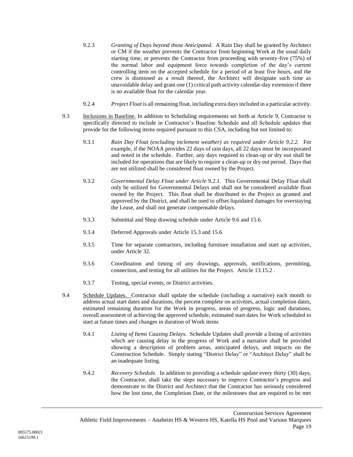- 9.2.3 *Granting of Days beyond those Anticipated.* A Rain Day shall be granted by Architect or CM if the weather prevents the Contractor from beginning Work at the usual daily starting time, or prevents the Contractor from proceeding with seventy-five (75%) of the normal labor and equipment force towards completion of the day's current controlling item on the accepted schedule for a period of at least five hours, and the crew is dismissed as a result thereof, the Architect will designate such time as unavoidable delay and grant one (1) critical path activity calendar-day extension if there is no available float for the calendar year.
- 9.2.4 *Project Float* is all remaining float, including extra days included in a particular activity.
- <span id="page-21-0"></span>9.3 Inclusions in Baseline. In addition to Scheduling requirements set forth at Article [9,](#page-20-0) Contractor is specifically directed to include in Contractor's Baseline Schedule and all Schedule updates that provide for the following items required pursuant to this CSA, including but not limited to:
	- 9.3.1 *Rain Day Float (excluding inclement weather) as required under Article 9.2.2.* For example, if the NOAA provides 22 days of rain days, all 22 days must be incorporated and noted in the schedule. Further, any days required to clean-up or dry out shall be included for operations that are likely to require a clean-up or dry out period. Days that are not utilized shall be considered float owned by the Project.
	- 9.3.2 *Governmental Delay Float under Article 9.2.1.* This Governmental Delay Float shall only be utilized for Governmental Delays and shall not be considered available float owned by the Project. This float shall be distributed to the Project as granted and approved by the District, and shall be used to offset liquidated damages for overstaying the Lease, and shall not generate compensable delays.
	- 9.3.3 Submittal and Shop drawing schedule under Article [9.6](#page-22-0) an[d 15.6.](#page-39-0)
	- 9.3.4 Deferred Approvals under Articl[e 15.3](#page-37-0) an[d 15.6](#page-39-0)
	- 9.3.5 Time for separate contractors, including furniture installation and start up activities, under Article [32.](#page-75-0)
	- 9.3.6 Coordination and timing of any drawings, approvals, notifications, permitting, connection, and testing for all utilities for the Project. Article [13.15.2](#page-30-1) .
	- 9.3.7 Testing, special events, or District activities.
- 9.4 Schedule Updates. Contractor shall update the schedule (including a narrative) each month to address actual start dates and durations, the percent complete on activities, actual completion dates, estimated remaining duration for the Work in progress, areas of progress, logic and durations, overall assessment of achieving the approved schedule, estimated start dates for Work scheduled to start at future times and changes in duration of Work items
	- 9.4.1 *Listing of Items Causing Delays.* Schedule Updates shall provide a listing of activities which are causing delay in the progress of Work and a narrative shall be provided showing a description of problem areas, anticipated delays, and impacts on the Construction Schedule. Simply stating "District Delay" or "Architect Delay" shall be an inadequate listing.
	- 9.4.2 *Recovery Schedule.* In addition to providing a schedule update every thirty (30) days, the Contractor, shall take the steps necessary to improve Contractor's progress and demonstrate to the District and Architect that the Contractor has seriously considered how the lost time, the Completion Date, or the milestones that are required to be met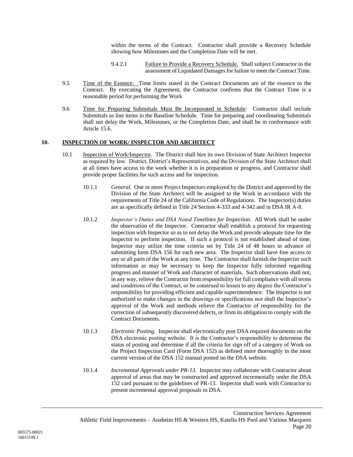within the terms of the Contract. Contractor shall provide a Recovery Schedule showing how Milestones and the Completion Date will be met.

- 9.4.2.1 Failure to Provide a Recovery Schedule. Shall subject Contractor to the assessment of Liquidated Damages for failure to meet the Contract Time.
- 9.5 Time of the Essence. Time limits stated in the Contract Documents are of the essence to the Contract. By executing the Agreement, the Contractor confirms that the Contract Time is a reasonable period for performing the Work
- <span id="page-22-0"></span>9.6 Time for Preparing Submittals Must Be Incorporated in Schedule: Contractor shall include Submittals as line items in the Baseline Schedule. Time for preparing and coordinating Submittals shall not delay the Work, Milestones, or the Completion Date, and shall be in conformance with Article [15.6.](#page-39-0)

#### <span id="page-22-1"></span>**10. INSPECTION OF WORK/ INSPECTOR AND ARCHITECT**

- 10.1 Inspection of Work/Inspector. The District shall hire its own Division of State Architect Inspector as required by law. District, District's Representatives, and the Division of the State Architect shall at all times have access to the work whether it is in preparation or progress, and Contractor shall provide proper facilities for such access and for inspection.
	- 10.1.1 *General*. One or more Project Inspectors employed by the District and approved by the Division of the State Architect will be assigned to the Work in accordance with the requirements of Title 24 of the California Code of Regulations. The Inspector(s) duties are as specifically defined in Title 24 Section 4-333 and 4-342 and in DSA IR A-8.
	- 10.1.2 *Inspector's Duties and DSA Noted Timelines for Inspection*. All Work shall be under the observation of the Inspector. Contractor shall establish a protocol for requesting inspection with Inspector so as to not delay the Work and provide adequate time for the Inspector to perform inspection. If such a protocol is not established ahead of time, Inspector may utilize the time criteria set by Title 24 of 48 hours in advance of submitting form DSA 156 for each new area. The Inspector shall have free access to any or all parts of the Work at any time. The Contractor shall furnish the Inspector such information as may be necessary to keep the Inspector fully informed regarding progress and manner of Work and character of materials. Such observations shall not, in any way, relieve the Contractor from responsibility for full compliance with all terms and conditions of the Contract, or be construed to lessen to any degree the Contractor's responsibility for providing efficient and capable superintendence. The Inspector is not authorized to make changes in the drawings or specifications nor shall the Inspector's approval of the Work and methods relieve the Contractor of responsibility for the correction of subsequently discovered defects, or from its obligation to comply with the Contract Documents.
	- 10.1.3 *Electronic Posting.* Inspector shall electronically post DSA required documents on the DSA electronic posting website. It is the Contractor's responsibility to determine the status of posting and determine if all the criteria for sign off of a category of Work on the Project Inspection Card (Form DSA 152) as defined more thoroughly in the most current version of the DSA 152 manual posted on the DSA website.
	- 10.1.4 *Incremental Approvals under PR-13.* Inspector may collaborate with Contractor about approval of areas that may be constructed and approved incrementally under the DSA 152 card pursuant to the guidelines of PR-13. Inspector shall work with Contractor to present incremental approval proposals to DSA.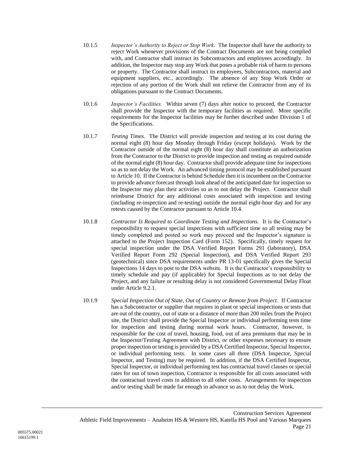- 10.1.5 *Inspector's Authority to Reject or Stop Work.* The Inspector shall have the authority to reject Work whenever provisions of the Contract Documents are not being complied with, and Contractor shall instruct its Subcontractors and employees accordingly. In addition, the Inspector may stop any Work that poses a probable risk of harm to persons or property. The Contractor shall instruct its employees, Subcontractors, material and equipment suppliers, etc., accordingly. The absence of any Stop Work Order or rejection of any portion of the Work shall not relieve the Contractor from any of its obligations pursuant to the Contract Documents.
- 10.1.6 *Inspector's Facilities.* Within seven (7) days after notice to proceed, the Contractor shall provide the Inspector with the temporary facilities as required. More specific requirements for the Inspector facilities may be further described under Division 1 of the Specifications.
- 10.1.7 *Testing Times.* The District will provide inspection and testing at its cost during the normal eight (8) hour day Monday through Friday (except holidays). Work by the Contractor outside of the normal eight (8) hour day shall constitute an authorization from the Contractor to the District to provide inspection and testing as required outside of the normal eight (8) hour day. Contractor shall provide adequate time for inspections so as to not delay the Work. An advanced timing protocol may be established pursuant to Articl[e 10.](#page-22-1) If the Contractor is behind Schedule then it is incumbent on the Contractor to provide advance forecast through look ahead of the anticipated date for inspection so the Inspector may plan their activities so as to not delay the Project. Contractor shall reimburse District for any additional costs associated with inspection and testing (including re-inspection and re-testing) outside the normal eight-hour day and for any retests caused by the Contractor pursuant to Article [10.4.](#page-24-0)
- 10.1.8 *Contractor Is Required to Coordinate Testing and Inspections.* It is the Contractor's responsibility to request special inspections with sufficient time so all testing may be timely completed and posted so work may proceed and the Inspector's signature is attached to the Project Inspection Card (Form 152). Specifically, timely request for special inspection under the DSA Verified Report Forms 291 (laboratory), DSA Verified Report Form 292 (Special Inspection), and DSA Verified Report 293 (geotechnical) since DSA requirements under PR 13-01 specifically gives the Special Inspections 14 days to post to the DSA website. It is the Contractor's responsibility to timely schedule and pay (if applicable) for Special Inspections as to not delay the Project, and any failure or resulting delay is not considered Governmental Delay Float under Article [9.2.1.](#page-20-2)
- 10.1.9 *Special Inspection Out of State, Out of Country or Remote from Project.* If Contractor has a Subcontractor or supplier that requires in plant or special inspections or tests that are out of the country, out of state or a distance of more than 200 miles from the Project site, the District shall provide the Special Inspector or individual performing tests time for inspection and testing during normal work hours. Contractor, however, is responsible for the cost of travel, housing, food, out of area premiums that may be in the Inspector/Testing Agreement with District, or other expenses necessary to ensure proper inspection or testing is provided by a DSA Certified Inspector, Special Inspector, or individual performing tests. In some cases all three (DSA Inspector, Special Inspector, and Testing) may be required. In addition, if the DSA Certified Inspector, Special Inspector, or individual performing test has contractual travel clauses or special rates for out of town inspection, Contractor is responsible for all costs associated with the contractual travel costs in addition to all other costs. Arrangements for inspection and/or testing shall be made far enough in advance so as to not delay the Work.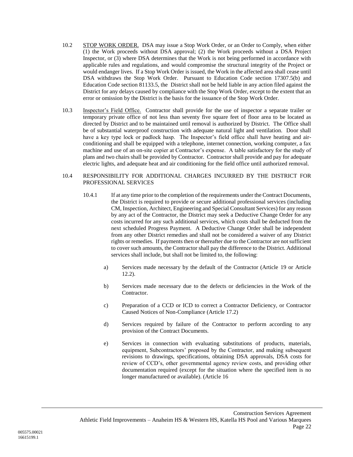- 10.2 STOP WORK ORDER. DSA may issue a Stop Work Order, or an Order to Comply, when either (1) the Work proceeds without DSA approval; (2) the Work proceeds without a DSA Project Inspector, or (3) where DSA determines that the Work is not being performed in accordance with applicable rules and regulations, and would compromise the structural integrity of the Project or would endanger lives. If a Stop Work Order is issued, the Work in the affected area shall cease until DSA withdraws the Stop Work Order. Pursuant to Education Code section 17307.5(b) and Education Code section 81133.5, the District shall not be held liable in any action filed against the District for any delays caused by compliance with the Stop Work Order, except to the extent that an error or omission by the District is the basis for the issuance of the Stop Work Order.
- 10.3 Inspector's Field Office. Contractor shall provide for the use of inspector a separate trailer or temporary private office of not less than seventy five square feet of floor area to be located as directed by District and to be maintained until removal is authorized by District. The Office shall be of substantial waterproof construction with adequate natural light and ventilation. Door shall have a key type lock or padlock hasp. The Inspector's field office shall have heating and airconditioning and shall be equipped with a telephone, internet connection, working computer, a fax machine and use of an on-site copier at Contractor's expense. A table satisfactory for the study of plans and two chairs shall be provided by Contractor. Contractor shall provide and pay for adequate electric lights, and adequate heat and air conditioning for the field office until authorized removal.

#### <span id="page-24-0"></span>10.4 RESPONSIBILITY FOR ADDITIONAL CHARGES INCURRED BY THE DISTRICT FOR PROFESSIONAL SERVICES

- 10.4.1 If at any time prior to the completion of the requirements under the Contract Documents, the District is required to provide or secure additional professional services (including CM, Inspection, Architect, Engineering and Special Consultant Services) for any reason by any act of the Contractor, the District may seek a Deductive Change Order for any costs incurred for any such additional services, which costs shall be deducted from the next scheduled Progress Payment. A Deductive Change Order shall be independent from any other District remedies and shall not be considered a waiver of any District rights or remedies. If payments then or thereafter due to the Contractor are not sufficient to cover such amounts, the Contractor shall pay the difference to the District. Additional services shall include, but shall not be limited to, the following:
	- a) Services made necessary by the default of the Contractor (Article [19](#page-50-0) or Article [12.2\)](#page-25-0).
	- b) Services made necessary due to the defects or deficiencies in the Work of the Contractor.
	- c) Preparation of a CCD or ICD to correct a Contractor Deficiency, or Contractor Caused Notices of Non-Compliance (Article [17.2\)](#page-43-1)
	- d) Services required by failure of the Contractor to perform according to any provision of the Contract Documents.
	- e) Services in connection with evaluating substitutions of products, materials, equipment, Subcontractors' proposed by the Contractor, and making subsequent revisions to drawings, specifications, obtaining DSA approvals, DSA costs for review of CCD's, other governmental agency review costs, and providing other documentation required (except for the situation where the specified item is no longer manufactured or available). (Article [16](#page-42-0)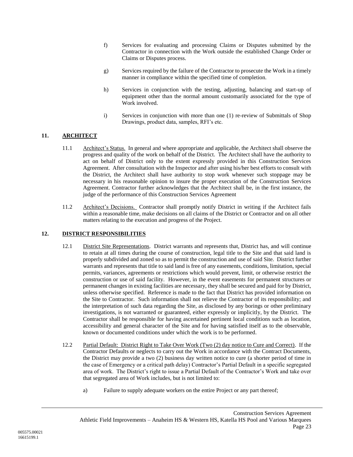- f) Services for evaluating and processing Claims or Disputes submitted by the Contractor in connection with the Work outside the established Change Order or Claims or Disputes process.
- g) Services required by the failure of the Contractor to prosecute the Work in a timely manner in compliance within the specified time of completion.
- h) Services in conjunction with the testing, adjusting, balancing and start-up of equipment other than the normal amount customarily associated for the type of Work involved.
- i) Services in conjunction with more than one (1) re-review of Submittals of Shop Drawings, product data, samples, RFI's etc.

### **11. ARCHITECT**

- 11.1 Architect's Status. In general and where appropriate and applicable, the Architect shall observe the progress and quality of the work on behalf of the District. The Architect shall have the authority to act on behalf of District only to the extent expressly provided in this Construction Services Agreement. After consultation with the Inspector and after using his/her best efforts to consult with the District, the Architect shall have authority to stop work whenever such stoppage may be necessary in his reasonable opinion to insure the proper execution of the Construction Services Agreement. Contractor further acknowledges that the Architect shall be, in the first instance, the judge of the performance of this Construction Services Agreement
- 11.2 Architect's Decisions. Contractor shall promptly notify District in writing if the Architect fails within a reasonable time, make decisions on all claims of the District or Contractor and on all other matters relating to the execution and progress of the Project.

#### **12. DISTRICT RESPONSIBILITIES**

- 12.1 District Site Representations. District warrants and represents that, District has, and will continue to retain at all times during the course of construction, legal title to the Site and that said land is properly subdivided and zoned so as to permit the construction and use of said Site. District further warrants and represents that title to said land is free of any easements, conditions, limitation, special permits, variances, agreements or restrictions which would prevent, limit, or otherwise restrict the construction or use of said facility. However, in the event easements for permanent structures or permanent changes in existing facilities are necessary, they shall be secured and paid for by District, unless otherwise specified. Reference is made to the fact that District has provided information on the Site to Contractor. Such information shall not relieve the Contractor of its responsibility; and the interpretation of such data regarding the Site, as disclosed by any borings or other preliminary investigations, is not warranted or guaranteed, either expressly or implicitly, by the District. The Contractor shall be responsible for having ascertained pertinent local conditions such as location, accessibility and general character of the Site and for having satisfied itself as to the observable, known or documented conditions under which the work is to be performed.
- <span id="page-25-0"></span>12.2 Partial Default: District Right to Take Over Work (Two (2) day notice to Cure and Correct). If the Contractor Defaults or neglects to carry out the Work in accordance with the Contract Documents, the District may provide a two (2) business day written notice to cure (a shorter period of time in the case of Emergency or a critical path delay) Contractor's Partial Default in a specific segregated area of work. The District's right to issue a Partial Default of the Contractor's Work and take over that segregated area of Work includes, but is not limited to:
	- a) Failure to supply adequate workers on the entire Project or any part thereof;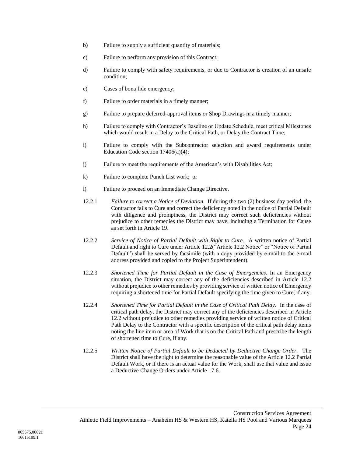- b) Failure to supply a sufficient quantity of materials;
- c) Failure to perform any provision of this Contract;
- d) Failure to comply with safety requirements, or due to Contractor is creation of an unsafe condition;
- e) Cases of bona fide emergency;
- f) Failure to order materials in a timely manner;
- g) Failure to prepare deferred-approval items or Shop Drawings in a timely manner;
- h) Failure to comply with Contractor's Baseline or Update Schedule, meet critical Milestones which would result in a Delay to the Critical Path, or Delay the Contract Time;
- i) Failure to comply with the Subcontractor selection and award requirements under Education Code section 17406(a)(4);
- j) Failure to meet the requirements of the American's with Disabilities Act;
- k) Failure to complete Punch List work; or
- l) Failure to proceed on an Immediate Change Directive.
- 12.2.1 *Failure to correct a Notice of Deviation.* If during the two (2) business day period, the Contractor fails to Cure and correct the deficiency noted in the notice of Partial Default with diligence and promptness, the District may correct such deficiencies without prejudice to other remedies the District may have, including a Termination for Cause as set forth in Article [19.](#page-50-0)
- 12.2.2 *Service of Notice of Partial Default with Right to Cure.* A written notice of Partial Default and right to Cure under Article [12.2\(](#page-25-0)"Article [12.2](#page-25-0) Notice" or "Notice of Partial Default") shall be served by facsimile (with a copy provided by e-mail to the e-mail address provided and copied to the Project Superintendent).
- 12.2.3 *Shortened Time for Partial Default in the Case of Emergencies.* In an Emergency situation, the District may correct any of the deficiencies described in Article [12.2](#page-25-0) without prejudice to other remedies by providing service of written notice of Emergency requiring a shortened time for Partial Default specifying the time given to Cure, if any.
- 12.2.4 *Shortened Time for Partial Default in the Case of Critical Path Delay.* In the case of critical path delay, the District may correct any of the deficiencies described in Article 12.2 without prejudice to other remedies providing service of written notice of Critical Path Delay to the Contractor with a specific description of the critical path delay items noting the line item or area of Work that is on the Critical Path and prescribe the length of shortened time to Cure, if any.
- 12.2.5 *Written Notice of Partial Default to be Deducted by Deductive Change Order.* The District shall have the right to determine the reasonable value of the Article [12.2](#page-25-0) Partial Default Work, or if there is an actual value for the Work, shall use that value and issue a Deductive Change Orders under Article [17.6.](#page-48-0)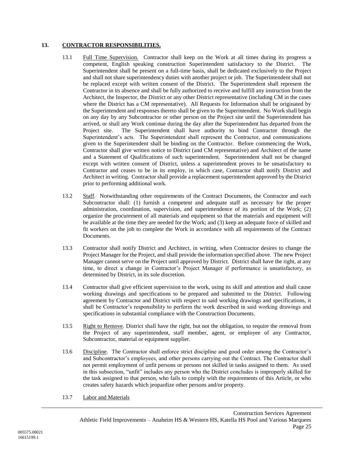### **13. CONTRACTOR RESPONSIBILITIES.**

- 13.1 Full Time Supervision. Contractor shall keep on the Work at all times during its progress a competent, English speaking construction Superintendent satisfactory to the District. The Superintendent shall be present on a full-time basis, shall be dedicated exclusively to the Project and shall not share superintendency duties with another project or job. The Superintendent shall not be replaced except with written consent of the District. The Superintendent shall represent the Contractor in its absence and shall be fully authorized to receive and fulfill any instruction from the Architect, the Inspector, the District or any other District representative (including CM in the cases where the District has a CM representative). All Requests for Information shall be originated by the Superintendent and responses thereto shall be given to the Superintendent. No Work shall begin on any day by any Subcontractor or other person on the Project site until the Superintendent has arrived, or shall any Work continue during the day after the Superintendent has departed from the Project site. The Superintendent shall have authority to bind Contractor through the Superintendent's acts. The Superintendent shall represent the Contractor, and communications given to the Superintendent shall be binding on the Contractor. Before commencing the Work, Contractor shall give written notice to District (and CM representative) and Architect of the name and a Statement of Qualifications of such superintendent. Superintendent shall not be changed except with written consent of District, unless a superintendent proves to be unsatisfactory to Contractor and ceases to be in its employ, in which case, Contractor shall notify District and Architect in writing. Contractor shall provide a replacement superintendent approved by the District prior to performing additional work.
- 13.2 Staff. Notwithstanding other requirements of the Contract Documents, the Contractor and each Subcontractor shall: (1) furnish a competent and adequate staff as necessary for the proper administration, coordination, supervision, and superintendence of its portion of the Work; (2) organize the procurement of all materials and equipment so that the materials and equipment will be available at the time they are needed for the Work; and (3) keep an adequate force of skilled and fit workers on the job to complete the Work in accordance with all requirements of the Contract Documents.
- 13.3 Contractor shall notify District and Architect, in writing, when Contractor desires to change the Project Manager for the Project, and shall provide the information specified above. The new Project Manager cannot serve on the Project until approved by District. District shall have the right, at any time, to direct a change in Contractor's Project Manager if performance is unsatisfactory, as determined by District, in its sole discretion.
- 13.4 Contractor shall give efficient supervision to the work, using its skill and attention and shall cause working drawings and specifications to be prepared and submitted to the District. Following agreement by Contractor and District with respect to said working drawings and specifications, it shall be Contractor's responsibility to perform the work described in said working drawings and specifications in substantial compliance with the Construction Documents.
- 13.5 Right to Remove. District shall have the right, but not the obligation, to require the removal from the Project of any superintendent, staff member, agent, or employee of any Contractor, Subcontractor, material or equipment supplier.
- 13.6 Discipline. The Contractor shall enforce strict discipline and good order among the Contractor's and Subcontractor's employees, and other persons carrying out the Contract. The Contractor shall not permit employment of unfit persons or persons not skilled in tasks assigned to them. As used in this subsection, "unfit" includes any person who the District concludes is improperly skilled for the task assigned to that person, who fails to comply with the requirements of this Article, or who creates safety hazards which jeopardize other persons and/or property.
- 13.7 Labor and Materials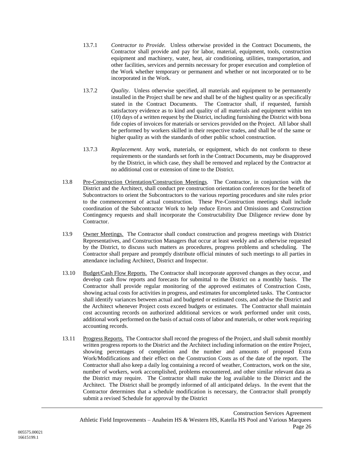- 13.7.1 *Contractor to Provide.* Unless otherwise provided in the Contract Documents, the Contractor shall provide and pay for labor, material, equipment, tools, construction equipment and machinery, water, heat, air conditioning, utilities, transportation, and other facilities, services and permits necessary for proper execution and completion of the Work whether temporary or permanent and whether or not incorporated or to be incorporated in the Work.
- 13.7.2 *Quality*. Unless otherwise specified, all materials and equipment to be permanently installed in the Project shall be new and shall be of the highest quality or as specifically stated in the Contract Documents. The Contractor shall, if requested, furnish satisfactory evidence as to kind and quality of all materials and equipment within ten (10) days of a written request by the District, including furnishing the District with bona fide copies of invoices for materials or services provided on the Project. All labor shall be performed by workers skilled in their respective trades, and shall be of the same or higher quality as with the standards of other public school construction.
- 13.7.3 *Replacement*. Any work, materials, or equipment, which do not conform to these requirements or the standards set forth in the Contract Documents, may be disapproved by the District, in which case, they shall be removed and replaced by the Contractor at no additional cost or extension of time to the District.
- 13.8 Pre-Construction Orientation/Construction Meetings. The Contractor, in conjunction with the District and the Architect, shall conduct pre construction orientation conferences for the benefit of Subcontractors to orient the Subcontractors to the various reporting procedures and site rules prior to the commencement of actual construction. These Pre-Construction meetings shall include coordination of the Subcontractor Work to help reduce Errors and Omissions and Construction Contingency requests and shall incorporate the Constructability Due Diligence review done by Contractor.
- 13.9 Owner Meetings. The Contractor shall conduct construction and progress meetings with District Representatives, and Construction Managers that occur at least weekly and as otherwise requested by the District, to discuss such matters as procedures, progress problems and scheduling. The Contractor shall prepare and promptly distribute official minutes of such meetings to all parties in attendance including Architect, District and Inspector.
- 13.10 Budget/Cash Flow Reports. The Contractor shall incorporate approved changes as they occur, and develop cash flow reports and forecasts for submittal to the District on a monthly basis. The Contractor shall provide regular monitoring of the approved estimates of Construction Costs, showing actual costs for activities in progress, and estimates for uncompleted tasks. The Contractor shall identify variances between actual and budgeted or estimated costs, and advise the District and the Architect whenever Project costs exceed budgets or estimates. The Contractor shall maintain cost accounting records on authorized additional services or work performed under unit costs, additional work performed on the basis of actual costs of labor and materials, or other work requiring accounting records.
- 13.11 Progress Reports. The Contractor shall record the progress of the Project, and shall submit monthly written progress reports to the District and the Architect including information on the entire Project, showing percentages of completion and the number and amounts of proposed Extra Work/Modifications and their effect on the Construction Costs as of the date of the report. The Contractor shall also keep a daily log containing a record of weather, Contractors, work on the site, number of workers, work accomplished, problems encountered, and other similar relevant data as the District may require. The Contractor shall make the log available to the District and the Architect. The District shall be promptly informed of all anticipated delays. In the event that the Contractor determines that a schedule modification is necessary, the Contractor shall promptly submit a revised Schedule for approval by the District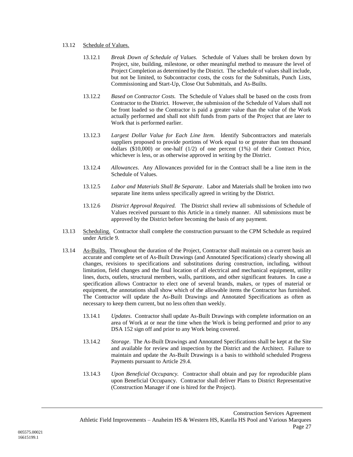#### <span id="page-29-1"></span>13.12 Schedule of Values.

- 13.12.1 *Break Down of Schedule of Values.* Schedule of Values shall be broken down by Project, site, building, milestone, or other meaningful method to measure the level of Project Completion as determined by the District. The schedule of values shall include, but not be limited, to Subcontractor costs, the costs for the Submittals, Punch Lists, Commissioning and Start-Up, Close Out Submittals, and As-Builts.
- 13.12.2 *Based on Contractor Costs.* The Schedule of Values shall be based on the costs from Contractor to the District. However, the submission of the Schedule of Values shall not be front loaded so the Contractor is paid a greater value than the value of the Work actually performed and shall not shift funds from parts of the Project that are later to Work that is performed earlier.
- 13.12.3 *Largest Dollar Value for Each Line Item.* Identify Subcontractors and materials suppliers proposed to provide portions of Work equal to or greater than ten thousand dollars (\$10,000) or one-half (1/2) of one percent (1%) of their Contract Price, whichever is less, or as otherwise approved in writing by the District.
- 13.12.4 *Allowances*. Any Allowances provided for in the Contract shall be a line item in the Schedule of Values.
- 13.12.5 *Labor and Materials Shall Be Separate*. Labor and Materials shall be broken into two separate line items unless specifically agreed in writing by the District.
- 13.12.6 *District Approval Required.* The District shall review all submissions of Schedule of Values received pursuant to this Article in a timely manner. All submissions must be approved by the District before becoming the basis of any payment.
- 13.13 Scheduling. Contractor shall complete the construction pursuant to the CPM Schedule as required under Article [9.](#page-20-0)
- <span id="page-29-0"></span>13.14 As-Builts. Throughout the duration of the Project, Contractor shall maintain on a current basis an accurate and complete set of As-Built Drawings (and Annotated Specifications) clearly showing all changes, revisions to specifications and substitutions during construction, including, without limitation, field changes and the final location of all electrical and mechanical equipment, utility lines, ducts, outlets, structural members, walls, partitions, and other significant features. In case a specification allows Contractor to elect one of several brands, makes, or types of material or equipment, the annotations shall show which of the allowable items the Contractor has furnished. The Contractor will update the As-Built Drawings and Annotated Specifications as often as necessary to keep them current, but no less often than weekly.
	- 13.14.1 *Updates*. Contractor shall update As-Built Drawings with complete information on an area of Work at or near the time when the Work is being performed and prior to any DSA 152 sign off and prior to any Work being covered.
	- 13.14.2 *Storage*. The As-Built Drawings and Annotated Specifications shall be kept at the Site and available for review and inspection by the District and the Architect. Failure to maintain and update the As-Built Drawings is a basis to withhold scheduled Progress Payments pursuant to Article [29.4.](#page-74-0)
	- 13.14.3 *Upon Beneficial Occupancy.* Contractor shall obtain and pay for reproducible plans upon Beneficial Occupancy. Contractor shall deliver Plans to District Representative (Construction Manager if one is hired for the Project).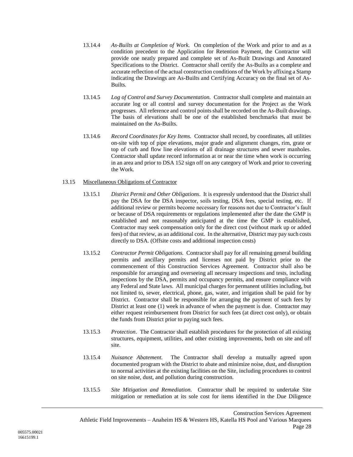- 13.14.4 *As-Builts at Completion of Work.* On completion of the Work and prior to and as a condition precedent to the Application for Retention Payment, the Contractor will provide one neatly prepared and complete set of As-Built Drawings and Annotated Specifications to the District. Contractor shall certify the As-Builts as a complete and accurate reflection of the actual construction conditions of the Work by affixing a Stamp indicating the Drawings are As-Builts and Certifying Accuracy on the final set of As-Builts.
- 13.14.5 *Log of Control and Survey Documentation.* Contractor shall complete and maintain an accurate log or all control and survey documentation for the Project as the Work progresses. All reference and control points shall be recorded on the As-Built drawings. The basis of elevations shall be one of the established benchmarks that must be maintained on the As-Builts.
- 13.14.6 *Record Coordinates for Key Items.* Contractor shall record, by coordinates, all utilities on-site with top of pipe elevations, major grade and alignment changes, rim, grate or top of curb and flow line elevations of all drainage structures and sewer manholes. Contractor shall update record information at or near the time when work is occurring in an area and prior to DSA 152 sign off on any category of Work and prior to covering the Work.

#### 13.15 Miscellaneous Obligations of Contractor

- 13.15.1 *District Permit and Other Obligations*. It is expressly understood that the District shall pay the DSA for the DSA inspector, soils testing, DSA fees, special testing, etc. If additional review or permits become necessary for reasons not due to Contractor's fault or because of DSA requirements or regulations implemented after the date the GMP is established and not reasonably anticipated at the time the GMP is established, Contractor may seek compensation only for the direct cost (without mark up or added fees) of that review, as an additional cost. In the alternative, District may pay such costs directly to DSA. (Offsite costs and additional inspection costs)
- <span id="page-30-1"></span>13.15.2 *Contractor Permit Obligations.* Contractor shall pay for all remaining general building permits and ancillary permits and licenses not paid by District prior to the commencement of this Construction Services Agreement. Contractor shall also be responsible for arranging and overseeing all necessary inspections and tests, including inspections by the DSA, permits and occupancy permits, and ensure compliance with any Federal and State laws. All municipal charges for permanent utilities including, but not limited to, sewer, electrical, phone, gas, water, and irrigation shall be paid for by District. Contractor shall be responsible for arranging the payment of such fees by District at least one (1) week in advance of when the payment is due. Contractor may either request reimbursement from District for such fees (at direct cost only), or obtain the funds from District prior to paying such fees.
- 13.15.3 *Protection*. The Contractor shall establish procedures for the protection of all existing structures, equipment, utilities, and other existing improvements, both on site and off site.
- 13.15.4 *Nuisance Abatement.* The Contractor shall develop a mutually agreed upon documented program with the District to abate and minimize noise, dust, and disruption to normal activities at the existing facilities on the Site, including procedures to control on site noise, dust, and pollution during construction.
- <span id="page-30-0"></span>13.15.5 *Site Mitigation and Remediation.* Contractor shall be required to undertake Site mitigation or remediation at its sole cost for items identified in the Due Diligence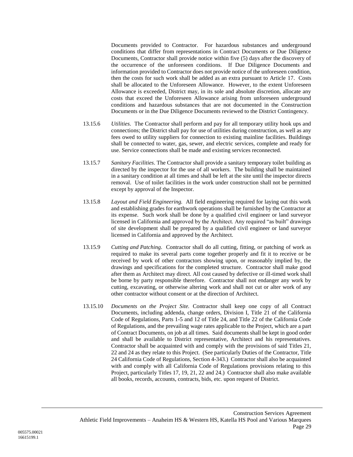Documents provided to Contractor. For hazardous substances and underground conditions that differ from representations in Contract Documents or Due Diligence Documents, Contractor shall provide notice within five (5) days after the discovery of the occurrence of the unforeseen conditions. If Due Diligence Documents and information provided to Contractor does not provide notice of the unforeseen condition, then the costs for such work shall be added as an extra pursuant to Article [17.](#page-73-0) Costs shall be allocated to the Unforeseen Allowance. However, to the extent Unforeseen Allowance is exceeded, District may, in its sole and absolute discretion, allocate any costs that exceed the Unforeseen Allowance arising from unforeseen underground conditions and hazardous substances that are not documented in the Construction Documents or in the Due Diligence Documents reviewed to the District Contingency.

- 13.15.6 *Utilities*. The Contractor shall perform and pay for all temporary utility hook ups and connections; the District shall pay for use of utilities during construction, as well as any fees owed to utility suppliers for connection to existing mainline facilities. Buildings shall be connected to water, gas, sewer, and electric services, complete and ready for use. Service connections shall be made and existing services reconnected.
- 13.15.7 *Sanitary Facilities*. The Contractor shall provide a sanitary temporary toilet building as directed by the inspector for the use of all workers. The building shall be maintained in a sanitary condition at all times and shall be left at the site until the inspector directs removal. Use of toilet facilities in the work under construction shall not be permitted except by approval of the Inspector.
- 13.15.8 *Layout and Field Engineering.* All field engineering required for laying out this work and establishing grades for earthwork operations shall be furnished by the Contractor at its expense. Such work shall be done by a qualified civil engineer or land surveyor licensed in California and approved by the Architect. Any required "as built" drawings of site development shall be prepared by a qualified civil engineer or land surveyor licensed in California and approved by the Architect.
- 13.15.9 *Cutting and Patching*. Contractor shall do all cutting, fitting, or patching of work as required to make its several parts come together properly and fit it to receive or be received by work of other contractors showing upon, or reasonably implied by, the drawings and specifications for the completed structure. Contractor shall make good after them as Architect may direct. All cost caused by defective or ill-timed work shall be borne by party responsible therefore. Contractor shall not endanger any work by cutting, excavating, or otherwise altering work and shall not cut or alter work of any other contractor without consent or at the direction of Architect.
- 13.15.10 *Documents on the Project Site.* Contractor shall keep one copy of all Contract Documents, including addenda, change orders, Division I, Title 21 of the California Code of Regulations, Parts 1-5 and 12 of Title 24, and Title 22 of the California Code of Regulations, and the prevailing wage rates applicable to the Project, which are a part of Contract Documents, on job at all times. Said documents shall be kept in good order and shall be available to District representative, Architect and his representatives. Contractor shall be acquainted with and comply with the provisions of said Titles 21, 22 and 24 as they relate to this Project. (See particularly Duties of the Contractor, Title 24 California Code of Regulations, Section 4-343.) Contractor shall also be acquainted with and comply with all California Code of Regulations provisions relating to this Project, particularly Titles 17, 19, 21, 22 and 24.) Contractor shall also make available all books, records, accounts, contracts, bids, etc. upon request of District.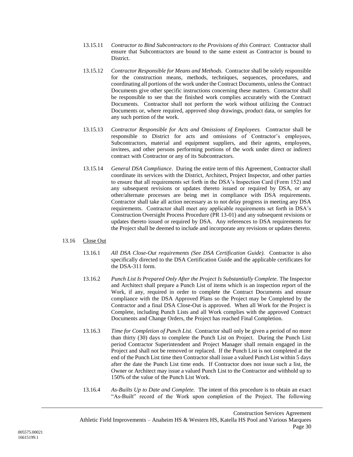- 13.15.11 *Contractor to Bind Subcontractors to the Provisions of this Contract.* Contractor shall ensure that Subcontractors are bound to the same extent as Contractor is bound to District.
- 13.15.12 *Contractor Responsible for Means and Methods.* Contractor shall be solely responsible for the construction means, methods, techniques, sequences, procedures, and coordinating all portions of the work under the Contract Documents, unless the Contract Documents give other specific instructions concerning these matters. Contractor shall be responsible to see that the finished work complies accurately with the Contract Documents. Contractor shall not perform the work without utilizing the Contract Documents or, where required, approved shop drawings, product data, or samples for any such portion of the work.
- 13.15.13 *Contractor Responsible for Acts and Omissions of Employees.* Contractor shall be responsible to District for acts and omissions of Contractor's employees, Subcontractors, material and equipment suppliers, and their agents, employees, invitees, and other persons performing portions of the work under direct or indirect contract with Contractor or any of its Subcontractors.
- 13.15.14 *General DSA Compliance*. During the entire term of this Agreement, Contractor shall coordinate its services with the District, Architect, Project Inspector, and other parties to ensure that all requirements set forth in the DSA's Inspection Card (Form 152) and any subsequent revisions or updates thereto issued or required by DSA, or any other/alternate processes are being met in compliance with DSA requirements. Contractor shall take all action necessary as to not delay progress in meeting any DSA requirements. Contractor shall meet any applicable requirements set forth in DSA's Construction Oversight Process Procedure (PR 13-01) and any subsequent revisions or updates thereto issued or required by DSA. Any references to DSA requirements for the Project shall be deemed to include and incorporate any revisions or updates thereto.

### <span id="page-32-0"></span>13.16 Close Out

- 13.16.1 *All DSA Close-Out requirements (See DSA Certification Guide).* Contractor is also specifically directed to the DSA Certification Guide and the applicable certificates for the DSA-311 form.
- 13.16.2 *Punch List Is Prepared Only After the Project Is Substantially Complete.* The Inspector and Architect shall prepare a Punch List of items which is an inspection report of the Work, if any, required in order to complete the Contract Documents and ensure compliance with the DSA Approved Plans so the Project may be Completed by the Contractor and a final DSA Close-Out is approved. When all Work for the Project is Complete, including Punch Lists and all Work complies with the approved Contract Documents and Change Orders, the Project has reached Final Completion.
- 13.16.3 *Time for Completion of Punch List.* Contractor shall only be given a period of no more than thirty (30) days to complete the Punch List on Project. During the Punch List period Contractor Superintendent and Project Manager shall remain engaged in the Project and shall not be removed or replaced. If the Punch List is not completed at the end of the Punch List time then Contractor shall issue a valued Punch List within 5 days after the date the Punch List time ends. If Contractor does not issue such a list, the Owner or Architect may issue a valued Punch List to the Contractor and withhold up to 150% of the value of the Punch List Work.
- 13.16.4 *As-Builts Up to Date and Complete.* The intent of this procedure is to obtain an exact "As-Built" record of the Work upon completion of the Project. The following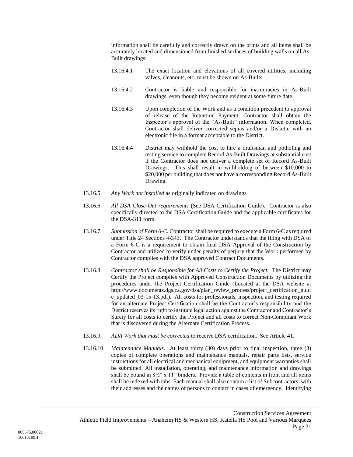information shall be carefully and correctly drawn on the prints and all items shall be accurately located and dimensioned from finished surfaces of building walls on all As-Built drawings:

- 13.16.4.1 The exact location and elevations of all covered utilities, including valves, cleanouts, etc. must be shown on As-Builts
- 13.16.4.2 Contractor is liable and responsible for inaccuracies in As-Built drawings, even though they become evident at some future date.
- 13.16.4.3 Upon completion of the Work and as a condition precedent to approval of release of the Retention Payment, Contractor shall obtain the Inspector's approval of the "As-Built" information. When completed, Contractor shall deliver corrected sepias and/or a Diskette with an electronic file in a format acceptable to the District.
- 13.16.4.4 District may withhold the cost to hire a draftsman and potholing and testing service to complete Record As-Built Drawings at substantial cost if the Contractor does not deliver a complete set of Record As-Built Drawings. This shall result in withholding of between \$10,000 to \$20,000 per building that does not have a corresponding Record As-Built Drawing.
- 13.16.5 *Any Work not installed* as originally indicated on drawings
- 13.16.6 *All DSA Close-Out requirements* (See DSA Certification Guide). Contractor is also specifically directed to the DSA Certification Guide and the applicable certificates for the DSA-311 form.
- 13.16.7 *Submission of Form 6-C.* Contractor shall be required to execute a Form 6-C as required under Title 24 Sections 4-343. The Contractor understands that the filing with DSA of a Form 6-C is a requirement to obtain final DSA Approval of the Construction by Contractor and utilized to verify under penalty of perjury that the Work performed by Contractor complies with the DSA approved Contract Documents.
- 13.16.8 *Contractor shall be Responsible for All Costs to Certify the Project.* The District may Certify the Project complies with Approved Construction Documents by utilizing the procedures under the Project Certification Guide (Located at the DSA website at http://www.documents.dgs.ca.gov/dsa/plan\_review\_process/project\_certification\_guid e\_updated\_03-15-13.pdf). All costs for professionals, inspection, and testing required for an alternate Project Certification shall be the Contractor's responsibility and the District reserves its right to institute legal action against the Contractor and Contractor's Surety for all costs to certify the Project and all costs to correct Non-Compliant Work that is discovered during the Alternate Certification Process.
- 13.16.9 *ADA Work that must be corrected* to receive DSA certification. See Article [41.](#page-83-0)
- 13.16.10 *Maintenance Manuals.* At least thirty (30) days prior to final inspection, three (3) copies of complete operations and maintenance manuals, repair parts lists, service instructions for all electrical and mechanical equipment, and equipment warranties shall be submitted. All installation, operating, and maintenance information and drawings shall be bound in  $8\frac{1}{2}$ " x 11" binders. Provide a table of contents in front and all items shall be indexed with tabs. Each manual shall also contain a list of Subcontractors, with their addresses and the names of persons to contact in cases of emergency. Identifying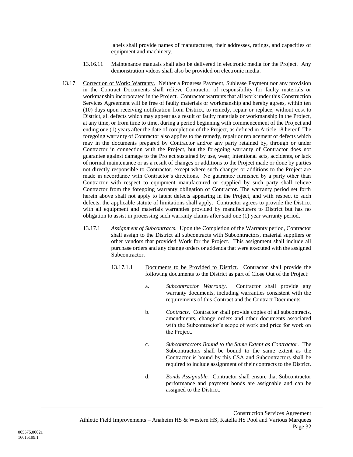labels shall provide names of manufactures, their addresses, ratings, and capacities of equipment and machinery.

- 13.16.11 Maintenance manuals shall also be delivered in electronic media for the Project. Any demonstration videos shall also be provided on electronic media.
- 13.17 Correction of Work: Warranty. Neither a Progress Payment, Sublease Payment nor any provision in the Contract Documents shall relieve Contractor of responsibility for faulty materials or workmanship incorporated in the Project. Contractor warrants that all work under this Construction Services Agreement will be free of faulty materials or workmanship and hereby agrees, within ten (10) days upon receiving notification from District, to remedy, repair or replace, without cost to District, all defects which may appear as a result of faulty materials or workmanship in the Project, at any time, or from time to time, during a period beginning with commencement of the Project and ending one (1) years after the date of completion of the Project, as defined in Articl[e 18](#page-48-1) hereof. The foregoing warranty of Contractor also applies to the remedy, repair or replacement of defects which may in the documents prepared by Contractor and/or any party retained by, through or under Contractor in connection with the Project, but the foregoing warranty of Contractor does not guarantee against damage to the Project sustained by use, wear, intentional acts, accidents, or lack of normal maintenance or as a result of changes or additions to the Project made or done by parties not directly responsible to Contractor, except where such changes or additions to the Project are made in accordance with Contractor's directions. No guarantee furnished by a party other than Contractor with respect to equipment manufactured or supplied by such party shall relieve Contractor from the foregoing warranty obligation of Contractor. The warranty period set forth herein above shall not apply to latent defects appearing in the Project, and with respect to such defects, the applicable statute of limitations shall apply. Contractor agrees to provide the District with all equipment and materials warranties provided by manufacturers to District but has no obligation to assist in processing such warranty claims after said one (1) year warranty period.
	- 13.17.1 *Assignment of Subcontracts.* Upon the Completion of the Warranty period, Contractor shall assign to the District all subcontracts with Subcontractors, material suppliers or other vendors that provided Work for the Project. This assignment shall include all purchase orders and any change orders or addenda that were executed with the assigned Subcontractor.
		- 13.17.1.1 Documents to be Provided to District. Contractor shall provide the following documents to the District as part of Close Out of the Project:
			- a. *Subcontractor Warranty*. Contractor shall provide any warranty documents, including warranties consistent with the requirements of this Contract and the Contract Documents.
			- b. *Contracts*. Contractor shall provide copies of all subcontracts, amendments, change orders and other documents associated with the Subcontractor's scope of work and price for work on the Project.
			- c. *Subcontractors Bound to the Same Extent as Contractor*. The Subcontractors shall be bound to the same extent as the Contractor is bound by this CSA and Subcontractors shall be required to include assignment of their contracts to the District.
			- d. *Bonds Assignable.* Contractor shall ensure that Subcontractor performance and payment bonds are assignable and can be assigned to the District.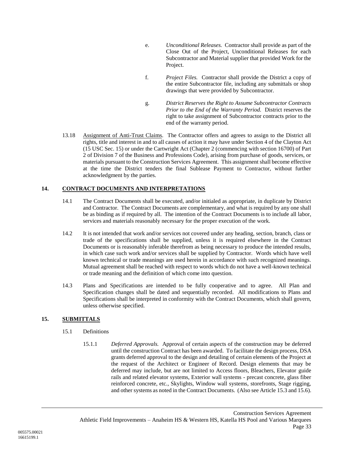- e. *Unconditional Releases.* Contractor shall provide as part of the Close Out of the Project, Unconditional Releases for each Subcontractor and Material supplier that provided Work for the Project.
- f. *Project Files.* Contractor shall provide the District a copy of the entire Subcontractor file, including any submittals or shop drawings that were provided by Subcontractor.
- g. *District Reserves the Right to Assume Subcontractor Contracts Prior to the End of the Warranty Period.* District reserves the right to take assignment of Subcontractor contracts prior to the end of the warranty period.
- 13.18 Assignment of Anti-Trust Claims. The Contractor offers and agrees to assign to the District all rights, title and interest in and to all causes of action it may have under Section 4 of the Clayton Act (15 USC Sec. 15) or under the Cartwright Act (Chapter 2 (commencing with section 16700) of Part 2 of Division 7 of the Business and Professions Code), arising from purchase of goods, services, or materials pursuant to the Construction Services Agreement. This assignment shall become effective at the time the District tenders the final Sublease Payment to Contractor, without further acknowledgment by the parties.

# <span id="page-35-0"></span>**14. CONTRACT DOCUMENTS AND INTERPRETATIONS**

- 14.1 The Contract Documents shall be executed, and/or initialed as appropriate, in duplicate by District and Contractor. The Contract Documents are complementary, and what is required by any one shall be as binding as if required by all. The intention of the Contract Documents is to include all labor, services and materials reasonably necessary for the proper execution of the work.
- 14.2 It is not intended that work and/or services not covered under any heading, section, branch, class or trade of the specifications shall be supplied, unless it is required elsewhere in the Contract Documents or is reasonably inferable therefrom as being necessary to produce the intended results, in which case such work and/or services shall be supplied by Contractor. Words which have well known technical or trade meanings are used herein in accordance with such recognized meanings. Mutual agreement shall be reached with respect to words which do not have a well-known technical or trade meaning and the definition of which come into question.
- 14.3 Plans and Specifications are intended to be fully cooperative and to agree. All Plan and Specification changes shall be dated and sequentially recorded. All modifications to Plans and Specifications shall be interpreted in conformity with the Contract Documents, which shall govern, unless otherwise specified.

### **15. SUBMITTALS**

- 15.1 Definitions
	- 15.1.1 *Deferred Approvals.* Approval of certain aspects of the construction may be deferred until the construction Contract has been awarded. To facilitate the design process, DSA grants deferred approval to the design and detailing of certain elements of the Project at the request of the Architect or Engineer of Record. Design elements that may be deferred may include, but are not limited to Access floors, Bleachers, Elevator guide rails and related elevator systems, Exterior wall systems - precast concrete, glass fiber reinforced concrete, etc., Skylights, Window wall systems, storefronts, Stage rigging, and other systems as noted in the Contract Documents. (Also see Article [15.3](#page-37-0) an[d 15.6\)](#page-39-0).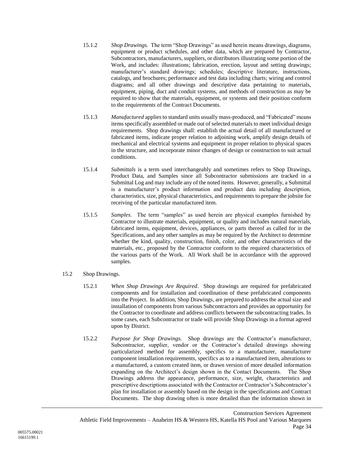- 15.1.2 *Shop Drawings.* The term "Shop Drawings" as used herein means drawings, diagrams, equipment or product schedules, and other data, which are prepared by Contractor, Subcontractors, manufacturers, suppliers, or distributors illustrating some portion of the Work, and includes: illustrations; fabrication, erection, layout and setting drawings; manufacturer's standard drawings; schedules; descriptive literature, instructions, catalogs, and brochures; performance and test data including charts; wiring and control diagrams; and all other drawings and descriptive data pertaining to materials, equipment, piping, duct and conduit systems, and methods of construction as may be required to show that the materials, equipment, or systems and their position conform to the requirements of the Contract Documents.
- 15.1.3 *Manufactured* applies to standard units usually mass-produced, and "Fabricated" means items specifically assembled or made out of selected materials to meet individual design requirements. Shop drawings shall: establish the actual detail of all manufactured or fabricated items, indicate proper relation to adjoining work, amplify design details of mechanical and electrical systems and equipment in proper relation to physical spaces in the structure, and incorporate minor changes of design or construction to suit actual conditions.
- 15.1.4 *Submittals* is a term used interchangeably and sometimes refers to Shop Drawings, Product Data, and Samples since all Subcontractor submissions are tracked in a Submittal Log and may include any of the noted items. However, generally, a Submittal is a manufacturer's product information and product data including description, characteristics, size, physical characteristics, and requirements to prepare the jobsite for receiving of the particular manufactured item.
- 15.1.5 *Samples*. The term "samples" as used herein are physical examples furnished by Contractor to illustrate materials, equipment, or quality and includes natural materials, fabricated items, equipment, devices, appliances, or parts thereof as called for in the Specifications, and any other samples as may be required by the Architect to determine whether the kind, quality, construction, finish, color, and other characteristics of the materials, etc., proposed by the Contractor conform to the required characteristics of the various parts of the Work. All Work shall be in accordance with the approved samples.
- 15.2 Shop Drawings.
	- 15.2.1 *When Shop Drawings Are Required*. Shop drawings are required for prefabricated components and for installation and coordination of these prefabricated components into the Project. In addition, Shop Drawings, are prepared to address the actual size and installation of components from various Subcontractors and provides an opportunity for the Contractor to coordinate and address conflicts between the subcontracting trades. In some cases, each Subcontractor or trade will provide Shop Drawings in a format agreed upon by District.
	- 15.2.2 *Purpose for Shop Drawings.* Shop drawings are the Contractor's manufacturer, Subcontractor, supplier, vendor or the Contractor's detailed drawings showing particularized method for assembly, specifics to a manufacturer, manufacturer component installation requirements, specifics as to a manufactured item, alterations to a manufactured, a custom created item, or drawn version of more detailed information expanding on the Architect's design shown in the Contact Documents. The Shop Drawings address the appearance, performance, size, weight, characteristics and prescriptive descriptions associated with the Contractor or Contractor's Subcontractor's plan for installation or assembly based on the design in the specifications and Contract Documents. The shop drawing often is more detailed than the information shown in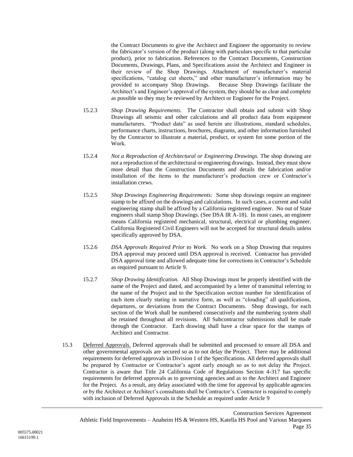the Contract Documents to give the Architect and Engineer the opportunity to review the fabricator's version of the product (along with particulars specific to that particular product), prior to fabrication. References to the Contract Documents, Construction Documents, Drawings, Plans, and Specifications assist the Architect and Engineer in their review of the Shop Drawings. Attachment of manufacturer's material specifications, "catalog cut sheets," and other manufacturer's information may be provided to accompany Shop Drawings. Because Shop Drawings facilitate the Architect's and Engineer's approval of the system, they should be as clear and complete as possible so they may be reviewed by Architect or Engineer for the Project.

- 15.2.3 *Shop Drawing Requirements.* The Contractor shall obtain and submit with Shop Drawings all seismic and other calculations and all product data from equipment manufacturers. "Product data" as used herein are illustrations, standard schedules, performance charts, instructions, brochures, diagrams, and other information furnished by the Contractor to illustrate a material, product, or system for some portion of the Work.
- 15.2.4 *Not a Reproduction of Architectural or Engineering Drawings.* The shop drawing are not a reproduction of the architectural or engineering drawings. Instead, they must show more detail than the Construction Documents and details the fabrication and/or installation of the items to the manufacturer's production crew or Contractor's installation crews.
- 15.2.5 *Shop Drawings Engineering Requirements:* Some shop drawings require an engineer stamp to be affixed on the drawings and calculations. In such cases, a current and valid engineering stamp shall be affixed by a California registered engineer. No out of State engineers shall stamp Shop Drawings. (See DSA IR A-18). In most cases, an engineer means California registered mechanical, structural, electrical or plumbing engineer. California Registered Civil Engineers will not be accepted for structural details unless specifically approved by DSA.
- 15.2.6 *DSA Approvals Required Prior to Work.* No work on a Shop Drawing that requires DSA approval may proceed until DSA approval is received. Contractor has provided DSA approval time and allowed adequate time for corrections in Contractor's Schedule as required pursuant to Article [9.](#page-20-0)
- 15.2.7 *Shop Drawing Identification.* All Shop Drawings must be properly identified with the name of the Project and dated, and accompanied by a letter of transmittal referring to the name of the Project and to the Specification section number for identification of each item clearly stating in narrative form, as well as "clouding" all qualifications, departures, or deviations from the Contract Documents. Shop drawings, for each section of the Work shall be numbered consecutively and the numbering system shall be retained throughout all revisions. All Subcontractor submissions shall be made through the Contractor. Each drawing shall have a clear space for the stamps of Architect and Contractor.
- 15.3 Deferred Approvals. Deferred approvals shall be submitted and processed to ensure all DSA and other governmental approvals are secured so as to not delay the Project. There may be additional requirements for deferred approvals in Division 1 of the Specifications. All deferred approvals shall be prepared by Contractor or Contractor's agent early enough so as to not delay the Project. Contractor is aware that Title 24 California Code of Regulations Section 4-317 has specific requirements for deferred approvals as to governing agencies and as to the Architect and Engineer for the Project. As a result, any delay associated with the time for approval by applicable agencies or by the Architect or Architect's consultants shall be Contractor's. Contractor is required to comply with inclusion of Deferred Approvals in the Schedule as required under Article [9](#page-20-0)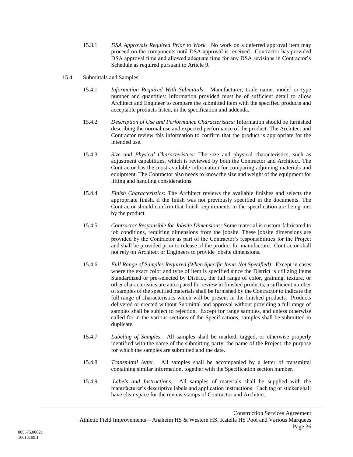- 15.3.1 *DSA Approvals Required Prior to Work.* No work on a deferred approval item may proceed on the components until DSA approval is received. Contractor has provided DSA approval time and allowed adequate time for any DSA revisions in Contractor's Schedule as required pursuant to Article [9.](#page-20-0)
- 15.4 Submittals and Samples
	- 15.4.1 *Information Required With Submittals*: Manufacturer, trade name, model or type number and quantities: Information provided must be of sufficient detail to allow Architect and Engineer to compare the submitted item with the specified products and acceptable products listed, in the specification and addenda.
	- 15.4.2 *Description of Use and Performance Characteristics:* Information should be furnished describing the normal use and expected performance of the product. The Architect and Contractor review this information to confirm that the product is appropriate for the intended use.
	- 15.4.3 *Size and Physical Characteristics:* The size and physical characteristics, such as adjustment capabilities, which is reviewed by both the Contractor and Architect. The Contractor has the most available information for comparing adjoining materials and equipment. The Contractor also needs to know the size and weight of the equipment for lifting and handling considerations.
	- 15.4.4 *Finish Characteristics:* The Architect reviews the available finishes and selects the appropriate finish, if the finish was not previously specified in the documents. The Contractor should confirm that finish requirements in the specification are being met by the product.
	- 15.4.5 *Contractor Responsible for Jobsite Dimensions*: Some material is custom-fabricated to job conditions, requiring dimensions from the jobsite. These jobsite dimensions are provided by the Contractor as part of the Contractor's responsibilities for the Project and shall be provided prior to release of the product for manufacture. Contractor shall not rely on Architect or Engineers to provide jobsite dimensions.
	- 15.4.6 *Full Range of Samples Required (When Specific Items Not Specified).* Except in cases where the exact color and type of item is specified since the District is utilizing items Standardized or pre-selected by District, the full range of color, graining, texture, or other characteristics are anticipated for review in finished products, a sufficient number of samples of the specified materials shall be furnished by the Contractor to indicate the full range of characteristics which will be present in the finished products. Products delivered or erected without Submittal and approval without providing a full range of samples shall be subject to rejection. Except for range samples, and unless otherwise called for in the various sections of the Specifications, samples shall be submitted in duplicate.
	- 15.4.7 *Labeling of Samples.* All samples shall be marked, tagged, or otherwise properly identified with the name of the submitting party, the name of the Project, the purpose for which the samples are submitted and the date.
	- 15.4.8 *Transmittal letter.* All samples shall be accompanied by a letter of transmittal containing similar information, together with the Specification section number.
	- 15.4.9 *Labels and Instructions*. All samples of materials shall be supplied with the manufacturer's descriptive labels and application instructions. Each tag or sticker shall have clear space for the review stamps of Contractor and Architect.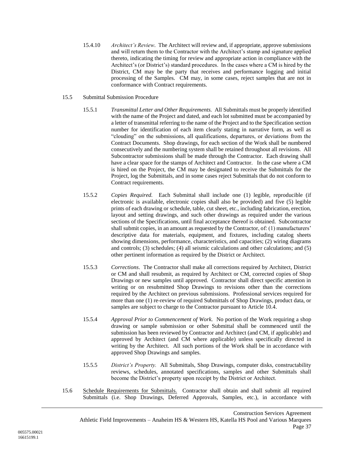15.4.10 *Architect's Review.* The Architect will review and, if appropriate, approve submissions and will return them to the Contractor with the Architect's stamp and signature applied thereto, indicating the timing for review and appropriate action in compliance with the Architect's (or District's) standard procedures. In the cases where a CM is hired by the District, CM may be the party that receives and performance logging and initial processing of the Samples. CM may, in some cases, reject samples that are not in conformance with Contract requirements.

### 15.5 Submittal Submission Procedure

- 15.5.1 *Transmittal Letter and Other Requirements.* All Submittals must be properly identified with the name of the Project and dated, and each lot submitted must be accompanied by a letter of transmittal referring to the name of the Project and to the Specification section number for identification of each item clearly stating in narrative form, as well as "clouding" on the submissions, all qualifications, departures, or deviations from the Contract Documents. Shop drawings, for each section of the Work shall be numbered consecutively and the numbering system shall be retained throughout all revisions. All Subcontractor submissions shall be made through the Contractor. Each drawing shall have a clear space for the stamps of Architect and Contractor. In the case where a CM is hired on the Project, the CM may be designated to receive the Submittals for the Project, log the Submittals, and in some cases reject Submittals that do not conform to Contract requirements.
- 15.5.2 *Copies Required.* Each Submittal shall include one (1) legible, reproducible (if electronic is available, electronic copies shall also be provided) and five (5) legible prints of each drawing or schedule, table, cut sheet, etc., including fabrication, erection, layout and setting drawings, and such other drawings as required under the various sections of the Specifications, until final acceptance thereof is obtained. Subcontractor shall submit copies, in an amount as requested by the Contractor, of: (1) manufacturers' descriptive data for materials, equipment, and fixtures, including catalog sheets showing dimensions, performance, characteristics, and capacities; (2) wiring diagrams and controls; (3) schedules; (4) all seismic calculations and other calculations; and (5) other pertinent information as required by the District or Architect.
- 15.5.3 *Corrections*. The Contractor shall make all corrections required by Architect, District or CM and shall resubmit, as required by Architect or CM, corrected copies of Shop Drawings or new samples until approved. Contractor shall direct specific attention in writing or on resubmitted Shop Drawings to revisions other than the corrections required by the Architect on previous submissions. Professional services required for more than one (1) re-review of required Submittals of Shop Drawings, product data, or samples are subject to charge to the Contractor pursuant to Article [10.4.](#page-24-0)
- 15.5.4 *Approval Prior to Commencement of Work.* No portion of the Work requiring a shop drawing or sample submission or other Submittal shall be commenced until the submission has been reviewed by Contractor and Architect (and CM, if applicable) and approved by Architect (and CM where applicable) unless specifically directed in writing by the Architect. All such portions of the Work shall be in accordance with approved Shop Drawings and samples.
- 15.5.5 *District's Property.* All Submittals, Shop Drawings, computer disks, constructability reviews, schedules, annotated specifications, samples and other Submittals shall become the District's property upon receipt by the District or Architect.
- <span id="page-39-0"></span>15.6 Schedule Requirements for Submittals. Contractor shall obtain and shall submit all required Submittals (i.e. Shop Drawings, Deferred Approvals, Samples, etc.), in accordance with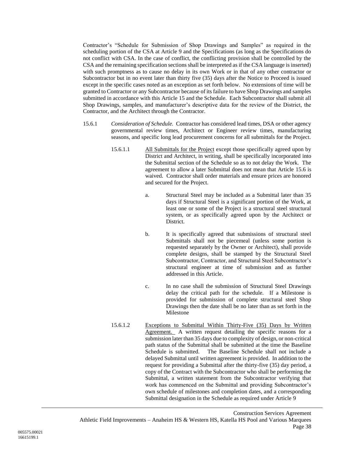Contractor's "Schedule for Submission of Shop Drawings and Samples" as required in the scheduling portion of the CSA at Article [9](#page-20-0) and the Specifications (as long as the Specifications do not conflict with CSA. In the case of conflict, the conflicting provision shall be controlled by the CSA and the remaining specification sections shall be interpreted as if the CSA language is inserted) with such promptness as to cause no delay in its own Work or in that of any other contractor or Subcontractor but in no event later than thirty five (35) days after the Notice to Proceed is issued except in the specific cases noted as an exception as set forth below. No extensions of time will be granted to Contractor or any Subcontractor because of its failure to have Shop Drawings and samples submitted in accordance with this Article [15](#page-35-0) and the Schedule. Each Subcontractor shall submit all Shop Drawings, samples, and manufacturer's descriptive data for the review of the District, the Contractor, and the Architect through the Contractor.

- 15.6.1 *Consideration of Schedule.* Contractor has considered lead times, DSA or other agency governmental review times, Architect or Engineer review times, manufacturing seasons, and specific long lead procurement concerns for all submittals for the Project.
	- 15.6.1.1 All Submittals for the Project except those specifically agreed upon by District and Architect, in writing, shall be specifically incorporated into the Submittal section of the Schedule so as to not delay the Work. The agreement to allow a later Submittal does not mean that Article [15.6](#page-39-0) is waived. Contractor shall order materials and ensure prices are honored and secured for the Project.
		- a. Structural Steel may be included as a Submittal later than 35 days if Structural Steel is a significant portion of the Work, at least one or some of the Project is a structural steel structural system, or as specifically agreed upon by the Architect or District.
		- b. It is specifically agreed that submissions of structural steel Submittals shall not be piecemeal (unless some portion is requested separately by the Owner or Architect), shall provide complete designs, shall be stamped by the Structural Steel Subcontractor, Contractor, and Structural Steel Subcontractor's structural engineer at time of submission and as further addressed in this Article.
		- c. In no case shall the submission of Structural Steel Drawings delay the critical path for the schedule. If a Milestone is provided for submission of complete structural steel Shop Drawings then the date shall be no later than as set forth in the Milestone
	- 15.6.1.2 Exceptions to Submittal Within Thirty-Five (35) Days by Written Agreement. A written request detailing the specific reasons for a submission later than 35 days due to complexity of design, or non-critical path status of the Submittal shall be submitted at the time the Baseline Schedule is submitted. The Baseline Schedule shall not include a delayed Submittal until written agreement is provided. In addition to the request for providing a Submittal after the thirty-five (35) day period, a copy of the Contract with the Subcontractor who shall be performing the Submittal, a written statement from the Subcontractor verifying that work has commenced on the Submittal and providing Subcontractor's own schedule of milestones and completion dates, and a corresponding Submittal designation in the Schedule as required under Article [9](#page-20-0)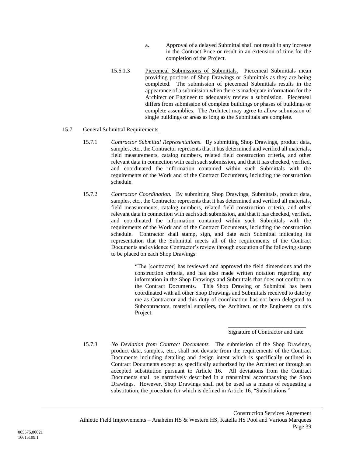- a. Approval of a delayed Submittal shall not result in any increase in the Contract Price or result in an extension of time for the completion of the Project.
- 15.6.1.3 Piecemeal Submissions of Submittals. Piecemeal Submittals mean providing portions of Shop Drawings or Submittals as they are being completed. The submission of piecemeal Submittals results in the appearance of a submission when there is inadequate information for the Architect or Engineer to adequately review a submission. Piecemeal differs from submission of complete buildings or phases of buildings or complete assemblies. The Architect may agree to allow submission of single buildings or areas as long as the Submittals are complete.

### 15.7 General Submittal Requirements

- 15.7.1 *Contractor Submittal Representations*. By submitting Shop Drawings, product data, samples, etc., the Contractor represents that it has determined and verified all materials, field measurements, catalog numbers, related field construction criteria, and other relevant data in connection with each such submission, and that it has checked, verified, and coordinated the information contained within such Submittals with the requirements of the Work and of the Contract Documents, including the construction schedule.
- 15.7.2 *Contractor Coordination.* By submitting Shop Drawings, Submittals, product data, samples, etc., the Contractor represents that it has determined and verified all materials, field measurements, catalog numbers, related field construction criteria, and other relevant data in connection with each such submission, and that it has checked, verified, and coordinated the information contained within such Submittals with the requirements of the Work and of the Contract Documents, including the construction schedule. Contractor shall stamp, sign, and date each Submittal indicating its representation that the Submittal meets all of the requirements of the Contract Documents and evidence Contractor's review through execution of the following stamp to be placed on each Shop Drawings:

"The [contractor] has reviewed and approved the field dimensions and the construction criteria, and has also made written notation regarding any information in the Shop Drawings and Submittals that does not conform to the Contract Documents. This Shop Drawing or Submittal has been coordinated with all other Shop Drawings and Submittals received to date by me as Contractor and this duty of coordination has not been delegated to Subcontractors, material suppliers, the Architect, or the Engineers on this Project.

#### \_\_\_\_\_\_\_\_\_\_\_\_\_\_\_\_\_\_\_\_\_\_\_\_\_\_\_ Signature of Contractor and date

15.7.3 *No Deviation from Contract Documents.* The submission of the Shop Drawings, product data, samples, etc., shall not deviate from the requirements of the Contract Documents including detailing and design intent which is specifically outlined in Contract Documents except as specifically authorized by the Architect or through an accepted substitution pursuant to Article [16.](#page-42-0) All deviations from the Contract Documents shall be narratively described in a transmittal accompanying the Shop Drawings. However, Shop Drawings shall not be used as a means of requesting a substitution, the procedure for which is defined in Article [16,](#page-42-0) "Substitutions."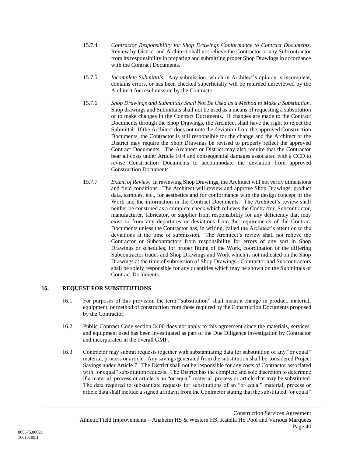- 15.7.4 *Contractor Responsibility for Shop Drawings Conformance to Contract Documents.*  Review by District and Architect shall not relieve the Contractor or any Subcontractor from its responsibility in preparing and submitting proper Shop Drawings in accordance with the Contract Documents.
- 15.7.5 *Incomplete Submittals.* Any submission, which in Architect's opinion is incomplete, contains errors, or has been checked superficially will be returned unreviewed by the Architect for resubmission by the Contractor.
- 15.7.6 *Shop Drawings and Submittals Shall Not Be Used as a Method to Make a Substitution.*  Shop drawings and Submittals shall not be used as a means of requesting a substitution or to make changes in the Contract Documents. If changes are made to the Contract Documents through the Shop Drawings, the Architect shall have the right to reject the Submittal. If the Architect does not note the deviation from the approved Construction Documents, the Contractor is still responsible for the change and the Architect or the District may require the Shop Drawings be revised to properly reflect the approved Contract Documents. The Architect or District may also require that the Contractor bear all costs under Article [10.4](#page-24-0) and consequential damages associated with a CCD to revise Construction Documents to accommodate the deviation from approved Construction Documents.
- 15.7.7 *Extent of Review.* In reviewing Shop Drawings, the Architect will not verify dimensions and field conditions. The Architect will review and approve Shop Drawings, product data, samples, etc., for aesthetics and for conformance with the design concept of the Work and the information in the Contract Documents. The Architect's review shall neither be construed as a complete check which relieves the Contractor, Subcontractor, manufacturer, fabricator, or supplier from responsibility for any deficiency that may exist or from any departures or deviations from the requirements of the Contract Documents unless the Contractor has, in writing, called the Architect's attention to the deviations at the time of submission. The Architect's review shall not relieve the Contractor or Subcontractors from responsibility for errors of any sort in Shop Drawings or schedules, for proper fitting of the Work, coordination of the differing Subcontractor trades and Shop Drawings and Work which is not indicated on the Shop Drawings at the time of submission of Shop Drawings. Contractor and Subcontractors shall be solely responsible for any quantities which may be shown on the Submittals or Contract Documents.

## <span id="page-42-0"></span>**16. REQUEST FOR SUBSTITUTIONS**

- 16.1 For purposes of this provision the term "substitution" shall mean a change in product, material, equipment, or method of construction from those required by the Construction Documents proposed by the Contractor.
- 16.2 Public Contract Code section 3400 does not apply to this agreement since the materials, services, and equipment used has been investigated as part of the Due Diligence investigation by Contractor and incorporated in the overall GMP.
- 16.3 Contractor may submit requests together with substantiating data for substitution of any "or equal" material, process or article. Any savings generated from the substitution shall be considered Project Savings under Article [7.](#page-18-0) The District shall not be responsible for any costs of Contractor associated with "or equal" substitution requests. The District has the complete and sole discretion to determine if a material, process or article is an "or equal" material, process or article that may be substituted. The data required to substantiate requests for substitutions of an "or equal" material, process or article data shall include a signed affidavit from the Contractor stating that the substituted "or equal"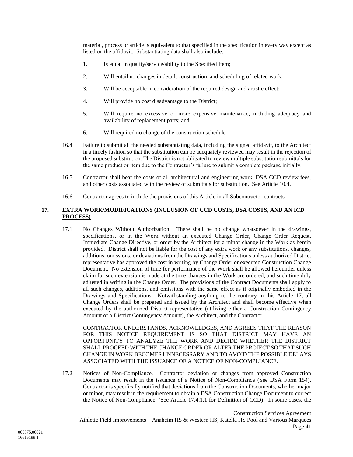material, process or article is equivalent to that specified in the specification in every way except as listed on the affidavit. Substantiating data shall also include:

- 1. Is equal in quality/service/ability to the Specified Item;
- 2. Will entail no changes in detail, construction, and scheduling of related work;
- 3. Will be acceptable in consideration of the required design and artistic effect;
- 4. Will provide no cost disadvantage to the District;
- 5. Will require no excessive or more expensive maintenance, including adequacy and availability of replacement parts; and
- 6. Will required no change of the construction schedule
- 16.4 Failure to submit all the needed substantiating data, including the signed affidavit, to the Architect in a timely fashion so that the substitution can be adequately reviewed may result in the rejection of the proposed substitution. The District is not obligated to review multiple substitution submittals for the same product or item due to the Contractor's failure to submit a complete package initially.
- 16.5 Contractor shall bear the costs of all architectural and engineering work, DSA CCD review fees, and other costs associated with the review of submittals for substitution. See Article [10.4.](#page-24-0)
- 16.6 Contractor agrees to include the provisions of this Article in all Subcontractor contracts.

### <span id="page-43-0"></span>**17. EXTRA WORK/MODIFICATIONS (INCLUSION OF CCD COSTS, DSA COSTS, AND AN ICD PROCESS)**

17.1 No Changes Without Authorization. There shall be no change whatsoever in the drawings, specifications, or in the Work without an executed Change Order, Change Order Request, Immediate Change Directive, or order by the Architect for a minor change in the Work as herein provided. District shall not be liable for the cost of any extra work or any substitutions, changes, additions, omissions, or deviations from the Drawings and Specifications unless authorized District representative has approved the cost in writing by Change Order or executed Construction Change Document. No extension of time for performance of the Work shall be allowed hereunder unless claim for such extension is made at the time changes in the Work are ordered, and such time duly adjusted in writing in the Change Order. The provisions of the Contract Documents shall apply to all such changes, additions, and omissions with the same effect as if originally embodied in the Drawings and Specifications. Notwithstanding anything to the contrary in this Article [17,](#page-43-0) all Change Orders shall be prepared and issued by the Architect and shall become effective when executed by the authorized District representative (utilizing either a Construction Contingency Amount or a District Contingency Amount), the Architect, and the Contractor.

CONTRACTOR UNDERSTANDS, ACKNOWLEDGES, AND AGREES THAT THE REASON FOR THIS NOTICE REQUIREMENT IS SO THAT DISTRICT MAY HAVE AN OPPORTUNITY TO ANALYZE THE WORK AND DECIDE WHETHER THE DISTRICT SHALL PROCEED WITH THE CHANGE ORDER OR ALTER THE PROJECT SO THAT SUCH CHANGE IN WORK BECOMES UNNECESSARY AND TO AVOID THE POSSIBLE DELAYS ASSOCIATED WITH THE ISSUANCE OF A NOTICE OF NON-COMPLIANCE.

17.2 Notices of Non-Compliance. Contractor deviation or changes from approved Construction Documents may result in the issuance of a Notice of Non-Compliance (See DSA Form 154). Contractor is specifically notified that deviations from the Construction Documents, whether major or minor, may result in the requirement to obtain a DSA Construction Change Document to correct the Notice of Non-Compliance. (See Article [17.4.1.1](#page-44-0) for Definition of CCD). In some cases, the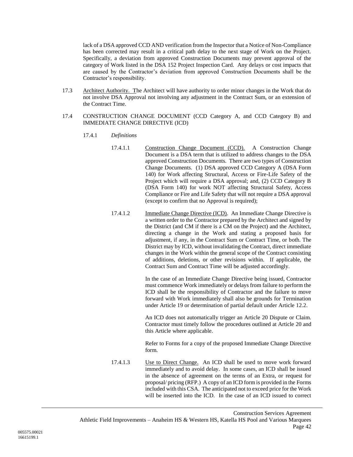lack of a DSA approved CCD AND verification from the Inspector that a Notice of Non-Compliance has been corrected may result in a critical path delay to the next stage of Work on the Project. Specifically, a deviation from approved Construction Documents may prevent approval of the category of Work listed in the DSA 152 Project Inspection Card. Any delays or cost impacts that are caused by the Contractor's deviation from approved Construction Documents shall be the Contractor's responsibility.

- 17.3 Architect Authority. The Architect will have authority to order minor changes in the Work that do not involve DSA Approval not involving any adjustment in the Contract Sum, or an extension of the Contract Time.
- <span id="page-44-0"></span>17.4 CONSTRUCTION CHANGE DOCUMENT (CCD Category A, and CCD Category B) and IMMEDIATE CHANGE DIRECTIVE (ICD)
	- 17.4.1 *Definitions*
		- 17.4.1.1 Construction Change Document (CCD). A Construction Change Document is a DSA term that is utilized to address changes to the DSA approved Construction Documents. There are two types of Construction Change Documents. (1) DSA approved CCD Category A (DSA Form 140) for Work affecting Structural, Access or Fire-Life Safety of the Project which will require a DSA approval; and, (2) CCD Category B (DSA Form 140) for work NOT affecting Structural Safety, Access Compliance or Fire and Life Safety that will not require a DSA approval (except to confirm that no Approval is required);
		- 17.4.1.2 Immediate Change Directive (ICD). An Immediate Change Directive is a written order to the Contractor prepared by the Architect and signed by the District (and CM if there is a CM on the Project) and the Architect, directing a change in the Work and stating a proposed basis for adjustment, if any, in the Contract Sum or Contract Time, or both. The District may by ICD, without invalidating the Contract, direct immediate changes in the Work within the general scope of the Contract consisting of additions, deletions, or other revisions within. If applicable, the Contract Sum and Contract Time will be adjusted accordingly.

In the case of an Immediate Change Directive being issued, Contractor must commence Work immediately or delays from failure to perform the ICD shall be the responsibility of Contractor and the failure to move forward with Work immediately shall also be grounds for Termination under Article [19](#page-50-0) or determination of partial default under Article [12.2.](#page-25-0)

An ICD does not automatically trigger an Article [20](#page-53-0) Dispute or Claim. Contractor must timely follow the procedures outlined at Article [20](#page-53-0) and this Article where applicable.

Refer to Forms for a copy of the proposed Immediate Change Directive form.

17.4.1.3 Use to Direct Change.An ICD shall be used to move work forward immediately and to avoid delay. In some cases, an ICD shall be issued in the absence of agreement on the terms of an Extra, or request for proposal/ pricing (RFP.) A copy of an ICD form is provided in the Forms included with this CSA. The anticipated not to exceed price for the Work will be inserted into the ICD. In the case of an ICD issued to correct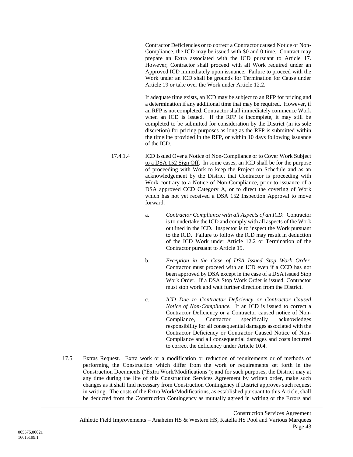Contractor Deficiencies or to correct a Contractor caused Notice of Non-Compliance, the ICD may be issued with \$0 and 0 time. Contract may prepare an Extra associated with the ICD pursuant to Article [17.](#page-43-0) However, Contractor shall proceed with all Work required under an Approved ICD immediately upon issuance. Failure to proceed with the Work under an ICD shall be grounds for Termination for Cause under Article 19 or take over the Work under Article [12.2.](#page-25-0)

If adequate time exists, an ICD may be subject to an RFP for pricing and a determination if any additional time that may be required. However, if an RFP is not completed, Contractor shall immediately commence Work when an ICD is issued. If the RFP is incomplete, it may still be completed to be submitted for consideration by the District (in its sole discretion) for pricing purposes as long as the RFP is submitted within the timeline provided in the RFP, or within 10 days following issuance of the ICD.

- 17.4.1.4 ICD Issued Over a Notice of Non-Compliance or to Cover Work Subject to a DSA 152 Sign Off. In some cases, an ICD shall be for the purpose of proceeding with Work to keep the Project on Schedule and as an acknowledgement by the District that Contractor is proceeding with Work contrary to a Notice of Non-Compliance, prior to issuance of a DSA approved CCD Category A, or to direct the covering of Work which has not yet received a DSA 152 Inspection Approval to move forward.
	- a. *Contractor Compliance with all Aspects of an ICD.* Contractor is to undertake the ICD and comply with all aspects of the Work outlined in the ICD. Inspector is to inspect the Work pursuant to the ICD. Failure to follow the ICD may result in deduction of the ICD Work under Article [12.2](#page-25-0) or Termination of the Contractor pursuant to Articl[e 19.](#page-50-0)
	- b. *Exception in the Case of DSA Issued Stop Work Order.*  Contractor must proceed with an ICD even if a CCD has not been approved by DSA except in the case of a DSA issued Stop Work Order. If a DSA Stop Work Order is issued, Contractor must stop work and wait further direction from the District.
	- c. *ICD Due to Contractor Deficiency or Contractor Caused Notice of Non-Compliance.* If an ICD is issued to correct a Contractor Deficiency or a Contractor caused notice of Non-Compliance, Contractor specifically acknowledges responsibility for all consequential damages associated with the Contractor Deficiency or Contractor Caused Notice of Non-Compliance and all consequential damages and costs incurred to correct the deficiency under Article [10.4.](#page-24-0)
- 17.5 Extras Request. Extra work or a modification or reduction of requirements or of methods of performing the Construction which differ from the work or requirements set forth in the Construction Documents ("Extra Work/Modifications"); and for such purposes, the District may at any time during the life of this Construction Services Agreement by written order, make such changes as it shall find necessary from Construction Contingency if District approves such request in writing. The costs of the Extra Work/Modifications, as established pursuant to this Article, shall be deducted from the Construction Contingency as mutually agreed in writing or the Errors and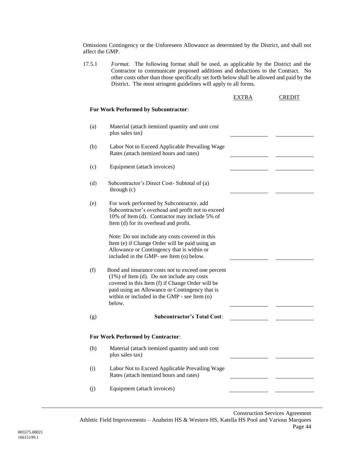Omissions Contingency or the Unforeseen Allowance as determined by the District, and shall not affect the GMP.

17.5.1 *Format*. The following format shall be used, as applicable by the District and the Contractor to communicate proposed additions and deductions to the Contract. No other costs other than those specifically set forth below shall be allowed and paid by the District. The most stringent guidelines will apply to all forms.

|     |                                                                                                                                                                                                                                                                     | EXTRA | <b>CREDIT</b> |
|-----|---------------------------------------------------------------------------------------------------------------------------------------------------------------------------------------------------------------------------------------------------------------------|-------|---------------|
|     | For Work Performed by Subcontractor:                                                                                                                                                                                                                                |       |               |
| (a) | Material (attach itemized quantity and unit cost<br>plus sales tax)                                                                                                                                                                                                 |       |               |
| (b) | Labor Not to Exceed Applicable Prevailing Wage<br>Rates (attach itemized hours and rates)                                                                                                                                                                           |       |               |
| (c) | Equipment (attach invoices)                                                                                                                                                                                                                                         |       |               |
| (d) | Subcontractor's Direct Cost- Subtotal of (a)<br>through $(c)$                                                                                                                                                                                                       |       |               |
| (e) | For work performed by Subcontractor, add<br>Subcontractor's overhead and profit not to exceed<br>10% of Item (d). Contractor may include 5% of<br>Item (d) for its overhead and profit.                                                                             |       |               |
|     | Note: Do not include any costs covered in this<br>Item (e) if Change Order will be paid using an<br>Allowance or Contingency that is within or<br>included in the GMP- see Item (o) below.                                                                          |       |               |
| (f) | Bond and insurance costs not to exceed one percent<br>$(1\%)$ of Item (d). Do not include any costs<br>covered in this Item (f) if Change Order will be<br>paid using an Allowance or Contingency that is<br>within or included in the GMP - see Item (o)<br>below. |       |               |
| (g) | <b>Subcontractor's Total Cost:</b>                                                                                                                                                                                                                                  |       |               |
|     | For Work Performed by Contractor:                                                                                                                                                                                                                                   |       |               |
| (h) | Material (attach itemized quantity and unit cost<br>plus sales tax)                                                                                                                                                                                                 |       |               |
| (i) | Labor Not to Exceed Applicable Prevailing Wage<br>Rates (attach itemized hours and rates)                                                                                                                                                                           |       |               |
| (j) | Equipment (attach invoices)                                                                                                                                                                                                                                         |       |               |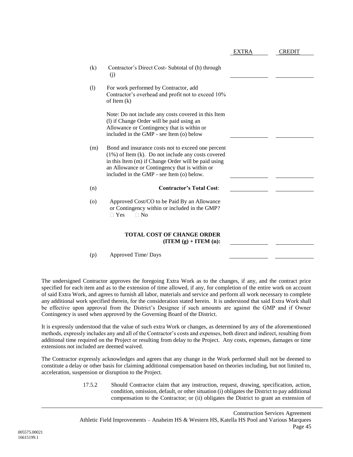|         |                                                                                                                                                                                                                                                                  | EXTRA | <b>CREDIT</b> |
|---------|------------------------------------------------------------------------------------------------------------------------------------------------------------------------------------------------------------------------------------------------------------------|-------|---------------|
| (k)     | Contractor's Direct Cost-Subtotal of (h) through<br>(j)                                                                                                                                                                                                          |       |               |
| (1)     | For work performed by Contractor, add<br>Contractor's overhead and profit not to exceed 10%<br>of Item $(k)$                                                                                                                                                     |       |               |
|         | Note: Do not include any costs covered in this Item<br>(1) if Change Order will be paid using an<br>Allowance or Contingency that is within or<br>included in the GMP - see Item (o) below                                                                       |       |               |
| (m)     | Bond and insurance costs not to exceed one percent<br>$(1\%)$ of Item (k). Do not include any costs covered<br>in this Item (m) if Change Order will be paid using<br>an Allowance or Contingency that is within or<br>included in the GMP - see Item (o) below. |       |               |
| (n)     | <b>Contractor's Total Cost:</b>                                                                                                                                                                                                                                  |       |               |
| $\circ$ | Approved Cost/CO to be Paid By an Allowance<br>or Contingency within or included in the GMP?<br>$\Box$ Yes<br>$\Box$ No                                                                                                                                          |       |               |
|         | <b>TOTAL COST OF CHANGE ORDER</b><br>$(ITEM(g) + ITEM(n))$ :                                                                                                                                                                                                     |       |               |
| (p)     | Approved Time/Days                                                                                                                                                                                                                                               |       |               |

The undersigned Contractor approves the foregoing Extra Work as to the changes, if any, and the contract price specified for each item and as to the extension of time allowed, if any, for completion of the entire work on account of said Extra Work, and agrees to furnish all labor, materials and service and perform all work necessary to complete any additional work specified therein, for the consideration stated herein. It is understood that said Extra Work shall be effective upon approval from the District's Designee if such amounts are against the GMP and if Owner Contingency is used when approved by the Governing Board of the District.

It is expressly understood that the value of such extra Work or changes, as determined by any of the aforementioned methods, expressly includes any and all of the Contractor's costs and expenses, both direct and indirect, resulting from additional time required on the Project or resulting from delay to the Project. Any costs, expenses, damages or time extensions not included are deemed waived.

<span id="page-47-0"></span>The Contractor expressly acknowledges and agrees that any change in the Work performed shall not be deemed to constitute a delay or other basis for claiming additional compensation based on theories including, but not limited to, acceleration, suspension or disruption to the Project.

> 17.5.2 Should Contractor claim that any instruction, request, drawing, specification, action, condition, omission, default, or other situation (i) obligates the District to pay additional compensation to the Contractor; or (ii) obligates the District to grant an extension of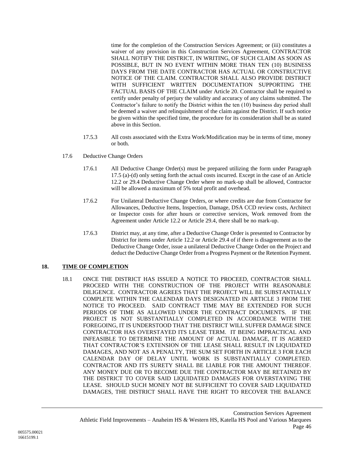time for the completion of the Construction Services Agreement; or (iii) constitutes a waiver of any provision in this Construction Services Agreement, CONTRACTOR SHALL NOTIFY THE DISTRICT, IN WRITING, OF SUCH CLAIM AS SOON AS POSSIBLE, BUT IN NO EVENT WITHIN MORE THAN TEN (10) BUSINESS DAYS FROM THE DATE CONTRACTOR HAS ACTUAL OR CONSTRUCTIVE NOTICE OF THE CLAIM. CONTRACTOR SHALL ALSO PROVIDE DISTRICT WITH SUFFICIENT WRITTEN DOCUMENTATION SUPPORTING THE FACTUAL BASIS OF THE CLAIM under Article 20. Contractor shall be required to certify under penalty of perjury the validity and accuracy of any claims submitted. The Contractor's failure to notify the District within the ten (10) business day period shall be deemed a waiver and relinquishment of the claim against the District. If such notice be given within the specified time, the procedure for its consideration shall be as stated above in this Section.

- 17.5.3 All costs associated with the Extra Work/Modification may be in terms of time, money or both.
- 17.6 Deductive Change Orders
	- 17.6.1 All Deductive Change Order(s) must be prepared utilizing the form under Paragraph 17.5 (a)-(d) only setting forth the actual costs incurred. Except in the case of an Article [12.2](#page-25-0) or [29.4](#page-74-0) Deductive Change Order where no mark-up shall be allowed, Contractor will be allowed a maximum of 5% total profit and overhead.
	- 17.6.2 For Unilateral Deductive Change Orders, or where credits are due from Contractor for Allowances, Deductive Items, Inspection, Damage, DSA CCD review costs, Architect or Inspector costs for after hours or corrective services, Work removed from the Agreement under Article [12.2](#page-25-0) or Article [29.4,](#page-74-0) there shall be no mark-up.
	- 17.6.3 District may, at any time, after a Deductive Change Order is presented to Contractor by District for items under Article [12.2](#page-25-0) or Article [29.4](#page-74-0) of if there is disagreement as to the Deductive Change Order, issue a unilateral Deductive Change Order on the Project and deduct the Deductive Change Order from a Progress Payment or the Retention Payment.

## <span id="page-48-0"></span>**18. TIME OF COMPLETION**

18.1 ONCE THE DISTRICT HAS ISSUED A NOTICE TO PROCEED, CONTRACTOR SHALL PROCEED WITH THE CONSTRUCTION OF THE PROJECT WITH REASONABLE DILIGENCE. CONTRACTOR AGREES THAT THE PROJECT WILL BE SUBSTANTIALLY COMPLETE WITHIN THE CALENDAR DAYS DESIGNATED IN ARTICLE 3 FROM THE NOTICE TO PROCEED. SAID CONTRACT TIME MAY BE EXTENDED FOR SUCH PERIODS OF TIME AS ALLOWED UNDER THE CONTRACT DOCUMENTS. IF THE PROJECT IS NOT SUBSTANTIALLY COMPLETED IN ACCORDANCE WITH THE FOREGOING, IT IS UNDERSTOOD THAT THE DISTRICT WILL SUFFER DAMAGE SINCE CONTRACTOR HAS OVERSTAYED ITS LEASE TERM. IT BEING IMPRACTICAL AND INFEASIBLE TO DETERMINE THE AMOUNT OF ACTUAL DAMAGE, IT IS AGREED THAT CONTRACTOR'S EXTENSION OF THE LEASE SHALL RESULT IN LIQUIDATED DAMAGES, AND NOT AS A PENALTY, THE SUM SET FORTH IN ARTICLE 3 FOR EACH CALENDAR DAY OF DELAY UNTIL WORK IS SUBSTANTIALLY COMPLETED. CONTRACTOR AND ITS SURETY SHALL BE LIABLE FOR THE AMOUNT THEREOF. ANY MONEY DUE OR TO BECOME DUE THE CONTRACTOR MAY BE RETAINED BY THE DISTRICT TO COVER SAID LIQUIDATED DAMAGES FOR OVERSTAYING THE LEASE. SHOULD SUCH MONEY NOT BE SUFFICIENT TO COVER SAID LIQUIDATED DAMAGES, THE DISTRICT SHALL HAVE THE RIGHT TO RECOVER THE BALANCE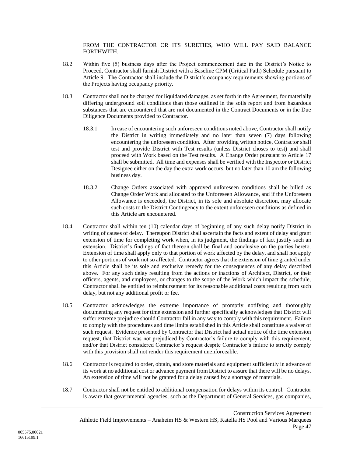FROM THE CONTRACTOR OR ITS SURETIES, WHO WILL PAY SAID BALANCE FORTHWITH.

- 18.2 Within five (5) business days after the Project commencement date in the District's Notice to Proceed, Contractor shall furnish District with a Baseline CPM (Critical Path) Schedule pursuant to Article [9.](#page-20-0) The Contractor shall include the District's occupancy requirements showing portions of the Projects having occupancy priority.
- 18.3 Contractor shall not be charged for liquidated damages, as set forth in the Agreement, for materially differing underground soil conditions than those outlined in the soils report and from hazardous substances that are encountered that are not documented in the Contract Documents or in the Due Diligence Documents provided to Contractor.
	- 18.3.1 In case of encountering such unforeseen conditions noted above, Contractor shall notify the District in writing immediately and no later than seven (7) days following encountering the unforeseen condition. After providing written notice, Contractor shall test and provide District with Test results (unless District choses to test) and shall proceed with Work based on the Test results. A Change Order pursuant to Article [17](#page-43-0) shall be submitted. All time and expenses shall be verified with the Inspector or District Designee either on the day the extra work occurs, but no later than 10 am the following business day.
	- 18.3.2 Change Orders associated with approved unforeseen conditions shall be billed as Change Order Work and allocated to the Unforeseen Allowance, and if the Unforeseen Allowance is exceeded, the District, in its sole and absolute discretion, may allocate such costs to the District Contingency to the extent unforeseen conditions as defined in this Article are encountered.
- 18.4 Contractor shall within ten (10) calendar days of beginning of any such delay notify District in writing of causes of delay. Thereupon District shall ascertain the facts and extent of delay and grant extension of time for completing work when, in its judgment, the findings of fact justify such an extension. District's findings of fact thereon shall be final and conclusive on the parties hereto. Extension of time shall apply only to that portion of work affected by the delay, and shall not apply to other portions of work not so affected. Contractor agrees that the extension of time granted under this Article shall be its sole and exclusive remedy for the consequences of any delay described above. For any such delay resulting from the actions or inactions of Architect, District, or their officers, agents, and employees, or changes to the scope of the Work which impact the schedule, Contractor shall be entitled to reimbursement for its reasonable additional costs resulting from such delay, but not any additional profit or fee.
- 18.5 Contractor acknowledges the extreme importance of promptly notifying and thoroughly documenting any request for time extension and further specifically acknowledges that District will suffer extreme prejudice should Contractor fail in any way to comply with this requirement. Failure to comply with the procedures and time limits established in this Article shall constitute a waiver of such request. Evidence presented by Contractor that District had actual notice of the time extension request, that District was not prejudiced by Contractor's failure to comply with this requirement, and/or that District considered Contractor's request despite Contractor's failure to strictly comply with this provision shall not render this requirement unenforceable.
- 18.6 Contractor is required to order, obtain, and store materials and equipment sufficiently in advance of its work at no additional cost or advance payment from District to assure that there will be no delays. An extension of time will not be granted for a delay caused by a shortage of materials.
- 18.7 Contractor shall not be entitled to additional compensation for delays within its control. Contractor is aware that governmental agencies, such as the Department of General Services, gas companies,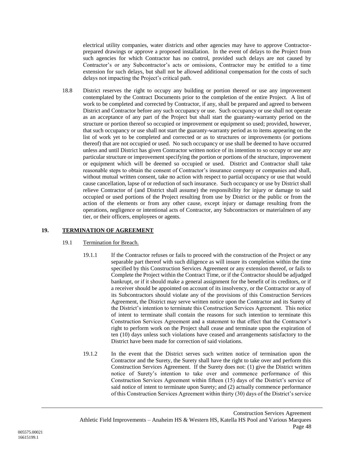electrical utility companies, water districts and other agencies may have to approve Contractorprepared drawings or approve a proposed installation. In the event of delays to the Project from such agencies for which Contractor has no control, provided such delays are not caused by Contractor's or any Subcontractor's acts or omissions, Contractor may be entitled to a time extension for such delays, but shall not be allowed additional compensation for the costs of such delays not impacting the Project's critical path.

18.8 District reserves the right to occupy any building or portion thereof or use any improvement contemplated by the Contract Documents prior to the completion of the entire Project. A list of work to be completed and corrected by Contractor, if any, shall be prepared and agreed to between District and Contractor before any such occupancy or use. Such occupancy or use shall not operate as an acceptance of any part of the Project but shall start the guaranty-warranty period on the structure or portion thereof so occupied or improvement or equipment so used; provided, however, that such occupancy or use shall not start the guaranty-warranty period as to items appearing on the list of work yet to be completed and corrected or as to structures or improvements (or portions thereof) that are not occupied or used. No such occupancy or use shall be deemed to have occurred unless and until District has given Contractor written notice of its intention to so occupy or use any particular structure or improvement specifying the portion or portions of the structure, improvement or equipment which will be deemed so occupied or used. District and Contractor shall take reasonable steps to obtain the consent of Contractor's insurance company or companies and shall, without mutual written consent, take no action with respect to partial occupancy or use that would cause cancellation, lapse of or reduction of such insurance. Such occupancy or use by District shall relieve Contractor of (and District shall assume) the responsibility for injury or damage to said occupied or used portions of the Project resulting from use by District or the public or from the action of the elements or from any other cause, except injury or damage resulting from the operations, negligence or intentional acts of Contractor, any Subcontractors or materialmen of any tier, or their officers, employees or agents.

## <span id="page-50-0"></span>**19. TERMINATION OF AGREEMENT**

## 19.1 Termination for Breach.

- 19.1.1 If the Contractor refuses or fails to proceed with the construction of the Project or any separable part thereof with such diligence as will insure its completion within the time specified by this Construction Services Agreement or any extension thereof, or fails to Complete the Project within the Contract Time, or if the Contractor should be adjudged bankrupt, or if it should make a general assignment for the benefit of its creditors, or if a receiver should be appointed on account of its insolvency, or the Contractor or any of its Subcontractors should violate any of the provisions of this Construction Services Agreement, the District may serve written notice upon the Contractor and its Surety of the District's intention to terminate this Construction Services Agreement. This notice of intent to terminate shall contain the reasons for such intention to terminate this Construction Services Agreement and a statement to that effect that the Contractor's right to perform work on the Project shall cease and terminate upon the expiration of ten (10) days unless such violations have ceased and arrangements satisfactory to the District have been made for correction of said violations.
- 19.1.2 In the event that the District serves such written notice of termination upon the Contractor and the Surety, the Surety shall have the right to take over and perform this Construction Services Agreement. If the Surety does not: (1) give the District written notice of Surety's intention to take over and commence performance of this Construction Services Agreement within fifteen (15) days of the District's service of said notice of intent to terminate upon Surety; and (2) actually commence performance of this Construction Services Agreement within thirty (30) days of the District's service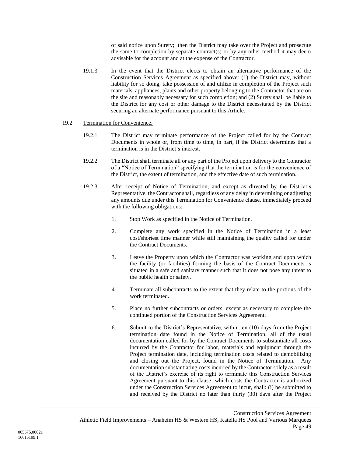of said notice upon Surety; then the District may take over the Project and prosecute the same to completion by separate contract(s) or by any other method it may deem advisable for the account and at the expense of the Contractor.

19.1.3 In the event that the District elects to obtain an alternative performance of the Construction Services Agreement as specified above: (1) the District may, without liability for so doing, take possession of and utilize in completion of the Project such materials, appliances, plants and other property belonging to the Contractor that are on the site and reasonably necessary for such completion; and (2) Surety shall be liable to the District for any cost or other damage to the District necessitated by the District securing an alternate performance pursuant to this Article.

### 19.2 Termination for Convenience.

- 19.2.1 The District may terminate performance of the Project called for by the Contract Documents in whole or, from time to time, in part, if the District determines that a termination is in the District's interest.
- 19.2.2 The District shall terminate all or any part of the Project upon delivery to the Contractor of a "Notice of Termination" specifying that the termination is for the convenience of the District, the extent of termination, and the effective date of such termination.
- 19.2.3 After receipt of Notice of Termination, and except as directed by the District's Representative, the Contractor shall, regardless of any delay in determining or adjusting any amounts due under this Termination for Convenience clause, immediately proceed with the following obligations:
	- 1. Stop Work as specified in the Notice of Termination.
	- 2. Complete any work specified in the Notice of Termination in a least cost/shortest time manner while still maintaining the quality called for under the Contract Documents.
	- 3. Leave the Property upon which the Contractor was working and upon which the facility (or facilities) forming the basis of the Contract Documents is situated in a safe and sanitary manner such that it does not pose any threat to the public health or safety.
	- 4. Terminate all subcontracts to the extent that they relate to the portions of the work terminated.
	- 5. Place no further subcontracts or orders, except as necessary to complete the continued portion of the Construction Services Agreement.
	- 6. Submit to the District's Representative, within ten (10) days from the Project termination date found in the Notice of Termination, all of the usual documentation called for by the Contract Documents to substantiate all costs incurred by the Contractor for labor, materials and equipment through the Project termination date, including termination costs related to demobilizing and closing out the Project, found in the Notice of Termination. Any documentation substantiating costs incurred by the Contractor solely as a result of the District's exercise of its right to terminate this Construction Services Agreement pursuant to this clause, which costs the Contractor is authorized under the Construction Services Agreement to incur, shall: (i) be submitted to and received by the District no later than thirty (30) days after the Project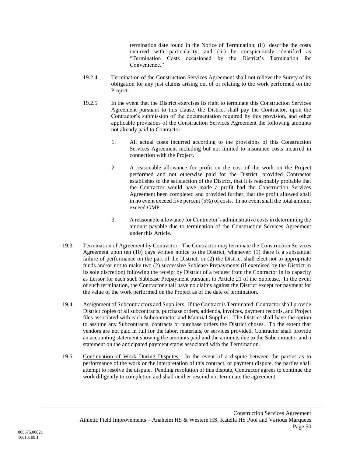termination date found in the Notice of Termination; (ii) describe the costs incurred with particularity; and (iii) be conspicuously identified as "Termination Costs occasioned by the District's Termination for Convenience."

- 19.2.4 Termination of the Construction Services Agreement shall not relieve the Surety of its obligation for any just claims arising out of or relating to the work performed on the Project.
- 19.2.5 In the event that the District exercises its right to terminate this Construction Services Agreement pursuant to this clause, the District shall pay the Contractor, upon the Contractor's submission of the documentation required by this provision, and other applicable provisions of the Construction Services Agreement the following amounts not already paid to Contractor:
	- 1. All actual costs incurred according to the provisions of this Construction Services Agreement including but not limited to insurance costs incurred in connection with the Project.
	- 2. A reasonable allowance for profit on the cost of the work on the Project performed and not otherwise paid for the District, provided Contractor establishes to the satisfaction of the District, that it is reasonably probable that the Contractor would have made a profit had the Construction Services Agreement been completed and provided further, that the profit allowed shall in no event exceed five percent (5%) of costs. In no event shall the total amount exceed GMP.
	- 3. A reasonable allowance for Contractor's administrative costs in determining the amount payable due to termination of the Construction Services Agreement under this Article.
- 19.3 Termination of Agreement by Contractor. The Contractor may terminate the Construction Services Agreement upon ten (10) days written notice to the District, whenever: (1) there is a substantial failure of performance on the part of the District; or (2) the District shall elect not to appropriate funds and/or not to make two (2) successive Sublease Prepayments (if exercised by the District in its sole discretion) following the receipt by District of a request from the Contractor in its capacity as Lessor for each such Sublease Prepayment pursuant to Article [21](#page-60-0) of the Sublease. In the event of such termination, the Contractor shall have no claims against the District except for payment for the value of the work performed on the Project as of the date of termination.
- 19.4 Assignment of Subcontractors and Suppliers. If the Contract is Terminated, Contractor shall provide District copies of all subcontracts, purchase orders, addenda, invoices, payment records, and Project files associated with each Subcontractor and Material Supplier. The District shall have the option to assume any Subcontracts, contracts or purchase orders the District choses. To the extent that vendors are not paid in full for the labor, materials, or services provided, Contractor shall provide an accounting statement showing the amounts paid and the amounts due to the Subcontractor and a statement on the anticipated payment status associated with the Termination.
- 19.5 Continuation of Work During Disputes. In the event of a dispute between the parties as to performance of the work or the interpretation of this contract, or payment dispute, the parties shall attempt to resolve the dispute. Pending resolution of this dispute, Contractor agrees to continue the work diligently to completion and shall neither rescind nor terminate the agreement.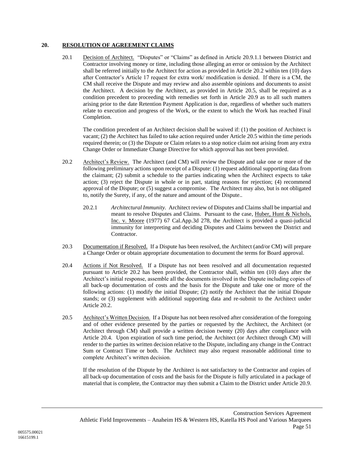### <span id="page-53-3"></span><span id="page-53-0"></span>**20. RESOLUTION OF AGREEMENT CLAIMS**

20.1 Decision of Architect. "Disputes" or "Claims" as defined in Article [20.9.1.1](#page-55-0) between District and Contractor involving money or time, including those alleging an error or omission by the Architect shall be referred initially to the Architect for action as provided in Article [20.2](#page-53-1) within ten (10) days after Contractor's Article 17 request for extra work/ modification is denied. If there is a CM, the CM shall receive the Dispute and may review and also assemble opinions and documents to assist the Architect. A decision by the Architect, as provided in Article [20.5,](#page-53-2) shall be required as a condition precedent to proceeding with remedies set forth in Article [20.9](#page-55-1) as to all such matters arising prior to the date Retention Payment Application is due, regardless of whether such matters relate to execution and progress of the Work, or the extent to which the Work has reached Final Completion.

The condition precedent of an Architect decision shall be waived if: (1) the position of Architect is vacant; (2) the Architect has failed to take action required under Article [20.5](#page-53-2) within the time periods required therein; or (3) the Dispute or Claim relates to a stop notice claim not arising from any extra Change Order or Immediate Change Directive for which approval has not been provided.

- <span id="page-53-1"></span>20.2 Architect's Review. The Architect (and CM) will review the Dispute and take one or more of the following preliminary actions upon receipt of a Dispute: (1) request additional supporting data from the claimant; (2) submit a schedule to the parties indicating when the Architect expects to take action; (3) reject the Dispute in whole or in part, stating reasons for rejection; (4) recommend approval of the Dispute; or (5) suggest a compromise. The Architect may also, but is not obligated to, notify the Surety, if any, of the nature and amount of the Dispute..
	- 20.2.1 *Architectural Immunity.* Architect review of Disputes and Claims shall be impartial and meant to resolve Disputes and Claims. Pursuant to the case, Huber, Hunt & Nichols, Inc. v. Moore (1977) 67 Cal.App.3d 278, the Architect is provided a quasi-judicial immunity for interpreting and deciding Disputes and Claims between the District and Contractor.
- 20.3 Documentation if Resolved. If a Dispute has been resolved, the Architect (and/or CM) will prepare a Change Order or obtain appropriate documentation to document the terms for Board approval.
- 20.4 Actions if Not Resolved. If a Dispute has not been resolved and all documentation requested pursuant to Article [20.2](#page-53-1) has been provided, the Contractor shall, within ten (10) days after the Architect's initial response, assemble all the documents involved in the Dispute including copies of all back-up documentation of costs and the basis for the Dispute and take one or more of the following actions: (1) modify the initial Dispute; (2) notify the Architect that the initial Dispute stands; or (3) supplement with additional supporting data and re-submit to the Architect under Article [20.2.](#page-53-1)
- <span id="page-53-2"></span>20.5 Architect's Written Decision. If a Dispute has not been resolved after consideration of the foregoing and of other evidence presented by the parties or requested by the Architect, the Architect (or Architect through CM) shall provide a written decision twenty (20) days after compliance with Article 20.4. Upon expiration of such time period, the Architect (or Architect through CM) will render to the parties its written decision relative to the Dispute, including any change in the Contract Sum or Contract Time or both. The Architect may also request reasonable additional time to complete Architect's written decision.

If the resolution of the Dispute by the Architect is not satisfactory to the Contractor and copies of all back-up documentation of costs and the basis for the Dispute is fully articulated in a package of material that is complete, the Contractor may then submit a Claim to the District under Article [20.9.](#page-55-1)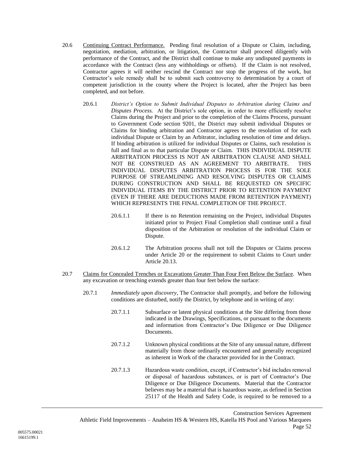- <span id="page-54-0"></span>20.6 Continuing Contract Performance. Pending final resolution of a Dispute or Claim, including, negotiation, mediation, arbitration, or litigation, the Contractor shall proceed diligently with performance of the Contract, and the District shall continue to make any undisputed payments in accordance with the Contract (less any withholdings or offsets). If the Claim is not resolved, Contractor agrees it will neither rescind the Contract nor stop the progress of the work, but Contractor's sole remedy shall be to submit such controversy to determination by a court of competent jurisdiction in the county where the Project is located, after the Project has been completed, and not before.
	- 20.6.1 *District's Option to Submit Individual Disputes to Arbitration during Claims and Disputes Process.* At the District's sole option, in order to more efficiently resolve Claims during the Project and prior to the completion of the Claims Process, pursuant to Government Code section 9201, the District may submit individual Disputes or Claims for binding arbitration and Contractor agrees to the resolution of for each individual Dispute or Claim by an Arbitrator, including resolution of time and delays. If binding arbitration is utilized for individual Disputes or Claims, such resolution is full and final as to that particular Dispute or Claim. THIS INDIVIDUAL DISPUTE ARBITRATION PROCESS IS NOT AN ARBITRATION CLAUSE AND SHALL NOT BE CONSTRUED AS AN AGREEMENT TO ARBITRATE. THIS INDIVIDUAL DISPUTES ARBITRATION PROCESS IS FOR THE SOLE PURPOSE OF STREAMLINING AND RESOLVING DISPUTES OR CLAIMS DURING CONSTRUCTION AND SHALL BE REQUESTED ON SPECIFIC INDIVIDUAL ITEMS BY THE DISTRICT PRIOR TO RETENTION PAYMENT (EVEN IF THERE ARE DEDUCTIONS MADE FROM RETENTION PAYMENT) WHICH REPRESENTS THE FINAL COMPLETION OF THE PROJECT.
		- 20.6.1.1 If there is no Retention remaining on the Project, individual Disputes initiated prior to Project Final Completion shall continue until a final disposition of the Arbitration or resolution of the individual Claim or Dispute.
		- 20.6.1.2 The Arbitration process shall not toll the Disputes or Claims process under Article [20](#page-53-0) or the requirement to submit Claims to Court under Article [20.13.](#page-60-1)
- 20.7 Claims for Concealed Trenches or Excavations Greater Than Four Feet Below the Surface. When any excavation or trenching extends greater than four feet below the surface:
	- 20.7.1 *Immediately upon discovery*, The Contractor shall promptly, and before the following conditions are disturbed, notify the District, by telephone and in writing of any:
		- 20.7.1.1 Subsurface or latent physical conditions at the Site differing from those indicated in the Drawings, Specifications, or pursuant to the documents and information from Contractor's Due Diligence or Due Diligence Documents.
		- 20.7.1.2 Unknown physical conditions at the Site of any unusual nature, different materially from those ordinarily encountered and generally recognized as inherent in Work of the character provided for in the Contract.
		- 20.7.1.3 Hazardous waste condition, except, if Contractor's bid includes removal or disposal of hazardous substances, or is part of Contractor's Due Diligence or Due Diligence Documents. Material that the Contractor believes may be a material that is hazardous waste, as defined in Section 25117 of the Health and Safety Code, is required to be removed to a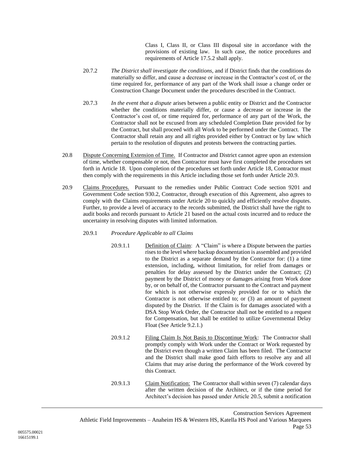Class I, Class II, or Class III disposal site in accordance with the provisions of existing law. In such case, the notice procedures and requirements of Article [17.5.2](#page-47-0) shall apply.

- 20.7.2 *The District shall investigate the conditions*, and if District finds that the conditions do materially so differ, and cause a decrease or increase in the Contractor's cost of, or the time required for, performance of any part of the Work shall issue a change order or Construction Change Document under the procedures described in the Contract.
- 20.7.3 *In the event that a dispute* arises between a public entity or District and the Contractor whether the conditions materially differ, or cause a decrease or increase in the Contractor's cost of, or time required for, performance of any part of the Work, the Contractor shall not be excused from any scheduled Completion Date provided for by the Contract, but shall proceed with all Work to be performed under the Contract. The Contractor shall retain any and all rights provided either by Contract or by law which pertain to the resolution of disputes and protests between the contracting parties.
- 20.8 Dispute Concerning Extension of Time. If Contractor and District cannot agree upon an extension of time, whether compensable or not, then Contractor must have first completed the procedures set forth in Article 18. Upon completion of the procedures set forth under Article [18,](#page-48-0) Contractor must then comply with the requirements in this Article including those set forth under Article [20.9.](#page-55-1)
- <span id="page-55-1"></span>20.9 Claims Procedures. Pursuant to the remedies under Public Contract Code section 9201 and Government Code section 930.2, Contractor, through execution of this Agreement, also agrees to comply with the Claims requirements under Article [20](#page-53-0) to quickly and efficiently resolve disputes. Further, to provide a level of accuracy to the records submitted, the District shall have the right to audit books and records pursuant to Article [21](#page-60-0) based on the actual costs incurred and to reduce the uncertainty in resolving disputes with limited information.

### <span id="page-55-0"></span>20.9.1 *Procedure Applicable to all Claims*

- 20.9.1.1 Definition of Claim: A "Claim" is where a Dispute between the parties rises to the level where backup documentation is assembled and provided to the District as a separate demand by the Contractor for: (1) a time extension, including, without limitation, for relief from damages or penalties for delay assessed by the District under the Contract; (2) payment by the District of money or damages arising from Work done by, or on behalf of, the Contractor pursuant to the Contract and payment for which is not otherwise expressly provided for or to which the Contractor is not otherwise entitled to; or (3) an amount of payment disputed by the District. If the Claim is for damages associated with a DSA Stop Work Order, the Contractor shall not be entitled to a request for Compensation, but shall be entitled to utilize Governmental Delay Float (See Article [9.2.1.](#page-20-1))
- 20.9.1.2 Filing Claim Is Not Basis to Discontinue Work: The Contractor shall promptly comply with Work under the Contract or Work requested by the District even though a written Claim has been filed. The Contractor and the District shall make good faith efforts to resolve any and all Claims that may arise during the performance of the Work covered by this Contract.
- 20.9.1.3 Claim Notification: The Contractor shall within seven (7) calendar days after the written decision of the Architect, or if the time period for Architect's decision has passed under Article [20.5,](#page-53-2) submit a notification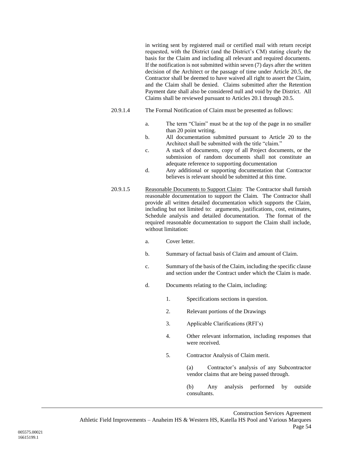in writing sent by registered mail or certified mail with return receipt requested, with the District (and the District's CM) stating clearly the basis for the Claim and including all relevant and required documents. If the notification is not submitted within seven (7) days after the written decision of the Architect or the passage of time under Article [20.5,](#page-53-2) the Contractor shall be deemed to have waived all right to assert the Claim, and the Claim shall be denied. Claims submitted after the Retention Payment date shall also be considered null and void by the District. All Claims shall be reviewed pursuant to Articles [20.1](#page-53-3) through [20.5.](#page-53-2)

- 20.9.1.4 The Formal Notification of Claim must be presented as follows:
	- a. The term "Claim" must be at the top of the page in no smaller than 20 point writing.
	- b. All documentation submitted pursuant to Article [20](#page-53-0) to the Architect shall be submitted with the title "claim."
	- c. A stack of documents, copy of all Project documents, or the submission of random documents shall not constitute an adequate reference to supporting documentation
	- d. Any additional or supporting documentation that Contractor believes is relevant should be submitted at this time.
- 20.9.1.5 Reasonable Documents to Support Claim: The Contractor shall furnish reasonable documentation to support the Claim. The Contractor shall provide all written detailed documentation which supports the Claim, including but not limited to: arguments, justifications, cost, estimates, Schedule analysis and detailed documentation. The format of the required reasonable documentation to support the Claim shall include, without limitation:
	- a. Cover letter.
	- b. Summary of factual basis of Claim and amount of Claim.
	- c. Summary of the basis of the Claim, including the specific clause and section under the Contract under which the Claim is made.
	- d. Documents relating to the Claim, including:
		- 1. Specifications sections in question.
		- 2. Relevant portions of the Drawings
		- 3. Applicable Clarifications (RFI's)
		- 4. Other relevant information, including responses that were received.
		- 5. Contractor Analysis of Claim merit.

(a) Contractor's analysis of any Subcontractor vendor claims that are being passed through.

(b) Any analysis performed by outside consultants.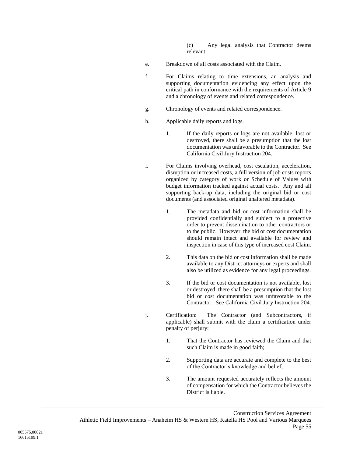(c) Any legal analysis that Contractor deems relevant.

- e. Breakdown of all costs associated with the Claim.
- f. For Claims relating to time extensions, an analysis and supporting documentation evidencing any effect upon the critical path in conformance with the requirements of Article 9 and a chronology of events and related correspondence.
- g. Chronology of events and related correspondence.
- h. Applicable daily reports and logs.
	- 1. If the daily reports or logs are not available, lost or destroyed, there shall be a presumption that the lost documentation was unfavorable to the Contractor. See California Civil Jury Instruction 204.
- i. For Claims involving overhead, cost escalation, acceleration, disruption or increased costs, a full version of job costs reports organized by category of work or Schedule of Values with budget information tracked against actual costs. Any and all supporting back-up data, including the original bid or cost documents (and associated original unaltered metadata).
	- 1. The metadata and bid or cost information shall be provided confidentially and subject to a protective order to prevent dissemination to other contractors or to the public. However, the bid or cost documentation should remain intact and available for review and inspection in case of this type of increased cost Claim.
	- 2. This data on the bid or cost information shall be made available to any District attorneys or experts and shall also be utilized as evidence for any legal proceedings.
	- 3. If the bid or cost documentation is not available, lost or destroyed, there shall be a presumption that the lost bid or cost documentation was unfavorable to the Contractor. See California Civil Jury Instruction 204.
- j. Certification: The Contractor (and Subcontractors, if applicable) shall submit with the claim a certification under penalty of perjury:
	- 1. That the Contractor has reviewed the Claim and that such Claim is made in good faith;
	- 2. Supporting data are accurate and complete to the best of the Contractor's knowledge and belief;
	- 3. The amount requested accurately reflects the amount of compensation for which the Contractor believes the District is liable.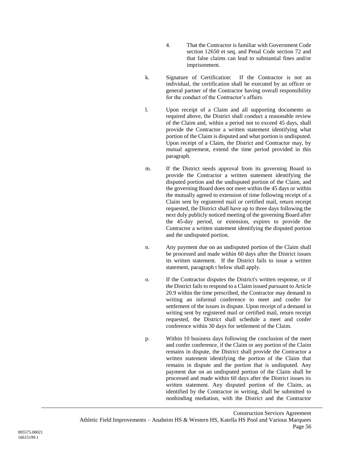- 4. That the Contractor is familiar with Government Code section 12650 et seq. and Penal Code section 72 and that false claims can lead to substantial fines and/or imprisonment.
- k. Signature of Certification: If the Contractor is not an individual, the certification shall be executed by an officer or general partner of the Contractor having overall responsibility for the conduct of the Contractor's affairs.
- l. Upon receipt of a Claim and all supporting documents as required above, the District shall conduct a reasonable review of the Claim and, within a period not to exceed 45 days, shall provide the Contractor a written statement identifying what portion of the Claim is disputed and what portion is undisputed. Upon receipt of a Claim, the District and Contractor may, by mutual agreement, extend the time period provided in this paragraph.
- m. If the District needs approval from its governing Board to provide the Contractor a written statement identifying the disputed portion and the undisputed portion of the Claim, and the governing Board does not meet within the 45 days or within the mutually agreed to extension of time following receipt of a Claim sent by registered mail or certified mail, return receipt requested, the District shall have up to three days following the next duly publicly noticed meeting of the governing Board after the 45-day period, or extension, expires to provide the Contractor a written statement identifying the disputed portion and the undisputed portion.
- n. Any payment due on an undisputed portion of the Claim shall be processed and made within 60 days after the District issues its written statement. If the District fails to issue a written statement, paragraph t below shall apply.
- o. If the Contractor disputes the District's written response, or if the District fails to respond to a Claim issued pursuant to Article 20.9 within the time prescribed, the Contractor may demand in writing an informal conference to meet and confer for settlement of the issues in dispute. Upon receipt of a demand in writing sent by registered mail or certified mail, return receipt requested, the District shall schedule a meet and confer conference within 30 days for settlement of the Claim.
- p. Within 10 business days following the conclusion of the meet and confer conference, if the Claim or any portion of the Claim remains in dispute, the District shall provide the Contractor a written statement identifying the portion of the Claim that remains in dispute and the portion that is undisputed. Any payment due on an undisputed portion of the Claim shall be processed and made within 60 days after the District issues its written statement. Any disputed portion of the Claim, as identified by the Contractor in writing, shall be submitted to nonbinding mediation, with the District and the Contractor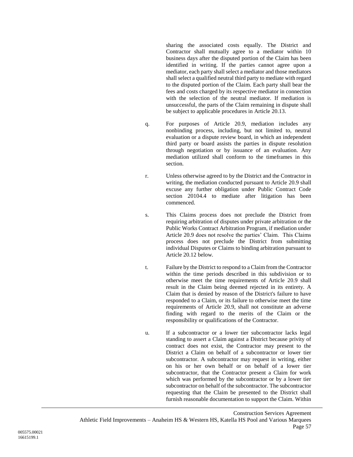sharing the associated costs equally. The District and Contractor shall mutually agree to a mediator within 10 business days after the disputed portion of the Claim has been identified in writing. If the parties cannot agree upon a mediator, each party shall select a mediator and those mediators shall select a qualified neutral third party to mediate with regard to the disputed portion of the Claim. Each party shall bear the fees and costs charged by its respective mediator in connection with the selection of the neutral mediator. If mediation is unsuccessful, the parts of the Claim remaining in dispute shall be subject to applicable procedures in Article [20.13.](#page-60-1)

- q. For purposes of Article [20.9,](#page-55-1) mediation includes any nonbinding process, including, but not limited to, neutral evaluation or a dispute review board, in which an independent third party or board assists the parties in dispute resolution through negotiation or by issuance of an evaluation. Any mediation utilized shall conform to the timeframes in this section.
- r. Unless otherwise agreed to by the District and the Contractor in writing, the mediation conducted pursuant to Article [20.9](#page-55-1) shall excuse any further obligation under Public Contract Code section 20104.4 to mediate after litigation has been commenced.
- s. This Claims process does not preclude the District from requiring arbitration of disputes under private arbitration or the Public Works Contract Arbitration Program, if mediation under Article [20.9](#page-55-1) does not resolve the parties' Claim. This Claims process does not preclude the District from submitting individual Disputes or Claims to binding arbitration pursuant to Article [20.12](#page-60-2) below.
- t. Failure by the District to respond to a Claim from the Contractor within the time periods described in this subdivision or to otherwise meet the time requirements of Article [20.9](#page-55-1) shall result in the Claim being deemed rejected in its entirety. A Claim that is denied by reason of the District's failure to have responded to a Claim, or its failure to otherwise meet the time requirements of Article [20.9,](#page-55-1) shall not constitute an adverse finding with regard to the merits of the Claim or the responsibility or qualifications of the Contractor.
- u. If a subcontractor or a lower tier subcontractor lacks legal standing to assert a Claim against a District because privity of contract does not exist, the Contractor may present to the District a Claim on behalf of a subcontractor or lower tier subcontractor. A subcontractor may request in writing, either on his or her own behalf or on behalf of a lower tier subcontractor, that the Contractor present a Claim for work which was performed by the subcontractor or by a lower tier subcontractor on behalf of the subcontractor. The subcontractor requesting that the Claim be presented to the District shall furnish reasonable documentation to support the Claim. Within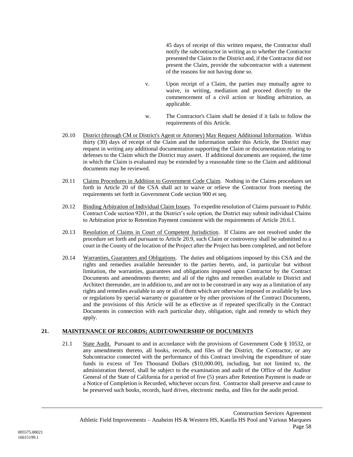45 days of receipt of this written request, the Contractor shall notify the subcontractor in writing as to whether the Contractor presented the Claim to the District and, if the Contractor did not present the Claim, provide the subcontractor with a statement of the reasons for not having done so.

- v. Upon receipt of a Claim, the parties may mutually agree to waive, in writing, mediation and proceed directly to the commencement of a civil action or binding arbitration, as applicable.
- w. The Contractor's Claim shall be denied if it fails to follow the requirements of this Article.
- 20.10 District (through CM or District's Agent or Attorney) May Request Additional Information. Within thirty (30) days of receipt of the Claim and the information under this Article, the District may request in writing any additional documentation supporting the Claim or documentation relating to defenses to the Claim which the District may assert. If additional documents are required, the time in which the Claim is evaluated may be extended by a reasonable time so the Claim and additional documents may be reviewed.
- 20.11 Claims Procedures in Addition to Government Code Claim. Nothing in the Claims procedures set forth in Article [20](#page-53-0) of the CSA shall act to waive or relieve the Contractor from meeting the requirements set forth in Government Code section 900 et seq.
- <span id="page-60-2"></span>20.12 Binding Arbitration of Individual Claim Issues. To expedite resolution of Claims pursuant to Public Contract Code section 9201, at the District's sole option, the District may submit individual Claims to Arbitration prior to Retention Payment consistent with the requirements of Article [20.6.1.](#page-54-0)
- <span id="page-60-1"></span>20.13 Resolution of Claims in Court of Competent Jurisdiction. If Claims are not resolved under the procedure set forth and pursuant to Article [20.9,](#page-55-1) such Claim or controversy shall be submitted to a court in the County of the location of the Project after the Project has been completed, and not before
- 20.14 Warranties, Guarantees and Obligations. The duties and obligations imposed by this CSA and the rights and remedies available hereunder to the parties hereto, and, in particular but without limitation, the warranties, guarantees and obligations imposed upon Contractor by the Contract Documents and amendments thereto; and all of the rights and remedies available to District and Architect thereunder, are in addition to, and are not to be construed in any way as a limitation of any rights and remedies available to any or all of them which are otherwise imposed or available by laws or regulations by special warranty or guarantee or by other provisions of the Contract Documents, and the provisions of this Article will be as effective as if repeated specifically in the Contract Documents in connection with each particular duty, obligation, right and remedy to which they apply.

# <span id="page-60-0"></span>**21. MAINTENANCE OF RECORDS; AUDIT/OWNERSHIP OF DOCUMENTS**

21.1 State Audit. Pursuant to and in accordance with the provisions of Government Code § 10532, or any amendments thereto, all books, records, and files of the District, the Contractor, or any Subcontractor connected with the performance of this Contract involving the expenditure of state funds in excess of Ten Thousand Dollars (\$10,000.00), including, but not limited to, the administration thereof, shall be subject to the examination and audit of the Office of the Auditor General of the State of California for a period of five (5) years after Retention Payment is made or a Notice of Completion is Recorded, whichever occurs first. Contractor shall preserve and cause to be preserved such books, records, hard drives, electronic media, and files for the audit period.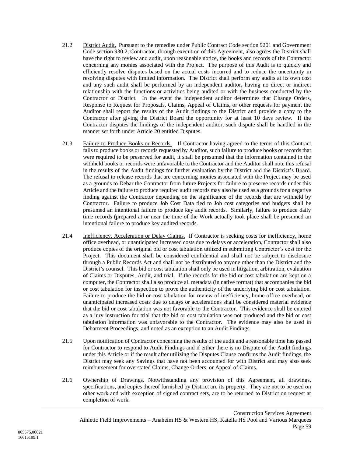- 21.2 District Audit. Pursuant to the remedies under Public Contract Code section 9201 and Government Code section 930.2, Contractor, through execution of this Agreement, also agrees the District shall have the right to review and audit, upon reasonable notice, the books and records of the Contractor concerning any monies associated with the Project. The purpose of this Audit is to quickly and efficiently resolve disputes based on the actual costs incurred and to reduce the uncertainty in resolving disputes with limited information. The District shall perform any audits at its own cost and any such audit shall be performed by an independent auditor, having no direct or indirect relationship with the functions or activities being audited or with the business conducted by the Contractor or District. In the event the independent auditor determines that Change Orders, Response to Request for Proposals, Claims, Appeal of Claims, or other requests for payment the Auditor shall report the results of the Audit findings to the District and provide a copy to the Contractor after giving the District Board the opportunity for at least 10 days review. If the Contractor disputes the findings of the independent auditor, such dispute shall be handled in the manner set forth under Article [20](#page-53-0) entitled Disputes.
- 21.3 Failure to Produce Books or Records. If Contractor having agreed to the terms of this Contract fails to produce books or records requested by Auditor, such failure to produce books or records that were required to be preserved for audit, it shall be presumed that the information contained in the withheld books or records were unfavorable to the Contractor and the Auditor shall note this refusal in the results of the Audit findings for further evaluation by the District and the District's Board. The refusal to release records that are concerning monies associated with the Project may be used as a grounds to Debar the Contractor from future Projects for failure to preserve records under this Article and the failure to produce required audit records may also be used as a grounds for a negative finding against the Contractor depending on the significance of the records that are withheld by Contractor. Failure to produce Job Cost Data tied to Job cost categories and budgets shall be presumed an intentional failure to produce key audit records. Similarly, failure to produce daily time records (prepared at or near the time of the Work actually took place shall be presumed an intentional failure to produce key audited records.
- 21.4 Inefficiency, Acceleration or Delay Claims. If Contractor is seeking costs for inefficiency, home office overhead, or unanticipated increased costs due to delays or acceleration, Contractor shall also produce copies of the original bid or cost tabulation utilized in submitting Contractor's cost for the Project. This document shall be considered confidential and shall not be subject to disclosure through a Public Records Act and shall not be distributed to anyone other than the District and the District's counsel. This bid or cost tabulation shall only be used in litigation, arbitration, evaluation of Claims or Disputes, Audit, and trial. If the records for the bid or cost tabulation are kept on a computer, the Contractor shall also produce all metadata (in native format) that accompanies the bid or cost tabulation for inspection to prove the authenticity of the underlying bid or cost tabulation. Failure to produce the bid or cost tabulation for review of inefficiency, home office overhead, or unanticipated increased costs due to delays or accelerations shall be considered material evidence that the bid or cost tabulation was not favorable to the Contractor. This evidence shall be entered as a jury instruction for trial that the bid or cost tabulation was not produced and the bid or cost tabulation information was unfavorable to the Contractor. The evidence may also be used in Debarment Proceedings, and noted as an exception to an Audit Findings.
- 21.5 Upon notification of Contractor concerning the results of the audit and a reasonable time has passed for Contractor to respond to Audit Findings and if either there is no Dispute of the Audit findings under this Article or if the result after utilizing the Disputes Clause confirms the Audit findings, the District may seek any Savings that have not been accounted for with District and may also seek reimbursement for overstated Claims, Change Orders, or Appeal of Claims.
- 21.6 Ownership of Drawings. Notwithstanding any provision of this Agreement, all drawings, specifications, and copies thereof furnished by District are its property. They are not to be used on other work and with exception of signed contract sets, are to be returned to District on request at completion of work.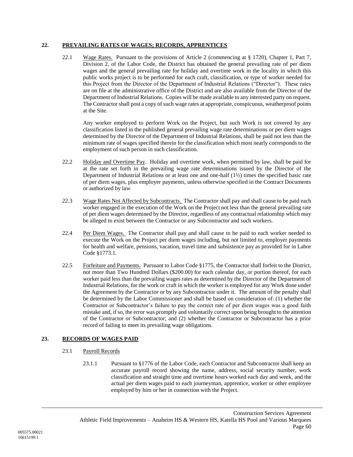## **22. PREVAILING RATES OF WAGES; RECORDS, APPRENTICES**

22.1 Wage Rates. Pursuant to the provisions of Article 2 (commencing at § 1720), Chapter 1, Part 7, Division 2, of the Labor Code, the District has obtained the general prevailing rate of per diem wages and the general prevailing rate for holiday and overtime work in the locality in which this public works project is to be performed for each craft, classification, or type of worker needed for this Project from the Director of the Department of Industrial Relations ("Director"). These rates are on file at the administrative office of the District and are also available from the Director of the Department of Industrial Relations. Copies will be made available to any interested party on request. The Contractor shall post a copy of such wage rates at appropriate, conspicuous, weatherproof points at the Site.

Any worker employed to perform Work on the Project, but such Work is not covered by any classification listed in the published general prevailing wage rate determinations or per diem wages determined by the Director of the Department of Industrial Relations, shall be paid not less than the minimum rate of wages specified therein for the classification which most nearly corresponds to the employment of such person in such classification.

- 22.2 Holiday and Overtime Pay. Holiday and overtime work, when permitted by law, shall be paid for at the rate set forth in the prevailing wage rate determinations issued by the Director of the Department of Industrial Relations or at least one and one-half (1½) times the specified basic rate of per diem wages, plus employer payments, unless otherwise specified in the Contract Documents or authorized by law
- 22.3 Wage Rates Not Affected by Subcontracts. The Contractor shall pay and shall cause to be paid each worker engaged in the execution of the Work on the Project not less than the general prevailing rate of per diem wages determined by the Director, regardless of any contractual relationship which may be alleged to exist between the Contractor or any Subcontractor and such workers.
- 22.4 Per Diem Wages. The Contractor shall pay and shall cause to be paid to each worker needed to execute the Work on the Project per diem wages including, but not limited to, employer payments for health and welfare, pensions, vacation, travel time and subsistence pay as provided for in Labor Code §1773.1.
- 22.5 Forfeiture and Payments. Pursuant to Labor Code §1775, the Contractor shall forfeit to the District, not more than Two Hundred Dollars (\$200.00) for each calendar day, or portion thereof, for each worker paid less than the prevailing wages rates as determined by the Director of the Department of Industrial Relations, for the work or craft in which the worker is employed for any Work done under the Agreement by the Contractor or by any Subcontractor under it. The amount of the penalty shall be determined by the Labor Commissioner and shall be based on consideration of: (1) whether the Contractor or Subcontractor's failure to pay the correct rate of per diem wages was a good faith mistake and, if so, the error was promptly and voluntarily correct upon being brought to the attention of the Contractor or Subcontractor; and (2) whether the Contractor or Subcontractor has a prior record of failing to meet its prevailing wage obligations.

## **23. RECORDS OF WAGES PAID**

- 23.1 Payroll Records
	- 23.1.1 Pursuant to §1776 of the Labor Code, each Contractor and Subcontractor shall keep an accurate payroll record showing the name, address, social security number, work classification and straight time and overtime hours worked each day and week, and the actual per diem wages paid to each journeyman, apprentice, worker or other employee employed by him or her in connection with the Project.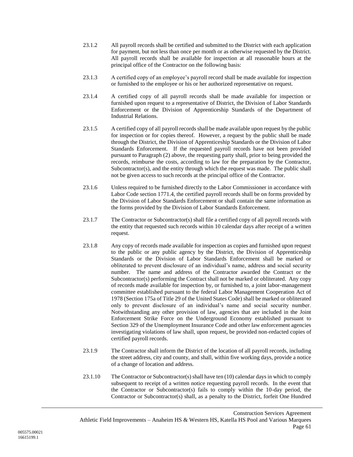- 23.1.2 All payroll records shall be certified and submitted to the District with each application for payment, but not less than once per month or as otherwise requested by the District. All payroll records shall be available for inspection at all reasonable hours at the principal office of the Contractor on the following basis:
- 23.1.3 A certified copy of an employee's payroll record shall be made available for inspection or furnished to the employee or his or her authorized representative on request.
- 23.1.4 A certified copy of all payroll records shall be made available for inspection or furnished upon request to a representative of District, the Division of Labor Standards Enforcement or the Division of Apprenticeship Standards of the Department of Industrial Relations.
- 23.1.5 A certified copy of all payroll records shall be made available upon request by the public for inspection or for copies thereof. However, a request by the public shall be made through the District, the Division of Apprenticeship Standards or the Division of Labor Standards Enforcement. If the requested payroll records have not been provided pursuant to Paragraph (2) above, the requesting party shall, prior to being provided the records, reimburse the costs, according to law for the preparation by the Contractor, Subcontractor(s), and the entity through which the request was made. The public shall not be given access to such records at the principal office of the Contractor.
- 23.1.6 Unless required to be furnished directly to the Labor Commissioner in accordance with Labor Code section 1771.4, the certified payroll records shall be on forms provided by the Division of Labor Standards Enforcement or shall contain the same information as the forms provided by the Division of Labor Standards Enforcement.
- 23.1.7 The Contractor or Subcontractor(s) shall file a certified copy of all payroll records with the entity that requested such records within 10 calendar days after receipt of a written request.
- 23.1.8 Any copy of records made available for inspection as copies and furnished upon request to the public or any public agency by the District, the Division of Apprenticeship Standards or the Division of Labor Standards Enforcement shall be marked or obliterated to prevent disclosure of an individual's name, address and social security number. The name and address of the Contractor awarded the Contract or the Subcontractor(s) performing the Contract shall not be marked or obliterated. Any copy of records made available for inspection by, or furnished to, a joint labor-management committee established pursuant to the federal Labor Management Cooperation Act of 1978 (Section 175a of Title 29 of the United States Code) shall be marked or obliterated only to prevent disclosure of an individual's name and social security number. Notwithstanding any other provision of law, agencies that are included in the Joint Enforcement Strike Force on the Underground Economy established pursuant to Section 329 of the Unemployment Insurance Code and other law enforcement agencies investigating violations of law shall, upon request, be provided non-redacted copies of certified payroll records.
- 23.1.9 The Contractor shall inform the District of the location of all payroll records, including the street address, city and county, and shall, within five working days, provide a notice of a change of location and address.
- 23.1.10 The Contractor or Subcontractor(s) shall have ten (10) calendar days in which to comply subsequent to receipt of a written notice requesting payroll records. In the event that the Contractor or Subcontractor(s) fails to comply within the 10-day period, the Contractor or Subcontractor(s) shall, as a penalty to the District, forfeit One Hundred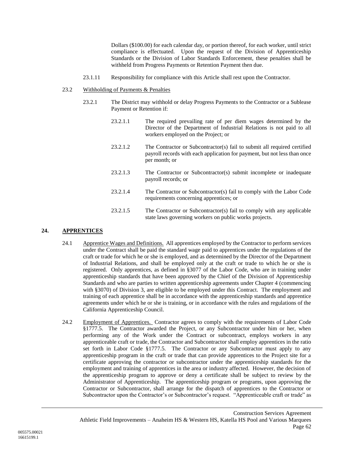Dollars (\$100.00) for each calendar day, or portion thereof, for each worker, until strict compliance is effectuated. Upon the request of the Division of Apprenticeship Standards or the Division of Labor Standards Enforcement, these penalties shall be withheld from Progress Payments or Retention Payment then due.

23.1.11 Responsibility for compliance with this Article shall rest upon the Contractor.

#### 23.2 Withholding of Payments & Penalties

- 23.2.1 The District may withhold or delay Progress Payments to the Contractor or a Sublease Payment or Retention if:
	- 23.2.1.1 The required prevailing rate of per diem wages determined by the Director of the Department of Industrial Relations is not paid to all workers employed on the Project; or
	- 23.2.1.2 The Contractor or Subcontractor(s) fail to submit all required certified payroll records with each application for payment, but not less than once per month; or
	- 23.2.1.3 The Contractor or Subcontractor(s) submit incomplete or inadequate payroll records; or
	- 23.2.1.4 The Contractor or Subcontractor(s) fail to comply with the Labor Code requirements concerning apprentices; or
	- 23.2.1.5 The Contractor or Subcontractor(s) fail to comply with any applicable state laws governing workers on public works projects.

### **24. APPRENTICES**

- 24.1 Apprentice Wages and Definitions. All apprentices employed by the Contractor to perform services under the Contract shall be paid the standard wage paid to apprentices under the regulations of the craft or trade for which he or she is employed, and as determined by the Director of the Department of Industrial Relations, and shall be employed only at the craft or trade to which he or she is registered. Only apprentices, as defined in §3077 of the Labor Code, who are in training under apprenticeship standards that have been approved by the Chief of the Division of Apprenticeship Standards and who are parties to written apprenticeship agreements under Chapter 4 (commencing with §3070) of Division 3, are eligible to be employed under this Contract. The employment and training of each apprentice shall be in accordance with the apprenticeship standards and apprentice agreements under which he or she is training, or in accordance with the rules and regulations of the California Apprenticeship Council.
- 24.2 Employment of Apprentices. Contractor agrees to comply with the requirements of Labor Code §1777.5. The Contractor awarded the Project, or any Subcontractor under him or her, when performing any of the Work under the Contract or subcontract, employs workers in any apprenticeable craft or trade, the Contractor and Subcontractor shall employ apprentices in the ratio set forth in Labor Code §1777.5. The Contractor or any Subcontractor must apply to any apprenticeship program in the craft or trade that can provide apprentices to the Project site for a certificate approving the contractor or subcontractor under the apprenticeship standards for the employment and training of apprentices in the area or industry affected. However, the decision of the apprenticeship program to approve or deny a certificate shall be subject to review by the Administrator of Apprenticeship. The apprenticeship program or programs, upon approving the Contractor or Subcontractor, shall arrange for the dispatch of apprentices to the Contractor or Subcontractor upon the Contractor's or Subcontractor's request. "Apprenticeable craft or trade" as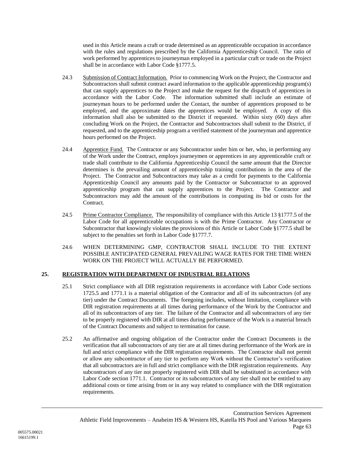used in this Article means a craft or trade determined as an apprenticeable occupation in accordance with the rules and regulations prescribed by the California Apprenticeship Council. The ratio of work performed by apprentices to journeyman employed in a particular craft or trade on the Project shall be in accordance with Labor Code §1777.5.

- 24.3 Submission of Contract Information. Prior to commencing Work on the Project, the Contractor and Subcontractors shall submit contract award information to the applicable apprenticeship program(s) that can supply apprentices to the Project and make the request for the dispatch of apprentices in accordance with the Labor Code. The information submitted shall include an estimate of journeyman hours to be performed under the Contact, the number of apprentices proposed to be employed, and the approximate dates the apprentices would be employed. A copy of this information shall also be submitted to the District if requested. Within sixty (60) days after concluding Work on the Project, the Contractor and Subcontractors shall submit to the District, if requested, and to the apprenticeship program a verified statement of the journeyman and apprentice hours performed on the Project.
- 24.4 Apprentice Fund. The Contractor or any Subcontractor under him or her, who, in performing any of the Work under the Contract, employs journeymen or apprentices in any apprenticeable craft or trade shall contribute to the California Apprenticeship Council the same amount that the Director determines is the prevailing amount of apprenticeship training contributions in the area of the Project. The Contractor and Subcontractors may take as a credit for payments to the California Apprenticeship Council any amounts paid by the Contractor or Subcontractor to an approved apprenticeship program that can supply apprentices to the Project. The Contractor and Subcontractors may add the amount of the contributions in computing its bid or costs for the Contract.
- 24.5 Prime Contractor Compliance. The responsibility of compliance with this Article 13 §1777.5 of the Labor Code for all apprenticeable occupations is with the Prime Contractor. Any Contractor or Subcontractor that knowingly violates the provisions of this Article or Labor Code §1777.5 shall be subject to the penalties set forth in Labor Code §1777.7.
- 24.6 WHEN DETERMINING GMP, CONTRACTOR SHALL INCLUDE TO THE EXTENT POSSIBLE ANTICIPATED GENERAL PREVAILING WAGE RATES FOR THE TIME WHEN WORK ON THE PROJECT WILL ACTUALLY BE PERFORMED.

# **25. REGISTRATION WITH DEPARTMENT OF INDUSTRIAL RELATIONS**

- 25.1 Strict compliance with all DIR registration requirements in accordance with Labor Code sections 1725.5 and 1771.1 is a material obligation of the Contractor and all of its subcontractors (of any tier) under the Contract Documents. The foregoing includes, without limitation, compliance with DIR registration requirements at all times during performance of the Work by the Contractor and all of its subcontractors of any tier. The failure of the Contractor and all subcontractors of any tier to be properly registered with DIR at all times during performance of the Work is a material breach of the Contract Documents and subject to termination for cause.
- 25.2 An affirmative and ongoing obligation of the Contractor under the Contract Documents is the verification that all subcontractors of any tier are at all times during performance of the Work are in full and strict compliance with the DIR registration requirements. The Contractor shall not permit or allow any subcontractor of any tier to perform any Work without the Contractor's verification that all subcontractors are in full and strict compliance with the DIR registration requirements. Any subcontractors of any tier not properly registered with DIR shall be substituted in accordance with Labor Code section 1771.1. Contractor or its subcontractors of any tier shall not be entitled to any additional costs or time arising from or in any way related to compliance with the DIR registration requirements.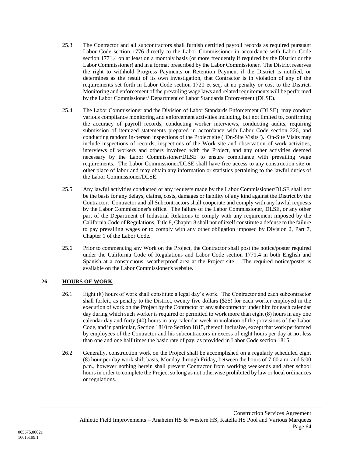- 25.3 The Contractor and all subcontractors shall furnish certified payroll records as required pursuant Labor Code section 1776 directly to the Labor Commissioner in accordance with Labor Code section 1771.4 on at least on a monthly basis (or more frequently if required by the District or the Labor Commissioner) and in a format prescribed by the Labor Commissioner. The District reserves the right to withhold Progress Payments or Retention Payment if the District is notified, or determines as the result of its own investigation, that Contractor is in violation of any of the requirements set forth in Labor Code section 1720 et seq. at no penalty or cost to the District. Monitoring and enforcement of the prevailing wage laws and related requirements will be performed by the Labor Commissioner/ Department of Labor Standards Enforcement (DLSE).
- 25.4 The Labor Commissioner and the Division of Labor Standards Enforcement (DLSE) may conduct various compliance monitoring and enforcement activities including, but not limited to, confirming the accuracy of payroll records, conducting worker interviews, conducting audits, requiring submission of itemized statements prepared in accordance with Labor Code section 226, and conducting random in-person inspections of the Project site ("On-Site Visits"). On-Site Visits may include inspections of records, inspections of the Work site and observation of work activities, interviews of workers and others involved with the Project, and any other activities deemed necessary by the Labor Commissioner/DLSE to ensure compliance with prevailing wage requirements. The Labor Commissioner/DLSE shall have free access to any construction site or other place of labor and may obtain any information or statistics pertaining to the lawful duties of the Labor Commissioner/DLSE.
- 25.5 Any lawful activities conducted or any requests made by the Labor Commissioner/DLSE shall not be the basis for any delays, claims, costs, damages or liability of any kind against the District by the Contractor. Contractor and all Subcontractors shall cooperate and comply with any lawful requests by the Labor Commissioner's office. The failure of the Labor Commissioner, DLSE, or any other part of the Department of Industrial Relations to comply with any requirement imposed by the California Code of Regulations, Title 8, Chapter 8 shall not of itself constitute a defense to the failure to pay prevailing wages or to comply with any other obligation imposed by Division 2, Part 7, Chapter 1 of the Labor Code.
- 25.6 Prior to commencing any Work on the Project, the Contractor shall post the notice/poster required under the California Code of Regulations and Labor Code section 1771.4 in both English and Spanish at a conspicuous, weatherproof area at the Project site. The required notice/poster is available on the Labor Commissioner's website.

## **26. HOURS OF WORK**

- 26.1 Eight (8) hours of work shall constitute a legal day's work. The Contractor and each subcontractor shall forfeit, as penalty to the District, twenty five dollars (\$25) for each worker employed in the execution of work on the Project by the Contractor or any subcontractor under him for each calendar day during which such worker is required or permitted to work more than eight (8) hours in any one calendar day and forty (40) hours in any calendar week in violation of the provisions of the Labor Code, and in particular, Section 1810 to Section 1815, thereof, inclusive, except that work performed by employees of the Contractor and his subcontractors in excess of eight hours per day at not less than one and one half times the basic rate of pay, as provided in Labor Code section 1815.
- 26.2 Generally, construction work on the Project shall be accomplished on a regularly scheduled eight (8) hour per day work shift basis, Monday through Friday, between the hours of 7:00 a.m. and 5:00 p.m., however nothing herein shall prevent Contractor from working weekends and after school hours in order to complete the Project so long as not otherwise prohibited by law or local ordinances or regulations.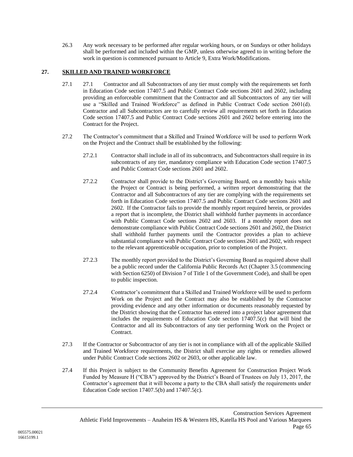26.3 Any work necessary to be performed after regular working hours, or on Sundays or other holidays shall be performed and included within the GMP, unless otherwise agreed to in writing before the work in question is commenced pursuant to Article [9,](#page-20-0) Extra Work/Modifications.

## **27. SKILLED AND TRAINED WORKFORCE**

- 27.1 27.1 Contractor and all Subcontractors of any tier must comply with the requirements set forth in Education Code section 17407.5 and Public Contract Code sections 2601 and 2602, including providing an enforceable commitment that the Contractor and all Subcontractors of any tier will use a "Skilled and Trained Workforce" as defined in Public Contract Code section 2601(d). Contractor and all Subcontractors are to carefully review all requirements set forth in Education Code section 17407.5 and Public Contract Code sections 2601 and 2602 before entering into the Contract for the Project.
- 27.2 The Contractor's commitment that a Skilled and Trained Workforce will be used to perform Work on the Project and the Contract shall be established by the following:
	- 27.2.1 Contractor shall include in all of its subcontracts, and Subcontractors shall require in its subcontracts of any tier, mandatory compliance with Education Code section 17407.5 and Public Contract Code sections 2601 and 2602.
	- 27.2.2 Contractor shall provide to the District's Governing Board, on a monthly basis while the Project or Contract is being performed, a written report demonstrating that the Contractor and all Subcontractors of any tier are complying with the requirements set forth in Education Code section 17407.5 and Public Contract Code sections 2601 and 2602. If the Contractor fails to provide the monthly report required herein, or provides a report that is incomplete, the District shall withhold further payments in accordance with Public Contract Code sections 2602 and 2603. If a monthly report does not demonstrate compliance with Public Contract Code sections 2601 and 2602, the District shall withhold further payments until the Contractor provides a plan to achieve substantial compliance with Public Contract Code sections 2601 and 2602, with respect to the relevant apprenticeable occupation, prior to completion of the Project.
	- 27.2.3 The monthly report provided to the District's Governing Board as required above shall be a public record under the California Public Records Act (Chapter 3.5 (commencing with Section 6250) of Division 7 of Title 1 of the Government Code), and shall be open to public inspection.
	- 27.2.4 Contractor's commitment that a Skilled and Trained Workforce will be used to perform Work on the Project and the Contract may also be established by the Contractor providing evidence and any other information or documents reasonably requested by the District showing that the Contractor has entered into a project labor agreement that includes the requirements of Education Code section 17407.5(c) that will bind the Contractor and all its Subcontractors of any tier performing Work on the Project or Contract.
- 27.3 If the Contractor or Subcontractor of any tier is not in compliance with all of the applicable Skilled and Trained Workforce requirements, the District shall exercise any rights or remedies allowed under Public Contract Code sections 2602 or 2603, or other applicable law.
- 27.4 If this Project is subject to the Community Benefits Agreement for Construction Project Work Funded by Measure H ("CBA") approved by the District's Board of Trustees on July 13, 2017, the Contractor's agreement that it will become a party to the CBA shall satisfy the requirements under Education Code section 17407.5(b) and 17407.5(c).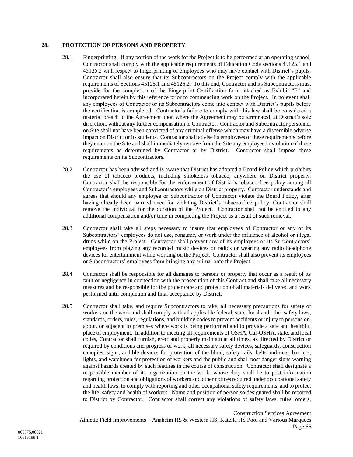### **28. PROTECTION OF PERSONS AND PROPERTY**

- 28.1 Fingerprinting. If any portion of the work for the Project is to be performed at an operating school, Contractor shall comply with the applicable requirements of Education Code sections 45125.1 and 45125.2 with respect to fingerprinting of employees who may have contact with District's pupils. Contractor shall also ensure that its Subcontractors on the Project comply with the applicable requirements of Sections 45125.1 and 45125.2. To this end, Contractor and its Subcontractors must provide for the completion of the Fingerprint Certification form attached as Exhibit "F" and incorporated herein by this reference prior to commencing work on the Project. In no event shall any employees of Contractor or its Subcontractors come into contact with District's pupils before the certification is completed. Contractor's failure to comply with this law shall be considered a material breach of the Agreement upon where the Agreement may be terminated, at District's sole discretion, without any further compensation to Contractor. Contractor and Subcontractor personnel on Site shall not have been convicted of any criminal offense which may have a discernible adverse impact on District or its students. Contractor shall advise its employees of these requirements before they enter on the Site and shall immediately remove from the Site any employee in violation of these requirements as determined by Contractor or by District. Contractor shall impose these requirements on its Subcontractors.
- 28.2 Contractor has been advised and is aware that District has adopted a Board Policy which prohibits the use of tobacco products, including smokeless tobacco, anywhere on District property. Contractor shall be responsible for the enforcement of District's tobacco-free policy among all Contractor's employees and Subcontractors while on District property. Contractor understands and agrees that should any employee or Subcontractor of Contractor violate the Board Policy, after having already been warned once for violating District's tobacco-free policy, Contractor shall remove the individual for the duration of the Project. Contractor shall not be entitled to any additional compensation and/or time in completing the Project as a result of such removal.
- 28.3 Contractor shall take all steps necessary to insure that employees of Contractor or any of its Subcontractors' employees do not use, consume, or work under the influence of alcohol or illegal drugs while on the Project. Contractor shall prevent any of its employees or its Subcontractors' employees from playing any recorded music devices or radios or wearing any radio headphone devices for entertainment while working on the Project. Contractor shall also prevent its employees or Subcontractors' employees from bringing any animal onto the Project.
- 28.4 Contractor shall be responsible for all damages to persons or property that occur as a result of its fault or negligence in connection with the prosecution of this Contract and shall take all necessary measures and be responsible for the proper care and protection of all materials delivered and work performed until completion and final acceptance by District.
- 28.5 Contractor shall take, and require Subcontractors to take, all necessary precautions for safety of workers on the work and shall comply with all applicable federal, state, local and other safety laws, standards, orders, rules, regulations, and building codes to prevent accidents or injury to persons on, about, or adjacent to premises where work is being performed and to provide a safe and healthful place of employment. In addition to meeting all requirements of OSHA, Cal-OSHA, state, and local codes, Contractor shall furnish, erect and properly maintain at all times, as directed by District or required by conditions and progress of work, all necessary safety devices, safeguards, construction canopies, signs, audible devices for protection of the blind, safety rails, belts and nets, barriers, lights, and watchmen for protection of workers and the public and shall post danger signs warning against hazards created by such features in the course of construction. Contractor shall designate a responsible member of its organization on the work, whose duty shall be to post information regarding protection and obligations of workers and other notices required under occupational safety and health laws, to comply with reporting and other occupational safety requirements, and to protect the life, safety and health of workers. Name and position of person so designated shall be reported to District by Contractor. Contractor shall correct any violations of safety laws, rules, orders,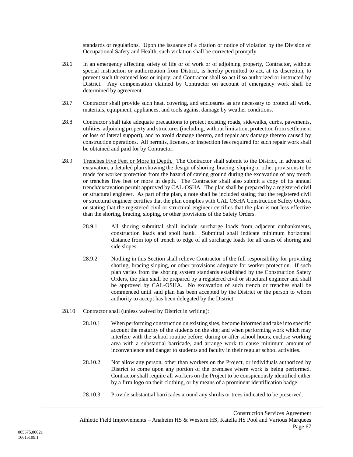standards or regulations. Upon the issuance of a citation or notice of violation by the Division of Occupational Safety and Health, such violation shall be corrected promptly.

- 28.6 In an emergency affecting safety of life or of work or of adjoining property, Contractor, without special instruction or authorization from District, is hereby permitted to act, at its discretion, to prevent such threatened loss or injury; and Contractor shall so act if so authorized or instructed by District. Any compensation claimed by Contractor on account of emergency work shall be determined by agreement.
- 28.7 Contractor shall provide such heat, covering, and enclosures as are necessary to protect all work, materials, equipment, appliances, and tools against damage by weather conditions.
- 28.8 Contractor shall take adequate precautions to protect existing roads, sidewalks, curbs, pavements, utilities, adjoining property and structures (including, without limitation, protection from settlement or loss of lateral support), and to avoid damage thereto, and repair any damage thereto caused by construction operations. All permits, licenses, or inspection fees required for such repair work shall be obtained and paid for by Contractor.
- 28.9 Trenches Five Feet or More in Depth. The Contractor shall submit to the District, in advance of excavation, a detailed plan showing the design of shoring, bracing, sloping or other provisions to be made for worker protection from the hazard of caving ground during the excavation of any trench or trenches five feet or more in depth. The Contractor shall also submit a copy of its annual trench/excavation permit approved by CAL-OSHA. The plan shall be prepared by a registered civil or structural engineer. As part of the plan, a note shall be included stating that the registered civil or structural engineer certifies that the plan complies with CAL OSHA Construction Safety Orders, or stating that the registered civil or structural engineer certifies that the plan is not less effective than the shoring, bracing, sloping, or other provisions of the Safety Orders.
	- 28.9.1 All shoring submittal shall include surcharge loads from adjacent embankments, construction loads and spoil bank. Submittal shall indicate minimum horizontal distance from top of trench to edge of all surcharge loads for all cases of shoring and side slopes.
	- 28.9.2 Nothing in this Section shall relieve Contractor of the full responsibility for providing shoring, bracing sloping, or other provisions adequate for worker protection. If such plan varies from the shoring system standards established by the Construction Safety Orders, the plan shall be prepared by a registered civil or structural engineer and shall be approved by CAL-OSHA. No excavation of such trench or trenches shall be commenced until said plan has been accepted by the District or the person to whom authority to accept has been delegated by the District.
- 28.10 Contractor shall (unless waived by District in writing):
	- 28.10.1 When performing construction on existing sites, become informed and take into specific account the maturity of the students on the site; and when performing work which may interfere with the school routine before, during or after school hours, enclose working area with a substantial barricade, and arrange work to cause minimum amount of inconvenience and danger to students and faculty in their regular school activities.
	- 28.10.2 Not allow any person, other than workers on the Project, or individuals authorized by District to come upon any portion of the premises where work is being performed. Contractor shall require all workers on the Project to be conspicuously identified either by a firm logo on their clothing, or by means of a prominent identification badge.
	- 28.10.3 Provide substantial barricades around any shrubs or trees indicated to be preserved.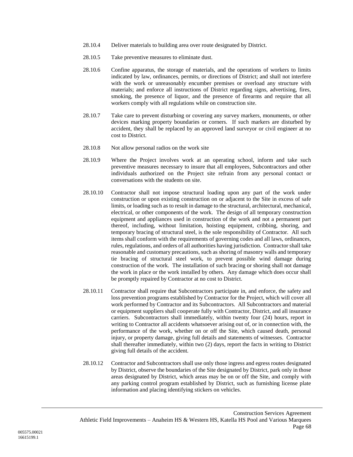- 28.10.4 Deliver materials to building area over route designated by District.
- 28.10.5 Take preventive measures to eliminate dust.
- 28.10.6 Confine apparatus, the storage of materials, and the operations of workers to limits indicated by law, ordinances, permits, or directions of District; and shall not interfere with the work or unreasonably encumber premises or overload any structure with materials; and enforce all instructions of District regarding signs, advertising, fires, smoking, the presence of liquor, and the presence of firearms and require that all workers comply with all regulations while on construction site.
- 28.10.7 Take care to prevent disturbing or covering any survey markers, monuments, or other devices marking property boundaries or corners. If such markers are disturbed by accident, they shall be replaced by an approved land surveyor or civil engineer at no cost to District.
- 28.10.8 Not allow personal radios on the work site
- 28.10.9 Where the Project involves work at an operating school, inform and take such preventive measures necessary to insure that all employees, Subcontractors and other individuals authorized on the Project site refrain from any personal contact or conversations with the students on site.
- 28.10.10 Contractor shall not impose structural loading upon any part of the work under construction or upon existing construction on or adjacent to the Site in excess of safe limits, or loading such as to result in damage to the structural, architectural, mechanical, electrical, or other components of the work. The design of all temporary construction equipment and appliances used in construction of the work and not a permanent part thereof, including, without limitation, hoisting equipment, cribbing, shoring, and temporary bracing of structural steel, is the sole responsibility of Contractor. All such items shall conform with the requirements of governing codes and all laws, ordinances, rules, regulations, and orders of all authorities having jurisdiction. Contractor shall take reasonable and customary precautions, such as shoring of masonry walls and temporary tie bracing of structural steel work, to prevent possible wind damage during construction of the work. The installation of such bracing or shoring shall not damage the work in place or the work installed by others. Any damage which does occur shall be promptly repaired by Contractor at no cost to District.
- 28.10.11 Contractor shall require that Subcontractors participate in, and enforce, the safety and loss prevention programs established by Contractor for the Project, which will cover all work performed by Contractor and its Subcontractors. All Subcontractors and material or equipment suppliers shall cooperate fully with Contractor, District, and all insurance carriers. Subcontractors shall immediately, within twenty four (24) hours, report in writing to Contractor all accidents whatsoever arising out of, or in connection with, the performance of the work, whether on or off the Site, which caused death, personal injury, or property damage, giving full details and statements of witnesses. Contractor shall thereafter immediately, within two (2) days, report the facts in writing to District giving full details of the accident.
- 28.10.12 Contractor and Subcontractors shall use only those ingress and egress routes designated by District, observe the boundaries of the Site designated by District, park only in those areas designated by District, which areas may be on or off the Site, and comply with any parking control program established by District, such as furnishing license plate information and placing identifying stickers on vehicles.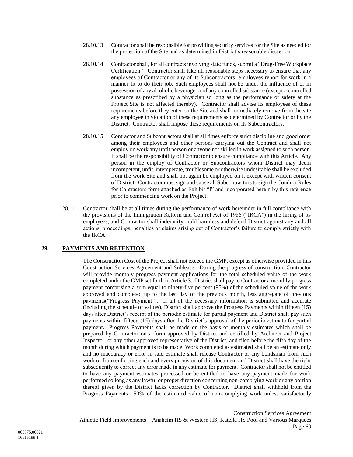- 28.10.13 Contractor shall be responsible for providing security services for the Site as needed for the protection of the Site and as determined in District's reasonable discretion.
- 28.10.14 Contractor shall, for all contracts involving state funds, submit a "Drug-Free Workplace Certification." Contractor shall take all reasonable steps necessary to ensure that any employees of Contractor or any of its Subcontractors' employees report for work in a manner fit to do their job. Such employees shall not be under the influence of or in possession of any alcoholic beverage or of any controlled substance (except a controlled substance as prescribed by a physician so long as the performance or safety at the Project Site is not affected thereby). Contractor shall advise its employees of these requirements before they enter on the Site and shall immediately remove from the site any employee in violation of these requirements as determined by Contractor or by the District. Contractor shall impose these requirements on its Subcontractors.
- 28.10.15 Contractor and Subcontractors shall at all times enforce strict discipline and good order among their employees and other persons carrying out the Contract and shall not employ on work any unfit person or anyone not skilled in work assigned to such person. It shall be the responsibility of Contractor to ensure compliance with this Article. Any person in the employ of Contractor or Subcontractors whom District may deem incompetent, unfit, intemperate, troublesome or otherwise undesirable shall be excluded from the work Site and shall not again be employed on it except with written consent of District. Contractor must sign and cause all Subcontractors to sign the Conduct Rules for Contractors form attached as Exhibit "I" and incorporated herein by this reference prior to commencing work on the Project.
- 28.11 Contractor shall be at all times during the performance of work hereunder in full compliance with the provisions of the Immigration Reform and Control Act of 1986 ("IRCA") in the hiring of its employees, and Contractor shall indemnify, hold harmless and defend District against any and all actions, proceedings, penalties or claims arising out of Contractor's failure to comply strictly with the IRCA.

### **29. PAYMENTS AND RETENTION**

The Construction Cost of the Project shall not exceed the GMP, except as otherwise provided in this Construction Services Agreement and Sublease. During the progress of construction, Contractor will provide monthly progress payment applications for the total scheduled value of the work completed under the GMP set forth in Article 3. District shall pay to Contractor a monthly progress payment comprising a sum equal to ninety-five percent (95%) of the scheduled value of the work approved and completed up to the last day of the previous month, less aggregate of previous payments("Progress Payment"). If all of the necessary information is submitted and accurate (including the schedule of values), District shall approve the Progress Payments within fifteen (15) days after District's receipt of the periodic estimate for partial payment and District shall pay such payments within fifteen (15) days after the District's approval of the periodic estimate for partial payment. Progress Payments shall be made on the basis of monthly estimates which shall be prepared by Contractor on a form approved by District and certified by Architect and Project Inspector, or any other approved representative of the District, and filed before the fifth day of the month during which payment is to be made. Work completed as estimated shall be an estimate only and no inaccuracy or error in said estimate shall release Contractor or any bondsman from such work or from enforcing each and every provision of this document and District shall have the right subsequently to correct any error made in any estimate for payment. Contractor shall not be entitled to have any payment estimates processed or be entitled to have any payment made for work performed so long as any lawful or proper direction concerning non-complying work or any portion thereof given by the District lacks correction by Contractor. District shall withhold from the Progress Payments 150% of the estimated value of non-complying work unless satisfactorily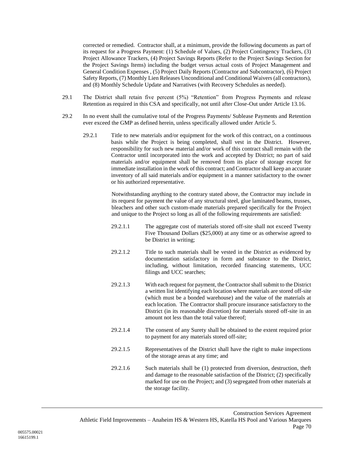corrected or remedied. Contractor shall, at a minimum, provide the following documents as part of its request for a Progress Payment: (1) Schedule of Values, (2) Project Contingency Trackers, (3) Project Allowance Trackers, (4) Project Savings Reports (Refer to the Project Savings Section for the Project Savings Items) including the budget versus actual costs of Project Management and General Condition Expenses , (5) Project Daily Reports (Contractor and Subcontractor), (6) Project Safety Reports, (7) Monthly Lien Releases Unconditional and Conditional Waivers (all contractors), and (8) Monthly Schedule Update and Narratives (with Recovery Schedules as needed).

- 29.1 The District shall retain five percent (5%) "Retention" from Progress Payments and release Retention as required in this CSA and specifically, not until after Close-Out under Article [13.16.](#page-32-0)
- 29.2 In no event shall the cumulative total of the Progress Payments/ Sublease Payments and Retention ever exceed the GMP as defined herein, unless specifically allowed under Article [5.](#page-12-0)
	- 29.2.1 Title to new materials and/or equipment for the work of this contract, on a continuous basis while the Project is being completed, shall vest in the District. However, responsibility for such new material and/or work of this contract shall remain with the Contractor until incorporated into the work and accepted by District; no part of said materials and/or equipment shall be removed from its place of storage except for immediate installation in the work of this contract; and Contractor shall keep an accurate inventory of all said materials and/or equipment in a manner satisfactory to the owner or his authorized representative.

Notwithstanding anything to the contrary stated above, the Contractor may include in its request for payment the value of any structural steel, glue laminated beams, trusses, bleachers and other such custom-made materials prepared specifically for the Project and unique to the Project so long as all of the following requirements are satisfied:

- 29.2.1.1 The aggregate cost of materials stored off-site shall not exceed Twenty Five Thousand Dollars (\$25,000) at any time or as otherwise agreed to be District in writing;
- 29.2.1.2 Title to such materials shall be vested in the District as evidenced by documentation satisfactory in form and substance to the District, including, without limitation, recorded financing statements, UCC filings and UCC searches;
- 29.2.1.3 With each request for payment, the Contractor shall submit to the District a written list identifying each location where materials are stored off-site (which must be a bonded warehouse) and the value of the materials at each location. The Contractor shall procure insurance satisfactory to the District (in its reasonable discretion) for materials stored off-site in an amount not less than the total value thereof;
- 29.2.1.4 The consent of any Surety shall be obtained to the extent required prior to payment for any materials stored off-site;
- 29.2.1.5 Representatives of the District shall have the right to make inspections of the storage areas at any time; and
- 29.2.1.6 Such materials shall be (1) protected from diversion, destruction, theft and damage to the reasonable satisfaction of the District; (2) specifically marked for use on the Project; and (3) segregated from other materials at the storage facility.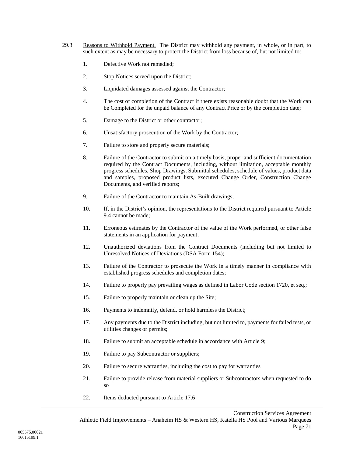- <span id="page-73-0"></span>29.3 Reasons to Withhold Payment. The District may withhold any payment, in whole, or in part, to such extent as may be necessary to protect the District from loss because of, but not limited to:
	- 1. Defective Work not remedied;
	- 2. Stop Notices served upon the District;
	- 3. Liquidated damages assessed against the Contractor;
	- 4. The cost of completion of the Contract if there exists reasonable doubt that the Work can be Completed for the unpaid balance of any Contract Price or by the completion date;
	- 5. Damage to the District or other contractor;
	- 6. Unsatisfactory prosecution of the Work by the Contractor;
	- 7. Failure to store and properly secure materials;
	- 8. Failure of the Contractor to submit on a timely basis, proper and sufficient documentation required by the Contract Documents, including, without limitation, acceptable monthly progress schedules, Shop Drawings, Submittal schedules, schedule of values, product data and samples, proposed product lists, executed Change Order, Construction Change Documents, and verified reports;
	- 9. Failure of the Contractor to maintain As-Built drawings;
	- 10. If, in the District's opinion, the representations to the District required pursuant to Article 9.4 cannot be made;
	- 11. Erroneous estimates by the Contractor of the value of the Work performed, or other false statements in an application for payment;
	- 12. Unauthorized deviations from the Contract Documents (including but not limited to Unresolved Notices of Deviations (DSA Form 154);
	- 13. Failure of the Contractor to prosecute the Work in a timely manner in compliance with established progress schedules and completion dates;
	- 14. Failure to properly pay prevailing wages as defined in Labor Code section 1720, et seq.;
	- 15. Failure to properly maintain or clean up the Site;
	- 16. Payments to indemnify, defend, or hold harmless the District;
	- 17. Any payments due to the District including, but not limited to, payments for failed tests, or utilities changes or permits;
	- 18. Failure to submit an acceptable schedule in accordance with Article [9;](#page-20-0)
	- 19. Failure to pay Subcontractor or suppliers;
	- 20. Failure to secure warranties, including the cost to pay for warranties
	- 21. Failure to provide release from material suppliers or Subcontractors when requested to do so
	- 22. Items deducted pursuant to Article [17.6](#page-48-0)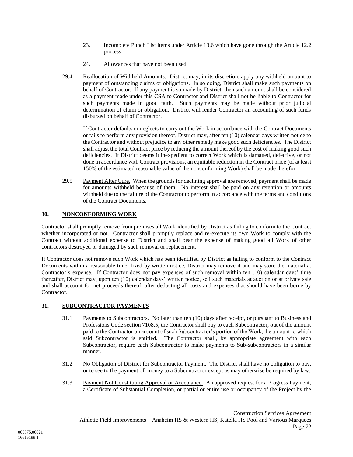- 23. Incomplete Punch List items under Article [13.6](#page-27-0) which have gone through the Article [12.2](#page-25-0) process
- 24. Allowances that have not been used
- <span id="page-74-0"></span>29.4 Reallocation of Withheld Amounts. District may, in its discretion, apply any withheld amount to payment of outstanding claims or obligations. In so doing, District shall make such payments on behalf of Contractor. If any payment is so made by District, then such amount shall be considered as a payment made under this CSA to Contractor and District shall not be liable to Contractor for such payments made in good faith. Such payments may be made without prior judicial determination of claim or obligation. District will render Contractor an accounting of such funds disbursed on behalf of Contractor.

If Contractor defaults or neglects to carry out the Work in accordance with the Contract Documents or fails to perform any provision thereof, District may, after ten (10) calendar days written notice to the Contractor and without prejudice to any other remedy make good such deficiencies. The District shall adjust the total Contract price by reducing the amount thereof by the cost of making good such deficiencies. If District deems it inexpedient to correct Work which is damaged, defective, or not done in accordance with Contract provisions, an equitable reduction in the Contract price (of at least 150% of the estimated reasonable value of the nonconforming Work) shall be made therefor.

29.5 Payment After Cure. When the grounds for declining approval are removed, payment shall be made for amounts withheld because of them. No interest shall be paid on any retention or amounts withheld due to the failure of the Contractor to perform in accordance with the terms and conditions of the Contract Documents.

# **30. NONCONFORMING WORK**

Contractor shall promptly remove from premises all Work identified by District as failing to conform to the Contract whether incorporated or not. Contractor shall promptly replace and re-execute its own Work to comply with the Contract without additional expense to District and shall bear the expense of making good all Work of other contractors destroyed or damaged by such removal or replacement.

If Contractor does not remove such Work which has been identified by District as failing to conform to the Contract Documents within a reasonable time, fixed by written notice, District may remove it and may store the material at Contractor's expense. If Contractor does not pay expenses of such removal within ten (10) calendar days' time thereafter, District may, upon ten (10) calendar days' written notice, sell such materials at auction or at private sale and shall account for net proceeds thereof, after deducting all costs and expenses that should have been borne by Contractor.

# **31. SUBCONTRACTOR PAYMENTS**

- 31.1 Payments to Subcontractors. No later than ten (10) days after receipt, or pursuant to Business and Professions Code section 7108.5, the Contractor shall pay to each Subcontractor, out of the amount paid to the Contractor on account of such Subcontractor's portion of the Work, the amount to which said Subcontractor is entitled. The Contractor shall, by appropriate agreement with each Subcontractor, require each Subcontractor to make payments to Sub-subcontractors in a similar manner.
- 31.2 No Obligation of District for Subcontractor Payment. The District shall have no obligation to pay, or to see to the payment of, money to a Subcontractor except as may otherwise be required by law.
- 31.3 Payment Not Constituting Approval or Acceptance. An approved request for a Progress Payment, a Certificate of Substantial Completion, or partial or entire use or occupancy of the Project by the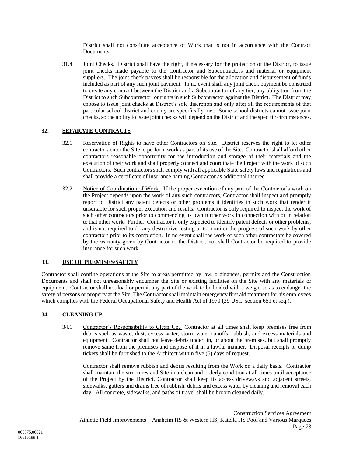District shall not constitute acceptance of Work that is not in accordance with the Contract Documents.

31.4 Joint Checks. District shall have the right, if necessary for the protection of the District, to issue joint checks made payable to the Contractor and Subcontractors and material or equipment suppliers. The joint check payees shall be responsible for the allocation and disbursement of funds included as part of any such joint payment. In no event shall any joint check payment be construed to create any contract between the District and a Subcontractor of any tier, any obligation from the District to such Subcontractor, or rights in such Subcontractor against the District. The District may choose to issue joint checks at District's sole discretion and only after all the requirements of that particular school district and county are specifically met. Some school districts cannot issue joint checks, so the ability to issue joint checks will depend on the District and the specific circumstances.

# **32. SEPARATE CONTRACTS**

- 32.1 Reservation of Rights to have other Contractors on Site. District reserves the right to let other contractors enter the Site to perform work as part of its use of the Site. Contractor shall afford other contractors reasonable opportunity for the introduction and storage of their materials and the execution of their work and shall properly connect and coordinate the Project with the work of such Contractors. Such contractors shall comply with all applicable State safety laws and regulations and shall provide a certificate of insurance naming Contractor as additional insured
- 32.2 Notice of Coordination of Work. If the proper execution of any part of the Contractor's work on the Project depends upon the work of any such contractors, Contractor shall inspect and promptly report to District any patent defects or other problems it identifies in such work that render it unsuitable for such proper execution and results. Contractor is only required to inspect the work of such other contractors prior to commencing its own further work in connection with or in relation to that other work. Further, Contractor is only expected to identify patent defects or other problems, and is not required to do any destructive testing or to monitor the progress of such work by other contractors prior to its completion. In no event shall the work of such other contractors be covered by the warranty given by Contractor to the District, nor shall Contractor be required to provide insurance for such work.

# **33. USE OF PREMISES/SAFETY**

Contractor shall confine operations at the Site to areas permitted by law, ordinances, permits and the Construction Documents and shall not unreasonably encumber the Site or existing facilities on the Site with any materials or equipment. Contractor shall not load or permit any part of the work to be loaded with a weight so as to endanger the safety of persons or property at the Site. The Contractor shall maintain emergency first aid treatment for his employees which complies with the Federal Occupational Safety and Health Act of 1970 (29 USC, section 651 et seq.).

# <span id="page-75-0"></span>**34. CLEANING UP**

34.1 Contractor's Responsibility to Clean Up. Contractor at all times shall keep premises free from debris such as waste, dust, excess water, storm water runoffs, rubbish, and excess materials and equipment. Contractor shall not leave debris under, in, or about the premises, but shall promptly remove same from the premises and dispose of it in a lawful manner. Disposal receipts or dump tickets shall be furnished to the Architect within five (5) days of request.

Contractor shall remove rubbish and debris resulting from the Work on a daily basis. Contractor shall maintain the structures and Site in a clean and orderly condition at all times until acceptance of the Project by the District. Contractor shall keep its access driveways and adjacent streets, sidewalks, gutters and drains free of rubbish, debris and excess water by cleaning and removal each day. All concrete, sidewalks, and paths of travel shall be broom cleaned daily.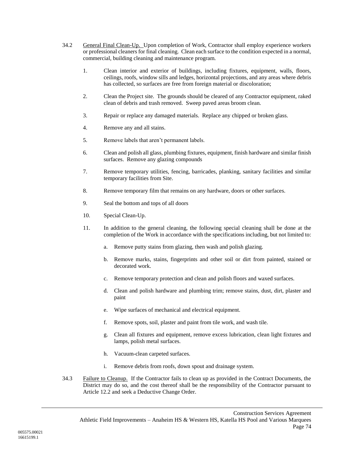- 34.2 General Final Clean-Up. Upon completion of Work, Contractor shall employ experience workers or professional cleaners for final cleaning. Clean each surface to the condition expected in a normal, commercial, building cleaning and maintenance program.
	- 1. Clean interior and exterior of buildings, including fixtures, equipment, walls, floors, ceilings, roofs, window sills and ledges, horizontal projections, and any areas where debris has collected, so surfaces are free from foreign material or discoloration;
	- 2. Clean the Project site. The grounds should be cleared of any Contractor equipment, raked clean of debris and trash removed. Sweep paved areas broom clean.
	- 3. Repair or replace any damaged materials. Replace any chipped or broken glass.
	- 4. Remove any and all stains.
	- 5. Remove labels that aren't permanent labels.
	- 6. Clean and polish all glass, plumbing fixtures, equipment, finish hardware and similar finish surfaces. Remove any glazing compounds
	- 7. Remove temporary utilities, fencing, barricades, planking, sanitary facilities and similar temporary facilities from Site.
	- 8. Remove temporary film that remains on any hardware, doors or other surfaces.
	- 9. Seal the bottom and tops of all doors
	- 10. Special Clean-Up.
	- 11. In addition to the general cleaning, the following special cleaning shall be done at the completion of the Work in accordance with the specifications including, but not limited to:
		- a. Remove putty stains from glazing, then wash and polish glazing.
		- b. Remove marks, stains, fingerprints and other soil or dirt from painted, stained or decorated work.
		- c. Remove temporary protection and clean and polish floors and waxed surfaces.
		- d. Clean and polish hardware and plumbing trim; remove stains, dust, dirt, plaster and paint
		- e. Wipe surfaces of mechanical and electrical equipment.
		- f. Remove spots, soil, plaster and paint from tile work, and wash tile.
		- g. Clean all fixtures and equipment, remove excess lubrication, clean light fixtures and lamps, polish metal surfaces.
		- h. Vacuum-clean carpeted surfaces.
		- i. Remove debris from roofs, down spout and drainage system.
- 34.3 Failure to Cleanup. If the Contractor fails to clean up as provided in the Contract Documents, the District may do so, and the cost thereof shall be the responsibility of the Contractor pursuant to Article [12.2](#page-25-0) and seek a Deductive Change Order.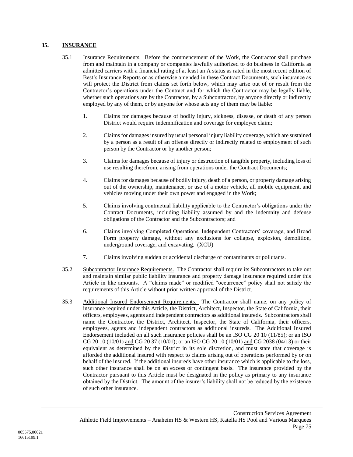# **35. INSURANCE**

- 35.1 Insurance Requirements. Before the commencement of the Work, the Contractor shall purchase from and maintain in a company or companies lawfully authorized to do business in California as admitted carriers with a financial rating of at least an A status as rated in the most recent edition of Best's Insurance Reports or as otherwise amended in these Contract Documents, such insurance as will protect the District from claims set forth below, which may arise out of or result from the Contractor's operations under the Contract and for which the Contractor may be legally liable, whether such operations are by the Contractor, by a Subcontractor, by anyone directly or indirectly employed by any of them, or by anyone for whose acts any of them may be liable:
	- 1. Claims for damages because of bodily injury, sickness, disease, or death of any person District would require indemnification and coverage for employee claim;
	- 2. Claims for damages insured by usual personal injury liability coverage, which are sustained by a person as a result of an offense directly or indirectly related to employment of such person by the Contractor or by another person;
	- 3. Claims for damages because of injury or destruction of tangible property, including loss of use resulting therefrom, arising from operations under the Contract Documents;
	- 4. Claims for damages because of bodily injury, death of a person, or property damage arising out of the ownership, maintenance, or use of a motor vehicle, all mobile equipment, and vehicles moving under their own power and engaged in the Work;
	- 5. Claims involving contractual liability applicable to the Contractor's obligations under the Contract Documents, including liability assumed by and the indemnity and defense obligations of the Contractor and the Subcontractors; and
	- 6. Claims involving Completed Operations, Independent Contractors' coverage, and Broad Form property damage, without any exclusions for collapse, explosion, demolition, underground coverage, and excavating. (XCU)
	- 7. Claims involving sudden or accidental discharge of contaminants or pollutants.
- 35.2 Subcontractor Insurance Requirements. The Contractor shall require its Subcontractors to take out and maintain similar public liability insurance and property damage insurance required under this Article in like amounts. A "claims made" or modified "occurrence" policy shall not satisfy the requirements of this Article without prior written approval of the District.
- 35.3 Additional Insured Endorsement Requirements. The Contractor shall name, on any policy of insurance required under this Article, the District, Architect, Inspector, the State of California, their officers, employees, agents and independent contractors as additional insureds. Subcontractors shall name the Contractor, the District, Architect, Inspector, the State of California, their officers, employees, agents and independent contractors as additional insureds. The Additional Insured Endorsement included on all such insurance policies shall be an ISO CG 20 10 (11/85); or an ISO CG 20 10 (10/01) and CG 20 37 (10/01); or an ISO CG 20 10 (10/01) and CG 2038 (04/13) or their equivalent as determined by the District in its sole discretion, and must state that coverage is afforded the additional insured with respect to claims arising out of operations performed by or on behalf of the insured. If the additional insureds have other insurance which is applicable to the loss, such other insurance shall be on an excess or contingent basis. The insurance provided by the Contractor pursuant to this Article must be designated in the policy as primary to any insurance obtained by the District. The amount of the insurer's liability shall not be reduced by the existence of such other insurance.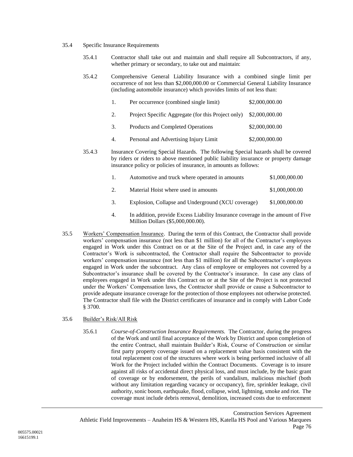- 35.4 Specific Insurance Requirements
	- 35.4.1 Contractor shall take out and maintain and shall require all Subcontractors, if any, whether primary or secondary, to take out and maintain:
	- 35.4.2 Comprehensive General Liability Insurance with a combined single limit per occurrence of not less than \$2,000,000.00 or Commercial General Liability Insurance (including automobile insurance) which provides limits of not less than:

| $\pm$ | Per occurrence (combined single limit)             | \$2,000,000.00 |
|-------|----------------------------------------------------|----------------|
| 2.    | Project Specific Aggregate (for this Project only) | \$2,000,000.00 |
| 3.    | Products and Completed Operations                  | \$2,000,000.00 |
| 4.    | Personal and Advertising Injury Limit              | \$2,000,000.00 |

35.4.3 Insurance Covering Special Hazards. The following Special hazards shall be covered by riders or riders to above mentioned public liability insurance or property damage insurance policy or policies of insurance, in amounts as follows:

| Automotive and truck where operated in amounts | \$1,000,000.00 |
|------------------------------------------------|----------------|
| Material Hoist where used in amounts           | \$1,000,000.00 |

- 3. Explosion, Collapse and Underground (XCU coverage) \$1,000,000.00
- 4. In addition, provide Excess Liability Insurance coverage in the amount of Five Million Dollars (\$5,000,000.00).
- 35.5 Workers' Compensation Insurance. During the term of this Contract, the Contractor shall provide workers' compensation insurance (not less than \$1 million) for all of the Contractor's employees engaged in Work under this Contract on or at the Site of the Project and, in case any of the Contractor's Work is subcontracted, the Contractor shall require the Subcontractor to provide workers' compensation insurance (not less than \$1 million) for all the Subcontractor's employees engaged in Work under the subcontract. Any class of employee or employees not covered by a Subcontractor's insurance shall be covered by the Contractor's insurance. In case any class of employees engaged in Work under this Contract on or at the Site of the Project is not protected under the Workers' Compensation laws, the Contractor shall provide or cause a Subcontractor to provide adequate insurance coverage for the protection of those employees not otherwise protected. The Contractor shall file with the District certificates of insurance and in comply with Labor Code § 3700.

#### 35.6 Builder's Risk/All Risk

35.6.1 *Course-of-Construction Insurance Requirements.* The Contractor, during the progress of the Work and until final acceptance of the Work by District and upon completion of the entire Contract, shall maintain Builder's Risk, Course of Construction or similar first party property coverage issued on a replacement value basis consistent with the total replacement cost of the structures where work is being performed inclusive of all Work for the Project included within the Contract Documents. Coverage is to insure against all risks of accidental direct physical loss, and must include, by the basic grant of coverage or by endorsement, the perils of vandalism, malicious mischief (both without any limitation regarding vacancy or occupancy), fire, sprinkler leakage, civil authority, sonic boom, earthquake, flood, collapse, wind, lightning, smoke and riot. The coverage must include debris removal, demolition, increased costs due to enforcement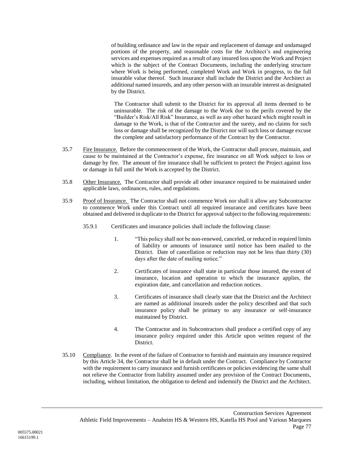of building ordinance and law in the repair and replacement of damage and undamaged portions of the property, and reasonable costs for the Architect's and engineering services and expenses required as a result of any insured loss upon the Work and Project which is the subject of the Contract Documents, including the underlying structure where Work is being performed, completed Work and Work in progress, to the full insurable value thereof. Such insurance shall include the District and the Architect as additional named insureds, and any other person with an insurable interest as designated by the District.

The Contractor shall submit to the District for its approval all items deemed to be uninsurable. The risk of the damage to the Work due to the perils covered by the "Builder's Risk/All Risk" Insurance, as well as any other hazard which might result in damage to the Work, is that of the Contractor and the surety, and no claims for such loss or damage shall be recognized by the District nor will such loss or damage excuse the complete and satisfactory performance of the Contract by the Contractor.

- 35.7 Fire Insurance. Before the commencement of the Work, the Contractor shall procure, maintain, and cause to be maintained at the Contractor's expense, fire insurance on all Work subject to loss or damage by fire. The amount of fire insurance shall be sufficient to protect the Project against loss or damage in full until the Work is accepted by the District.
- 35.8 Other Insurance. The Contractor shall provide all other insurance required to be maintained under applicable laws, ordinances, rules, and regulations.
- 35.9 Proof of Insurance. The Contractor shall not commence Work nor shall it allow any Subcontractor to commence Work under this Contract until all required insurance and certificates have been obtained and delivered in duplicate to the District for approval subject to the following requirements:
	- 35.9.1 Certificates and insurance policies shall include the following clause:
		- 1. "This policy shall not be non-renewed, canceled, or reduced in required limits of liability or amounts of insurance until notice has been mailed to the District. Date of cancellation or reduction may not be less than thirty (30) days after the date of mailing notice."
		- 2. Certificates of insurance shall state in particular those insured, the extent of insurance, location and operation to which the insurance applies, the expiration date, and cancellation and reduction notices.
		- 3. Certificates of insurance shall clearly state that the District and the Architect are named as additional insureds under the policy described and that such insurance policy shall be primary to any insurance or self-insurance maintained by District.
		- 4. The Contractor and its Subcontractors shall produce a certified copy of any insurance policy required under this Article upon written request of the District.
- 35.10 Compliance. In the event of the failure of Contractor to furnish and maintain any insurance required by this Article [34,](#page-75-0) the Contractor shall be in default under the Contract. Compliance by Contractor with the requirement to carry insurance and furnish certificates or policies evidencing the same shall not relieve the Contractor from liability assumed under any provision of the Contract Documents, including, without limitation, the obligation to defend and indemnify the District and the Architect.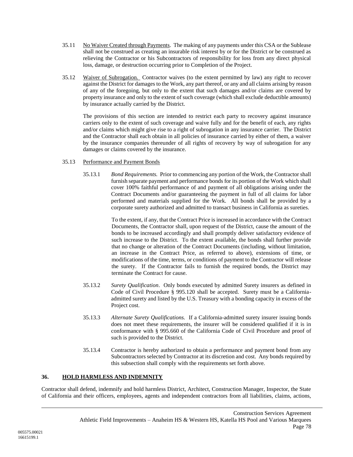- 35.11 No Waiver Created through Payments. The making of any payments under this CSA or the Sublease shall not be construed as creating an insurable risk interest by or for the District or be construed as relieving the Contractor or his Subcontractors of responsibility for loss from any direct physical loss, damage, or destruction occurring prior to Completion of the Project.
- 35.12 Waiver of Subrogation. Contractor waives (to the extent permitted by law) any right to recover against the District for damages to the Work, any part thereof, or any and all claims arising by reason of any of the foregoing, but only to the extent that such damages and/or claims are covered by property insurance and only to the extent of such coverage (which shall exclude deductible amounts) by insurance actually carried by the District.

The provisions of this section are intended to restrict each party to recovery against insurance carriers only to the extent of such coverage and waive fully and for the benefit of each, any rights and/or claims which might give rise to a right of subrogation in any insurance carrier. The District and the Contractor shall each obtain in all policies of insurance carried by either of them, a waiver by the insurance companies thereunder of all rights of recovery by way of subrogation for any damages or claims covered by the insurance.

#### 35.13 Performance and Payment Bonds

35.13.1 *Bond Requirements.* Prior to commencing any portion of the Work, the Contractor shall furnish separate payment and performance bonds for its portion of the Work which shall cover 100% faithful performance of and payment of all obligations arising under the Contract Documents and/or guaranteeing the payment in full of all claims for labor performed and materials supplied for the Work. All bonds shall be provided by a corporate surety authorized and admitted to transact business in California as sureties.

> To the extent, if any, that the Contract Price is increased in accordance with the Contract Documents, the Contractor shall, upon request of the District, cause the amount of the bonds to be increased accordingly and shall promptly deliver satisfactory evidence of such increase to the District. To the extent available, the bonds shall further provide that no change or alteration of the Contract Documents (including, without limitation, an increase in the Contract Price, as referred to above), extensions of time, or modifications of the time, terms, or conditions of payment to the Contractor will release the surety. If the Contractor fails to furnish the required bonds, the District may terminate the Contract for cause.

- 35.13.2 *Surety Qualification*. Only bonds executed by admitted Surety insurers as defined in Code of Civil Procedure § 995.120 shall be accepted. Surety must be a Californiaadmitted surety and listed by the U.S. Treasury with a bonding capacity in excess of the Project cost.
- 35.13.3 *Alternate Surety Qualifications.* If a California-admitted surety insurer issuing bonds does not meet these requirements, the insurer will be considered qualified if it is in conformance with § 995.660 of the California Code of Civil Procedure and proof of such is provided to the District.
- 35.13.4 Contractor is hereby authorized to obtain a performance and payment bond from any Subcontractors selected by Contractor at its discretion and cost. Any bonds required by this subsection shall comply with the requirements set forth above.

# **36. HOLD HARMLESS AND INDEMNITY**

Contractor shall defend, indemnify and hold harmless District, Architect, Construction Manager, Inspector, the State of California and their officers, employees, agents and independent contractors from all liabilities, claims, actions,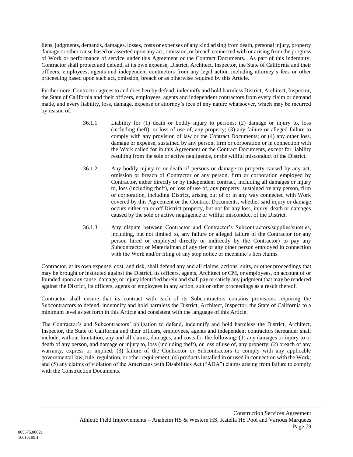liens, judgments, demands, damages, losses, costs or expenses of any kind arising from death, personal injury, property damage or other cause based or asserted upon any act, omission, or breach connected with or arising from the progress of Work or performance of service under this Agreement or the Contract Documents. As part of this indemnity, Contractor shall protect and defend, at its own expense, District, Architect, Inspector, the State of California and their officers, employees, agents and independent contractors from any legal action including attorney's fees or other proceeding based upon such act, omission, breach or as otherwise required by this Article.

Furthermore, Contractor agrees to and does hereby defend, indemnify and hold harmless District, Architect, Inspector, the State of California and their officers, employees, agents and independent contractors from every claim or demand made, and every liability, loss, damage, expense or attorney's fees of any nature whatsoever, which may be incurred by reason of:

- 36.1.1 Liability for (1) death or bodily injury to persons; (2) damage or injury to, loss (including theft), or loss of use of, any property; (3) any failure or alleged failure to comply with any provision of law or the Contract Documents; or (4) any other loss, damage or expense, sustained by any person, firm or corporation or in connection with the Work called for in this Agreement or the Contract Documents, except for liability resulting from the sole or active negligence, or the willful misconduct of the District.
- 36.1.2 Any bodily injury to or death of persons or damage to property caused by any act, omission or breach of Contractor or any person, firm or corporation employed by Contractor, either directly or by independent contract, including all damages or injury to, loss (including theft), or loss of use of, any property, sustained by any person, firm or corporation, including District, arising out of or in any way connected with Work covered by this Agreement or the Contract Documents, whether said injury or damage occurs either on or off District property, but not for any loss, injury, death or damages caused by the sole or active negligence or willful misconduct of the District.
- 36.1.3 Any dispute between Contractor and Contractor's Subcontractors/supplies/sureties, including, but not limited to, any failure or alleged failure of the Contractor (or any person hired or employed directly or indirectly by the Contractor) to pay any Subcontractor or Materialman of any tier or any other person employed in connection with the Work and/or filing of any stop notice or mechanic's lien claims.

Contractor, at its own expense, cost, and risk, shall defend any and all claims, actions, suits, or other proceedings that may be brought or instituted against the District, its officers, agents, Architect or CM, or employees, on account of or founded upon any cause, damage, or injury identified herein and shall pay or satisfy any judgment that may be rendered against the District, its officers, agents or employees in any action, suit or other proceedings as a result thereof.

Contractor shall ensure that its contract with each of its Subcontractors contains provisions requiring the Subcontractors to defend, indemnify and hold harmless the District, Architect, Inspector, the State of California to a minimum level as set forth in this Article and consistent with the language of this Article.

The Contractor's and Subcontractors' obligation to defend, indemnify and hold harmless the District, Architect, Inspector, the State of California and their officers, employees, agents and independent contractors hereunder shall include, without limitation, any and all claims, damages, and costs for the following: (1) any damages or injury to or death of any person, and damage or injury to, loss (including theft), or loss of use of, any property; (2) breach of any warranty, express or implied; (3) failure of the Contractor or Subcontractors to comply with any applicable governmental law, rule, regulation, or other requirement; (4) products installed in or used in connection with the Work; and (5) any claims of violation of the Americans with Disabilities Act ("ADA") claims arising from failure to comply with the Construction Documents.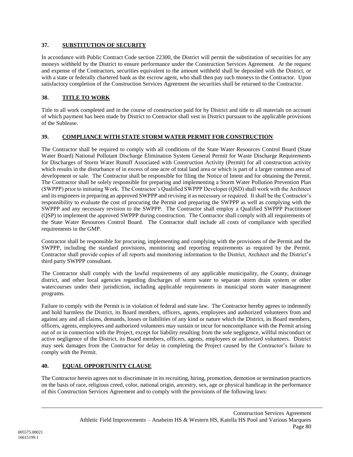# **37. SUBSTITUTION OF SECURITY**

In accordance with Public Contract Code section 22300, the District will permit the substitution of securities for any moneys withheld by the District to ensure performance under the Construction Services Agreement. At the request and expense of the Contractors, securities equivalent to the amount withheld shall be deposited with the District, or with a state or federally chartered bank as the escrow agent, who shall then pay such moneys to the Contractor. Upon satisfactory completion of the Construction Services Agreement the securities shall be returned to the Contractor.

# **38. TITLE TO WORK**

Title to all work completed and in the course of construction paid for by District and title to all materials on account of which payment has been made by District to Contractor shall vest in District pursuant to the applicable provisions of the Sublease.

# **39. COMPLIANCE WITH STATE STORM WATER PERMIT FOR CONSTRUCTION**

The Contractor shall be required to comply with all conditions of the State Water Resources Control Board (State Water Board) National Pollutant Discharge Elimination System General Permit for Waste Discharge Requirements for Discharges of Storm Water Runoff Associated with Construction Activity (Permit) for all construction activity which results in the disturbance of in excess of one acre of total land area or which is part of a larger common area of development or sale. The Contractor shall be responsible for filing the Notice of Intent and for obtaining the Permit. The Contractor shall be solely responsible for preparing and implementing a Storm Water Pollution Prevention Plan (SWPPP) prior to initiating Work. The Contractor's Qualified SWPPP Developer (QSD) shall work with the Architect and its engineers in preparing an approved SWPPP and revising it as necessary or required. It shall be the Contractor's responsibility to evaluate the cost of procuring the Permit and preparing the SWPPP as well as complying with the SWPPP and any necessary revision to the SWPPP. The Contractor shall employ a Qualified SWPPP Practitioner (QSP) to implement the approved SWPPP during construction. The Contractor shall comply with all requirements of the State Water Resources Control Board. The Contractor shall include all costs of compliance with specified requirements in the GMP.

Contractor shall be responsible for procuring, implementing and complying with the provisions of the Permit and the SWPPP, including the standard provisions, monitoring and reporting requirements as required by the Permit. Contractor shall provide copies of all reports and monitoring information to the District, Architect and the District's third party SWPPP consultant.

The Contractor shall comply with the lawful requirements of any applicable municipality, the County, drainage district, and other local agencies regarding discharges of storm water to separate storm drain system or other watercourses under their jurisdiction, including applicable requirements in municipal storm water management programs.

Failure to comply with the Permit is in violation of federal and state law. The Contractor hereby agrees to indemnify and hold harmless the District, its Board members, officers, agents, employees and authorized volunteers from and against any and all claims, demands, losses or liabilities of any kind or nature which the District, its Board members, officers, agents, employees and authorized volunteers may sustain or incur for noncompliance with the Permit arising out of or in connection with the Project, except for liability resulting from the sole negligence, willful misconduct or active negligence of the District, its Board members, officers, agents, employees or authorized volunteers. District may seek damages from the Contractor for delay in completing the Project caused by the Contractor's failure to comply with the Permit.

# **40. EQUAL OPPORTUNITY CLAUSE**

The Contractor herein agrees not to discriminate in its recruiting, hiring, promotion, demotion or termination practices on the basis of race, religious creed, color, national origin, ancestry, sex, age or physical handicap in the performance of this Construction Services Agreement and to comply with the provisions of the following laws: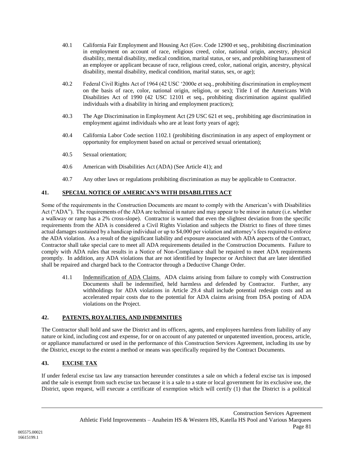- 40.1 California Fair Employment and Housing Act (Gov. Code 12900 et seq., prohibiting discrimination in employment on account of race, religious creed, color, national origin, ancestry, physical disability, mental disability, medical condition, marital status, or sex, and prohibiting harassment of an employee or applicant because of race, religious creed, color, national origin, ancestry, physical disability, mental disability, medical condition, marital status, sex, or age);
- 40.2 Federal Civil Rights Act of 1964 (42 USC '2000e et seq., prohibiting discrimination in employment on the basis of race, color, national origin, religion, or sex); Title I of the Americans With Disabilities Act of 1990 (42 USC 12101 et seq., prohibiting discrimination against qualified individuals with a disability in hiring and employment practices);
- 40.3 The Age Discrimination in Employment Act (29 USC 621 et seq., prohibiting age discrimination in employment against individuals who are at least forty years of age);
- 40.4 California Labor Code section 1102.1 (prohibiting discrimination in any aspect of employment or opportunity for employment based on actual or perceived sexual orientation);
- 40.5 Sexual orientation;
- 40.6 American with Disabilities Act (ADA) (See Article [41\)](#page-83-0); and
- 40.7 Any other laws or regulations prohibiting discrimination as may be applicable to Contractor.

# <span id="page-83-0"></span>**41. SPECIAL NOTICE OF AMERICAN'S WITH DISABILITIES ACT**

Some of the requirements in the Construction Documents are meant to comply with the American's with Disabilities Act ("ADA"). The requirements of the ADA are technical in nature and may appear to be minor in nature (i.e. whether a walkway or ramp has a 2% cross-slope). Contractor is warned that even the slightest deviation from the specific requirements from the ADA is considered a Civil Rights Violation and subjects the District to fines of three times actual damages sustained by a handicap individual or up to \$4,000 per violation and attorney's fees required to enforce the ADA violation. As a result of the significant liability and exposure associated with ADA aspects of the Contract, Contractor shall take special care to meet all ADA requirements detailed in the Construction Documents. Failure to comply with ADA rules that results in a Notice of Non-Compliance shall be repaired to meet ADA requirements promptly. In addition, any ADA violations that are not identified by Inspector or Architect that are later identified shall be repaired and charged back to the Contractor through a Deductive Change Order.

41.1 Indemnification of ADA Claims. ADA claims arising from failure to comply with Construction Documents shall be indemnified, held harmless and defended by Contractor. Further, any withholdings for ADA violations in Article [29.4](#page-74-0) shall include potential redesign costs and an accelerated repair costs due to the potential for ADA claims arising from DSA posting of ADA violations on the Project.

# **42. PATENTS, ROYALTIES, AND INDEMNITIES**

The Contractor shall hold and save the District and its officers, agents, and employees harmless from liability of any nature or kind, including cost and expense, for or on account of any patented or unpatented invention, process, article, or appliance manufactured or used in the performance of this Construction Services Agreement, including its use by the District, except to the extent a method or means was specifically required by the Contract Documents.

# **43. EXCISE TAX**

If under federal excise tax law any transaction hereunder constitutes a sale on which a federal excise tax is imposed and the sale is exempt from such excise tax because it is a sale to a state or local government for its exclusive use, the District, upon request, will execute a certificate of exemption which will certify (1) that the District is a political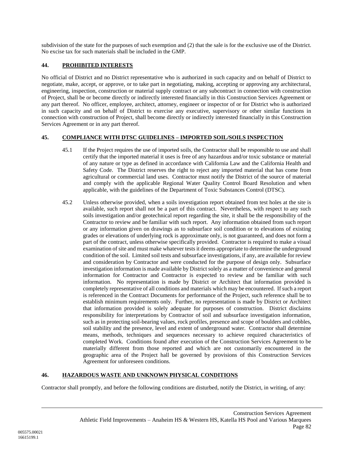subdivision of the state for the purposes of such exemption and (2) that the sale is for the exclusive use of the District. No excise tax for such materials shall be included in the GMP.

# **44. PROHIBITED INTERESTS**

No official of District and no District representative who is authorized in such capacity and on behalf of District to negotiate, make, accept, or approve, or to take part in negotiating, making, accepting or approving any architectural, engineering, inspection, construction or material supply contract or any subcontract in connection with construction of Project, shall be or become directly or indirectly interested financially in this Construction Services Agreement or any part thereof. No officer, employee, architect, attorney, engineer or inspector of or for District who is authorized in such capacity and on behalf of District to exercise any executive, supervisory or other similar functions in connection with construction of Project, shall become directly or indirectly interested financially in this Construction Services Agreement or in any part thereof.

# **45. COMPLIANCE WITH DTSC GUIDELINES – IMPORTED SOIL/SOILS INSPECTION**

- 45.1 If the Project requires the use of imported soils, the Contractor shall be responsible to use and shall certify that the imported material it uses is free of any hazardous and/or toxic substance or material of any nature or type as defined in accordance with California Law and the California Health and Safety Code. The District reserves the right to reject any imported material that has come from agricultural or commercial land uses. Contractor must notify the District of the source of material and comply with the applicable Regional Water Quality Control Board Resolution and when applicable, with the guidelines of the Department of Toxic Substances Control (DTSC).
- 45.2 Unless otherwise provided, when a soils investigation report obtained from test holes at the site is available, such report shall not be a part of this contract. Nevertheless, with respect to any such soils investigation and/or geotechnical report regarding the site, it shall be the responsibility of the Contractor to review and be familiar with such report. Any information obtained from such report or any information given on drawings as to subsurface soil condition or to elevations of existing grades or elevations of underlying rock is approximate only, is not guaranteed, and does not form a part of the contract, unless otherwise specifically provided. Contractor is required to make a visual examination of site and must make whatever tests it deems appropriate to determine the underground condition of the soil. Limited soil tests and subsurface investigations, if any, are available for review and consideration by Contractor and were conducted for the purpose of design only. Subsurface investigation information is made available by District solely as a matter of convenience and general information for Contractor and Contractor is expected to review and be familiar with such information. No representation is made by District or Architect that information provided is completely representative of all conditions and materials which may be encountered. If such a report is referenced in the Contract Documents for performance of the Project, such reference shall be to establish minimum requirements only. Further, no representation is made by District or Architect that information provided is solely adequate for purposes of construction. District disclaims responsibility for interpretations by Contractor of soil and subsurface investigation information, such as in protecting soil-bearing values, rock profiles, presence and scope of boulders and cobbles, soil stability and the presence, level and extent of underground water. Contractor shall determine means, methods, techniques and sequences necessary to achieve required characteristics of completed Work. Conditions found after execution of the Construction Services Agreement to be materially different from those reported and which are not customarily encountered in the geographic area of the Project hall be governed by provisions of this Construction Services Agreement for unforeseen conditions.

# **46. HAZARDOUS WASTE AND UNKNOWN PHYSICAL CONDITIONS**

Contractor shall promptly, and before the following conditions are disturbed, notify the District, in writing, of any: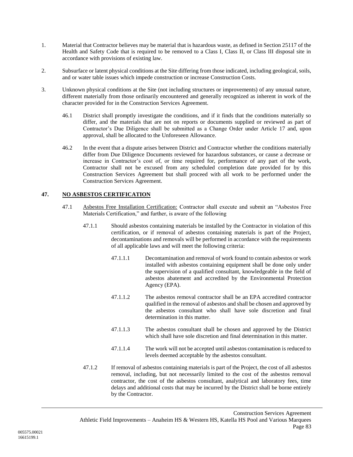- 1. Material that Contractor believes may be material that is hazardous waste, as defined in Section 25117 of the Health and Safety Code that is required to be removed to a Class I, Class II, or Class III disposal site in accordance with provisions of existing law.
- 2. Subsurface or latent physical conditions at the Site differing from those indicated, including geological, soils, and or water table issues which impede construction or increase Construction Costs.
- 3. Unknown physical conditions at the Site (not including structures or improvements) of any unusual nature, different materially from those ordinarily encountered and generally recognized as inherent in work of the character provided for in the Construction Services Agreement.
	- 46.1 District shall promptly investigate the conditions, and if it finds that the conditions materially so differ, and the materials that are not on reports or documents supplied or reviewed as part of Contractor's Due Diligence shall be submitted as a Change Order under Article [17](#page-73-0) and, upon approval, shall be allocated to the Unforeseen Allowance.
	- 46.2 In the event that a dispute arises between District and Contractor whether the conditions materially differ from Due Diligence Documents reviewed for hazardous substances, or cause a decrease or increase in Contractor's cost of, or time required for, performance of any part of the work, Contractor shall not be excused from any scheduled completion date provided for by this Construction Services Agreement but shall proceed with all work to be performed under the Construction Services Agreement.

# **47. NO ASBESTOS CERTIFICATION**

- 47.1 Asbestos Free Installation Certification: Contractor shall execute and submit an "Asbestos Free Materials Certification," and further, is aware of the following
	- 47.1.1 Should asbestos containing materials be installed by the Contractor in violation of this certification, or if removal of asbestos containing materials is part of the Project, decontaminations and removals will be performed in accordance with the requirements of all applicable laws and will meet the following criteria:
		- 47.1.1.1 Decontamination and removal of work found to contain asbestos or work installed with asbestos containing equipment shall be done only under the supervision of a qualified consultant, knowledgeable in the field of asbestos abatement and accredited by the Environmental Protection Agency (EPA).
		- 47.1.1.2 The asbestos removal contractor shall be an EPA accredited contractor qualified in the removal of asbestos and shall be chosen and approved by the asbestos consultant who shall have sole discretion and final determination in this matter.
		- 47.1.1.3 The asbestos consultant shall be chosen and approved by the District which shall have sole discretion and final determination in this matter.
		- 47.1.1.4 The work will not be accepted until asbestos contamination is reduced to levels deemed acceptable by the asbestos consultant.
	- 47.1.2 If removal of asbestos containing materials is part of the Project, the cost of all asbestos removal, including, but not necessarily limited to the cost of the asbestos removal contractor, the cost of the asbestos consultant, analytical and laboratory fees, time delays and additional costs that may be incurred by the District shall be borne entirely by the Contractor.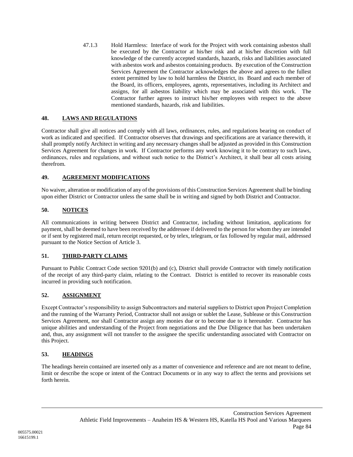47.1.3 Hold Harmless: Interface of work for the Project with work containing asbestos shall be executed by the Contractor at his/her risk and at his/her discretion with full knowledge of the currently accepted standards, hazards, risks and liabilities associated with asbestos work and asbestos containing products. By execution of the Construction Services Agreement the Contractor acknowledges the above and agrees to the fullest extent permitted by law to hold harmless the District, its Board and each member of the Board, its officers, employees, agents, representatives, including its Architect and assigns, for all asbestos liability which may be associated with this work. The Contractor further agrees to instruct his/her employees with respect to the above mentioned standards, hazards, risk and liabilities.

# **48. LAWS AND REGULATIONS**

Contractor shall give all notices and comply with all laws, ordinances, rules, and regulations bearing on conduct of work as indicated and specified. If Contractor observes that drawings and specifications are at variance therewith, it shall promptly notify Architect in writing and any necessary changes shall be adjusted as provided in this Construction Services Agreement for changes in work. If Contractor performs any work knowing it to be contrary to such laws, ordinances, rules and regulations, and without such notice to the District's Architect, it shall bear all costs arising therefrom.

# **49. AGREEMENT MODIFICATIONS**

No waiver, alteration or modification of any of the provisions of this Construction Services Agreement shall be binding upon either District or Contractor unless the same shall be in writing and signed by both District and Contractor.

# **50. NOTICES**

All communications in writing between District and Contractor, including without limitation, applications for payment, shall be deemed to have been received by the addressee if delivered to the person for whom they are intended or if sent by registered mail, return receipt requested, or by telex, telegram, or fax followed by regular mail, addressed pursuant to the Notice Section of Article [3.](#page-6-0)

# **51. THIRD-PARTY CLAIMS**

Pursuant to Public Contract Code section 9201(b) and (c), District shall provide Contractor with timely notification of the receipt of any third-party claim, relating to the Contract. District is entitled to recover its reasonable costs incurred in providing such notification.

# **52. ASSIGNMENT**

Except Contractor's responsibility to assign Subcontractors and material suppliers to District upon Project Completion and the running of the Warranty Period, Contractor shall not assign or sublet the Lease, Sublease or this Construction Services Agreement, nor shall Contractor assign any monies due or to become due to it hereunder. Contractor has unique abilities and understanding of the Project from negotiations and the Due Diligence that has been undertaken and, thus, any assignment will not transfer to the assignee the specific understanding associated with Contractor on this Project.

# **53. HEADINGS**

The headings herein contained are inserted only as a matter of convenience and reference and are not meant to define, limit or describe the scope or intent of the Contract Documents or in any way to affect the terms and provisions set forth herein.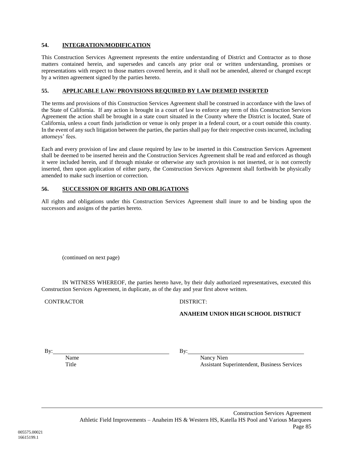# **54. INTEGRATION/MODIFICATION**

This Construction Services Agreement represents the entire understanding of District and Contractor as to those matters contained herein, and supersedes and cancels any prior oral or written understanding, promises or representations with respect to those matters covered herein, and it shall not be amended, altered or changed except by a written agreement signed by the parties hereto.

#### **55. APPLICABLE LAW/ PROVISIONS REQUIRED BY LAW DEEMED INSERTED**

The terms and provisions of this Construction Services Agreement shall be construed in accordance with the laws of the State of California. If any action is brought in a court of law to enforce any term of this Construction Services Agreement the action shall be brought in a state court situated in the County where the District is located, State of California, unless a court finds jurisdiction or venue is only proper in a federal court, or a court outside this county. In the event of any such litigation between the parties, the parties shall pay for their respective costs incurred, including attorneys' fees.

Each and every provision of law and clause required by law to be inserted in this Construction Services Agreement shall be deemed to be inserted herein and the Construction Services Agreement shall be read and enforced as though it were included herein, and if through mistake or otherwise any such provision is not inserted, or is not correctly inserted, then upon application of either party, the Construction Services Agreement shall forthwith be physically amended to make such insertion or correction.

#### **56. SUCCESSION OF RIGHTS AND OBLIGATIONS**

All rights and obligations under this Construction Services Agreement shall inure to and be binding upon the successors and assigns of the parties hereto.

(continued on next page)

IN WITNESS WHEREOF, the parties hereto have, by their duly authorized representatives, executed this Construction Services Agreement, in duplicate, as of the day and year first above written.

CONTRACTOR DISTRICT:

#### **ANAHEIM UNION HIGH SCHOOL DISTRICT**

By:

Name Title

By:

Nancy Nien Assistant Superintendent, Business Services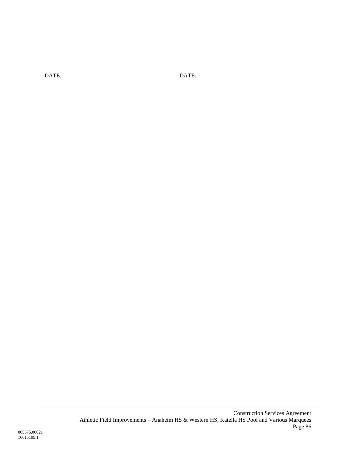DATE:\_\_\_\_\_\_\_\_\_\_\_\_\_\_\_\_\_\_\_\_\_\_\_\_\_\_\_\_ DATE:\_\_\_\_\_\_\_\_\_\_\_\_\_\_\_\_\_\_\_\_\_\_\_\_\_\_\_\_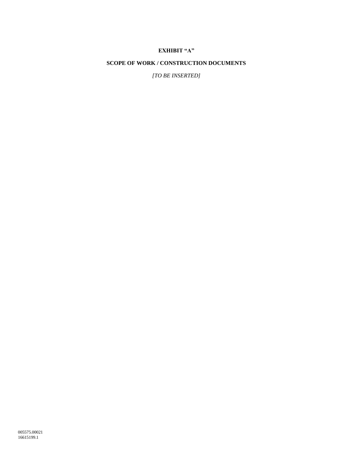# **EXHIBIT "A"**

#### **SCOPE OF WORK / CONSTRUCTION DOCUMENTS**

*[TO BE INSERTED]*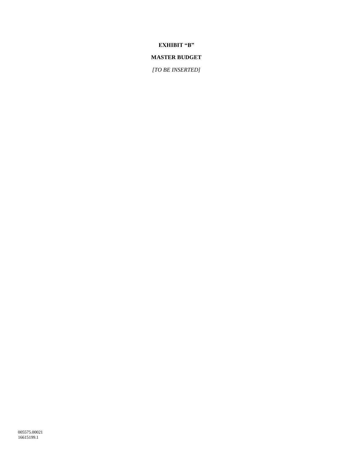**EXHIBIT "B"**

# **MASTER BUDGET**

*[TO BE INSERTED]*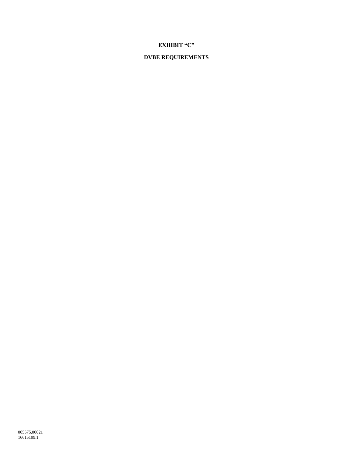# **EXHIBIT "C"**

# **DVBE REQUIREMENTS**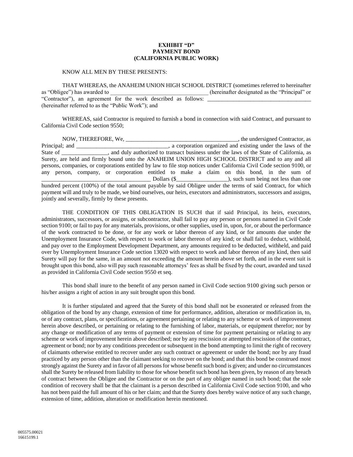#### **EXHIBIT "D" PAYMENT BOND (CALIFORNIA PUBLIC WORK)**

#### KNOW ALL MEN BY THESE PRESENTS:

THAT WHEREAS, the ANAHEIM UNION HIGH SCHOOL DISTRICT (sometimes referred to hereinafter as "Obligee") has awarded to  $\qquad \qquad$  (hereinafter designated as the "Principal" or "Contractor"), an agreement for the work described as follows: (hereinafter referred to as the "Public Work"); and

WHEREAS, said Contractor is required to furnish a bond in connection with said Contract, and pursuant to California Civil Code section 9550;

NOW, THEREFORE, We, \_\_\_\_\_\_\_\_\_\_\_\_\_\_\_\_\_\_\_\_\_\_\_\_\_\_\_\_\_\_\_\_\_\_\_\_\_\_\_, the undersigned Contractor, as Principal; and \_\_\_\_\_\_\_\_\_\_\_\_\_\_\_\_\_\_\_\_\_\_\_\_\_\_\_, a corporation organized and existing under the laws of the State of \_\_\_\_\_\_\_\_\_\_\_, and duly authorized to transact business under the laws of the State of California, as Surety, are held and firmly bound unto the ANAHEIM UNION HIGH SCHOOL DISTRICT and to any and all persons, companies, or corporations entitled by law to file stop notices under California Civil Code section 9100, or any person, company, or corporation entitled to make a claim on this bond, in the sum of  $\Box$  Dollars (\$ $\Box$ ), such sum being not less than one hundred percent (100%) of the total amount payable by said Obligee under the terms of said Contract, for which payment will and truly to be made, we bind ourselves, our heirs, executors and administrators, successors and assigns, jointly and severally, firmly by these presents.

THE CONDITION OF THIS OBLIGATION IS SUCH that if said Principal, its heirs, executors, administrators, successors, or assigns, or subcontractor, shall fail to pay any person or persons named in Civil Code section 9100; or fail to pay for any materials, provisions, or other supplies, used in, upon, for, or about the performance of the work contracted to be done, or for any work or labor thereon of any kind, or for amounts due under the Unemployment Insurance Code, with respect to work or labor thereon of any kind; or shall fail to deduct, withhold, and pay over to the Employment Development Department, any amounts required to be deducted, withheld, and paid over by Unemployment Insurance Code section 13020 with respect to work and labor thereon of any kind, then said Surety will pay for the same, in an amount not exceeding the amount herein above set forth, and in the event suit is brought upon this bond, also will pay such reasonable attorneys' fees as shall be fixed by the court, awarded and taxed as provided in California Civil Code section 9550 et seq.

This bond shall inure to the benefit of any person named in Civil Code section 9100 giving such person or his/her assigns a right of action in any suit brought upon this bond.

It is further stipulated and agreed that the Surety of this bond shall not be exonerated or released from the obligation of the bond by any change, extension of time for performance, addition, alteration or modification in, to, or of any contract, plans, or specifications, or agreement pertaining or relating to any scheme or work of improvement herein above described, or pertaining or relating to the furnishing of labor, materials, or equipment therefor; nor by any change or modification of any terms of payment or extension of time for payment pertaining or relating to any scheme or work of improvement herein above described; nor by any rescission or attempted rescission of the contract, agreement or bond; nor by any conditions precedent or subsequent in the bond attempting to limit the right of recovery of claimants otherwise entitled to recover under any such contract or agreement or under the bond; nor by any fraud practiced by any person other than the claimant seeking to recover on the bond; and that this bond be construed most strongly against the Surety and in favor of all persons for whose benefit such bond is given; and under no circumstances shall the Surety be released from liability to those for whose benefit such bond has been given, by reason of any breach of contract between the Obligee and the Contractor or on the part of any obligee named in such bond; that the sole condition of recovery shall be that the claimant is a person described in California Civil Code section 9100, and who has not been paid the full amount of his or her claim; and that the Surety does hereby waive notice of any such change, extension of time, addition, alteration or modification herein mentioned.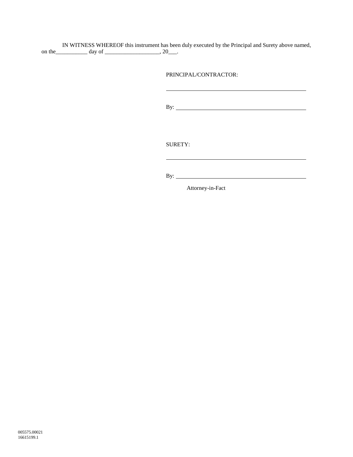IN WITNESS WHEREOF this instrument has been duly executed by the Principal and Surety above named, on the \_\_\_\_\_\_\_\_\_\_\_\_ day of \_\_\_\_\_\_\_\_\_\_\_\_\_\_\_\_\_\_\_\_\_, 20\_\_\_.

PRINCIPAL/CONTRACTOR:

By:

SURETY:

By:

Attorney-in-Fact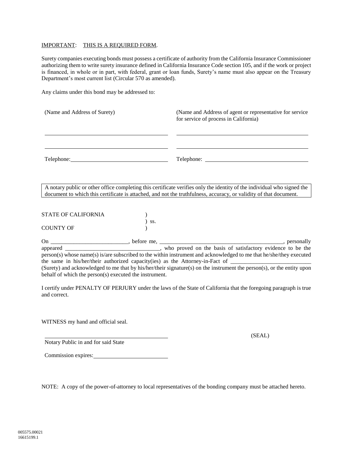#### IMPORTANT: THIS IS A REQUIRED FORM.

Surety companies executing bonds must possess a certificate of authority from the California Insurance Commissioner authorizing them to write surety insurance defined in California Insurance Code section 105, and if the work or project is financed, in whole or in part, with federal, grant or loan funds, Surety's name must also appear on the Treasury Department's most current list (Circular 570 as amended).

Any claims under this bond may be addressed to:

| (Name and Address of Surety) | (Name and Address of agent or representative for service)<br>for service of process in California) |  |
|------------------------------|----------------------------------------------------------------------------------------------------|--|
|                              |                                                                                                    |  |
|                              | Telephone:                                                                                         |  |

A notary public or other office completing this certificate verifies only the identity of the individual who signed the document to which this certificate is attached, and not the truthfulness, accuracy, or validity of that document.

STATE OF CALIFORNIA ) ) ss. COUNTY OF )

On \_\_\_\_\_\_\_\_\_\_\_\_\_\_\_\_\_\_\_\_\_\_\_\_\_\_\_, before me, \_\_\_\_\_\_\_\_\_\_\_\_\_\_\_\_\_\_\_\_\_\_\_\_\_\_\_\_\_\_\_\_\_\_\_\_\_\_\_\_\_\_\_, personally appeared \_\_\_\_\_\_\_\_\_\_\_\_\_\_\_\_\_\_\_\_\_\_\_\_\_\_\_\_\_\_\_\_\_, who proved on the basis of satisfactory evidence to be the person(s) whose name(s) is/are subscribed to the within instrument and acknowledged to me that he/she/they executed the same in his/her/their authorized capacity(ies) as the Attorney-in-Fact of (Surety) and acknowledged to me that by his/her/their signature(s) on the instrument the person(s), or the entity upon behalf of which the person(s) executed the instrument.

I certify under PENALTY OF PERJURY under the laws of the State of California that the foregoing paragraph is true and correct.

WITNESS my hand and official seal.

Notary Public in and for said State

(SEAL)

Commission expires:

NOTE: A copy of the power-of-attorney to local representatives of the bonding company must be attached hereto.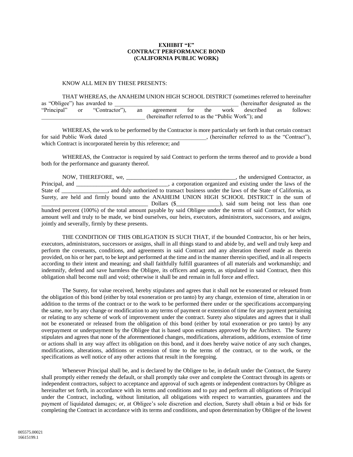#### **EXHIBIT "E" CONTRACT PERFORMANCE BOND (CALIFORNIA PUBLIC WORK)**

#### KNOW ALL MEN BY THESE PRESENTS:

THAT WHEREAS, the ANAHEIM UNION HIGH SCHOOL DISTRICT (sometimes referred to hereinafter as "Obligee") has awarded to example to the contract of the contract of the contract of the contract of the contract of the contract of the contract of the contract of the contract of the contract of the contract of the co "Principal" or "Contractor"), an agreement for the work described as follows: \_\_\_\_\_\_\_\_\_\_\_\_\_\_\_\_\_\_\_\_\_\_\_\_\_\_\_\_\_\_\_\_\_\_\_\_ (hereinafter referred to as the "Public Work"); and

WHEREAS, the work to be performed by the Contractor is more particularly set forth in that certain contract for said Public Work dated  $\qquad \qquad$ , (hereinafter referred to as the "Contract"), which Contract is incorporated herein by this reference; and

WHEREAS, the Contractor is required by said Contract to perform the terms thereof and to provide a bond both for the performance and guaranty thereof.

NOW, THEREFORE, we, \_\_\_\_\_\_\_\_\_\_\_\_\_\_\_\_\_\_\_\_, a corporation organized and existing under the laws of the laws of the errincipal, a corporation organized and existing under the laws of the State of \_\_\_\_\_\_\_\_\_\_\_\_, and duly authorized to transact business under the laws of the State of California, as Surety, are held and firmly bound unto the ANAHEIM UNION HIGH SCHOOL DISTRICT in the sum of \_\_\_\_\_\_\_\_\_\_\_\_\_\_\_\_\_\_\_\_\_\_\_\_\_\_\_\_\_\_\_\_\_\_\_\_\_ Dollars (\$\_\_\_\_\_\_\_\_\_\_\_\_\_\_\_), said sum being not less than one hundred percent (100%) of the total amount payable by said Obligee under the terms of said Contract, for which amount well and truly to be made, we bind ourselves, our heirs, executors, administrators, successors, and assigns, jointly and severally, firmly by these presents.

THE CONDITION OF THIS OBLIGATION IS SUCH THAT, if the bounded Contractor, his or her heirs, executors, administrators, successors or assigns, shall in all things stand to and abide by, and well and truly keep and perform the covenants, conditions, and agreements in said Contract and any alteration thereof made as therein provided, on his or her part, to be kept and performed at the time and in the manner therein specified, and in all respects according to their intent and meaning; and shall faithfully fulfill guarantees of all materials and workmanship; and indemnify, defend and save harmless the Obligee, its officers and agents, as stipulated in said Contract, then this obligation shall become null and void; otherwise it shall be and remain in full force and effect.

The Surety, for value received, hereby stipulates and agrees that it shall not be exonerated or released from the obligation of this bond (either by total exoneration or pro tanto) by any change, extension of time, alteration in or addition to the terms of the contract or to the work to be performed there under or the specifications accompanying the same, nor by any change or modification to any terms of payment or extension of time for any payment pertaining or relating to any scheme of work of improvement under the contract. Surety also stipulates and agrees that it shall not be exonerated or released from the obligation of this bond (either by total exoneration or pro tanto) by any overpayment or underpayment by the Obligee that is based upon estimates approved by the Architect. The Surety stipulates and agrees that none of the aforementioned changes, modifications, alterations, additions, extension of time or actions shall in any way affect its obligation on this bond, and it does hereby waive notice of any such changes, modifications, alterations, additions or extension of time to the terms of the contract, or to the work, or the specifications as well notice of any other actions that result in the foregoing.

Whenever Principal shall be, and is declared by the Obligee to be, in default under the Contract, the Surety shall promptly either remedy the default, or shall promptly take over and complete the Contract through its agents or independent contractors, subject to acceptance and approval of such agents or independent contractors by Obligee as hereinafter set forth, in accordance with its terms and conditions and to pay and perform all obligations of Principal under the Contract, including, without limitation, all obligations with respect to warranties, guarantees and the payment of liquidated damages; or, at Obligee's sole discretion and election, Surety shall obtain a bid or bids for completing the Contract in accordance with its terms and conditions, and upon determination by Obligee of the lowest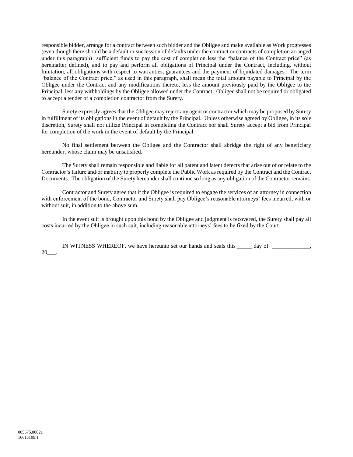responsible bidder, arrange for a contract between such bidder and the Obligee and make available as Work progresses (even though there should be a default or succession of defaults under the contract or contracts of completion arranged under this paragraph) sufficient funds to pay the cost of completion less the "balance of the Contract price" (as hereinafter defined), and to pay and perform all obligations of Principal under the Contract, including, without limitation, all obligations with respect to warranties, guarantees and the payment of liquidated damages. The term "balance of the Contract price," as used in this paragraph, shall mean the total amount payable to Principal by the Obligee under the Contract and any modifications thereto, less the amount previously paid by the Obligee to the Principal, less any withholdings by the Obligee allowed under the Contract. Obligee shall not be required or obligated to accept a tender of a completion contractor from the Surety.

Surety expressly agrees that the Obligee may reject any agent or contractor which may be proposed by Surety in fulfillment of its obligations in the event of default by the Principal. Unless otherwise agreed by Obligee, in its sole discretion, Surety shall not utilize Principal in completing the Contract nor shall Surety accept a bid from Principal for completion of the work in the event of default by the Principal.

No final settlement between the Obligee and the Contractor shall abridge the right of any beneficiary hereunder, whose claim may be unsatisfied.

The Surety shall remain responsible and liable for all patent and latent defects that arise out of or relate to the Contractor's failure and/or inability to properly complete the Public Work as required by the Contract and the Contract Documents. The obligation of the Surety hereunder shall continue so long as any obligation of the Contractor remains.

Contractor and Surety agree that if the Obligee is required to engage the services of an attorney in connection with enforcement of the bond, Contractor and Surety shall pay Obligee's reasonable attorneys' fees incurred, with or without suit, in addition to the above sum.

In the event suit is brought upon this bond by the Obligee and judgment is recovered, the Surety shall pay all costs incurred by the Obligee in such suit, including reasonable attorneys' fees to be fixed by the Court.

IN WITNESS WHEREOF, we have hereunto set our hands and seals this \_\_\_\_\_ day of \_\_\_\_\_\_\_\_\_\_\_\_\_, 20\_\_\_.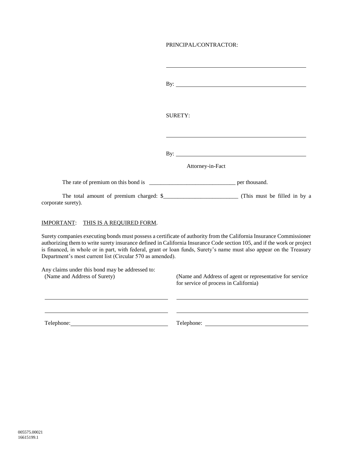# PRINCIPAL/CONTRACTOR:

|                                                                                 | By: $\overline{\phantom{a}}$                                                                                                                                                                                                                                                                                                                                          |
|---------------------------------------------------------------------------------|-----------------------------------------------------------------------------------------------------------------------------------------------------------------------------------------------------------------------------------------------------------------------------------------------------------------------------------------------------------------------|
|                                                                                 | <b>SURETY:</b>                                                                                                                                                                                                                                                                                                                                                        |
|                                                                                 | Attorney-in-Fact                                                                                                                                                                                                                                                                                                                                                      |
|                                                                                 |                                                                                                                                                                                                                                                                                                                                                                       |
| corporate surety).                                                              |                                                                                                                                                                                                                                                                                                                                                                       |
| IMPORTANT: THIS IS A REQUIRED FORM.                                             |                                                                                                                                                                                                                                                                                                                                                                       |
| Department's most current list (Circular 570 as amended).                       | Surety companies executing bonds must possess a certificate of authority from the California Insurance Commissioner<br>authorizing them to write surety insurance defined in California Insurance Code section 105, and if the work or project<br>is financed, in whole or in part, with federal, grant or loan funds, Surety's name must also appear on the Treasury |
| Any claims under this bond may be addressed to:<br>(Name and Address of Surety) | (Name and Address of agent or representative for service)                                                                                                                                                                                                                                                                                                             |

| Any claims under this bond may be addressed to:<br>(Name and Address of Surety) | (Name and Address of agent or representative for service)<br>for service of process in California) |
|---------------------------------------------------------------------------------|----------------------------------------------------------------------------------------------------|
|                                                                                 |                                                                                                    |
| Telephone:                                                                      | Telephone:                                                                                         |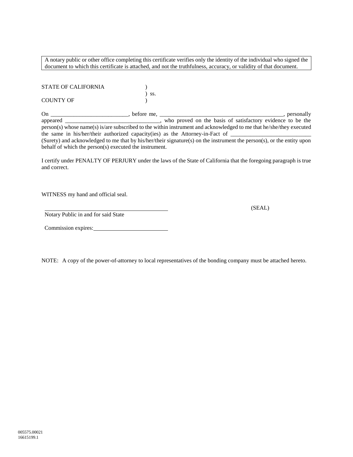A notary public or other office completing this certificate verifies only the identity of the individual who signed the document to which this certificate is attached, and not the truthfulness, accuracy, or validity of that document.

| <b>STATE OF CALIFORNIA</b> |         |
|----------------------------|---------|
| <b>COUNTY OF</b>           | $)$ SS. |

On \_\_\_\_\_\_\_\_\_\_\_\_\_\_\_\_\_\_\_\_\_\_\_\_\_\_\_, before me, \_\_\_\_\_\_\_\_\_\_\_\_\_\_\_\_\_\_\_\_\_\_\_\_\_\_\_\_\_\_\_\_\_\_\_\_\_\_\_\_\_\_\_, personally appeared \_\_\_\_\_\_\_\_\_\_\_\_\_\_\_\_\_\_\_\_\_\_\_\_\_\_\_\_\_\_\_\_\_, who proved on the basis of satisfactory evidence to be the person(s) whose name(s) is/are subscribed to the within instrument and acknowledged to me that he/she/they executed the same in his/her/their authorized capacity(ies) as the Attorney-in-Fact of (Surety) and acknowledged to me that by his/her/their signature(s) on the instrument the person(s), or the entity upon behalf of which the person(s) executed the instrument.

I certify under PENALTY OF PERJURY under the laws of the State of California that the foregoing paragraph is true and correct.

WITNESS my hand and official seal.

(SEAL)

Notary Public in and for said State

| Commission expires: |
|---------------------|
|---------------------|

NOTE: A copy of the power-of-attorney to local representatives of the bonding company must be attached hereto.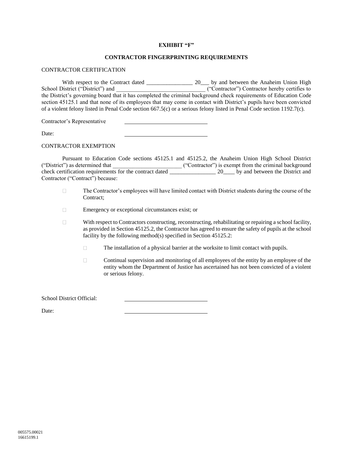#### **EXHIBIT "F"**

#### **CONTRACTOR FINGERPRINTING REQUIREMENTS**

#### CONTRACTOR CERTIFICATION

With respect to the Contract dated \_\_\_\_\_\_\_\_\_\_\_\_\_\_\_\_ 20\_\_\_ by and between the Anaheim Union High ("Contractor") Contractor hereby certifies to the District's governing board that it has completed the criminal background check requirements of Education Code section 45125.1 and that none of its employees that may come in contact with District's pupils have been convicted of a violent felony listed in Penal Code section 667.5(c) or a serious felony listed in Penal Code section 1192.7(c).

Contractor's Representative

Date:

#### CONTRACTOR EXEMPTION

Pursuant to Education Code sections 45125.1 and 45125.2, the Anaheim Union High School District ("District") as determined that  $($ "Contractor") is exempt from the criminal background check certification requirements for the contract dated \_\_\_\_\_\_\_\_\_\_\_\_\_\_\_\_\_ 20\_\_\_\_ by and between the District and Contractor ("Contract") because:

- $\Box$ The Contractor's employees will have limited contact with District students during the course of the Contract;
- $\Box$ Emergency or exceptional circumstances exist; or
- $\Box$ With respect to Contractors constructing, reconstructing, rehabilitating or repairing a school facility, as provided in Section 45125.2, the Contractor has agreed to ensure the safety of pupils at the school facility by the following method(s) specified in Section 45125.2:
	- The installation of a physical barrier at the worksite to limit contact with pupils.  $\Box$
	- Continual supervision and monitoring of all employees of the entity by an employee of the  $\Box$ entity whom the Department of Justice has ascertained has not been convicted of a violent or serious felony.

#### School District Official:

Date: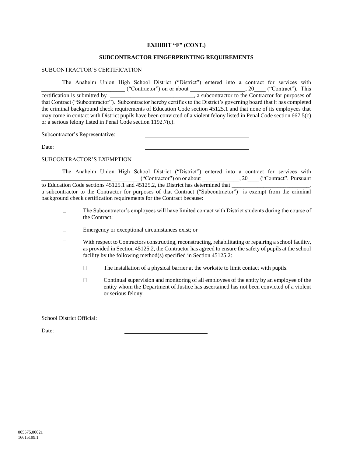#### **EXHIBIT "F" (CONT.)**

#### **SUBCONTRACTOR FINGERPRINTING REQUIREMENTS**

#### SUBCONTRACTOR'S CERTIFICATION

The Anaheim Union High School District ("District") entered into a contract for services with  $($ "Contractor") on or about  $, 20$   $($  "Contract"). This certification is submitted by \_\_\_\_\_\_\_\_\_\_\_\_\_\_\_\_\_\_\_\_\_\_\_\_\_\_\_\_\_, a subcontractor to the Contractor for purposes of that Contract ("Subcontractor"). Subcontractor hereby certifies to the District's governing board that it has completed the criminal background check requirements of Education Code section 45125.1 and that none of its employees that may come in contact with District pupils have been convicted of a violent felony listed in Penal Code section 667.5(c) or a serious felony listed in Penal Code section 1192.7(c).

Subcontractor's Representative:

Date:

SUBCONTRACTOR'S EXEMPTION

The Anaheim Union High School District ("District") entered into a contract for services with  $\frac{(-1)^{n-1}}{n}$  ("Contractor") on or about  $\frac{1}{n}$ , 20  $\frac{(-1)^{n-1}}{n}$  ("Contract". Pursuant to Education Code sections 45125.1 and 45125.2, the District has determined that to Education Code sections  $45125.1$  and  $45125.2$ , the District has determined that  $\Box$ a subcontractor to the Contractor for purposes of that Contract ("Subcontractor") is exempt from the criminal background check certification requirements for the Contract because:

- The Subcontractor's employees will have limited contact with District students during the course of  $\Box$ the Contract;
- $\Box$ Emergency or exceptional circumstances exist; or
- $\Box$ With respect to Contractors constructing, reconstructing, rehabilitating or repairing a school facility, as provided in Section 45125.2, the Contractor has agreed to ensure the safety of pupils at the school facility by the following method(s) specified in Section 45125.2:
	- $\Box$ The installation of a physical barrier at the worksite to limit contact with pupils.
	- $\Box$ Continual supervision and monitoring of all employees of the entity by an employee of the entity whom the Department of Justice has ascertained has not been convicted of a violent or serious felony.

School District Official:

Date: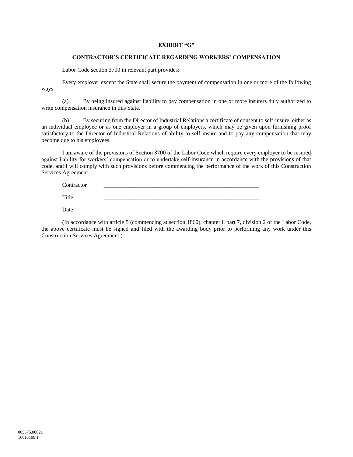#### **EXHIBIT "G"**

#### **CONTRACTOR'S CERTIFICATE REGARDING WORKERS' COMPENSATION**

Labor Code section 3700 in relevant part provides:

Every employer except the State shall secure the payment of compensation in one or more of the following ways:

(a) By being insured against liability to pay compensation in one or more insurers duly authorized to write compensation insurance in this State.

(b) By securing from the Director of Industrial Relations a certificate of consent to self-insure, either as an individual employee or as one employer in a group of employers, which may be given upon furnishing proof satisfactory to the Director of Industrial Relations of ability to self-insure and to pay any compensation that may become due to his employees.

I am aware of the provisions of Section 3700 of the Labor Code which require every employer to be insured against liability for workers' compensation or to undertake self-insurance in accordance with the provisions of that code, and I will comply with such provisions before commencing the performance of the work of this Construction Services Agreement.

| Contractor |  |
|------------|--|
| Title      |  |
| Date       |  |

(In accordance with article [5](#page-12-0) (commencing at section 1860), chapter l, part 7, division 2 of the Labor Code, the above certificate must be signed and filed with the awarding body prior to performing any work under this Construction Services Agreement.)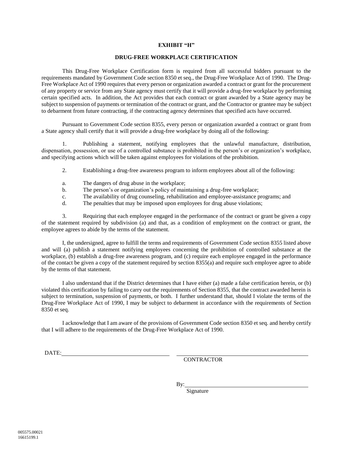#### **EXHIBIT "H"**

#### **DRUG-FREE WORKPLACE CERTIFICATION**

This Drug-Free Workplace Certification form is required from all successful bidders pursuant to the requirements mandated by Government Code section 8350 et seq., the Drug-Free Workplace Act of 1990. The Drug-Free Workplace Act of 1990 requires that every person or organization awarded a contract or grant for the procurement of any property or service from any State agency must certify that it will provide a drug-free workplace by performing certain specified acts. In addition, the Act provides that each contract or grant awarded by a State agency may be subject to suspension of payments or termination of the contract or grant, and the Contractor or grantee may be subject to debarment from future contracting, if the contracting agency determines that specified acts have occurred.

Pursuant to Government Code section 8355, every person or organization awarded a contract or grant from a State agency shall certify that it will provide a drug-free workplace by doing all of the following:

1. Publishing a statement, notifying employees that the unlawful manufacture, distribution, dispensation, possession, or use of a controlled substance is prohibited in the person's or organization's workplace, and specifying actions which will be taken against employees for violations of the prohibition.

- 2. Establishing a drug-free awareness program to inform employees about all of the following:
- a. The dangers of drug abuse in the workplace;
- b. The person's or organization's policy of maintaining a drug-free workplace;
- c. The availability of drug counseling, rehabilitation and employee-assistance programs; and
- d. The penalties that may be imposed upon employees for drug abuse violations;

3. Requiring that each employee engaged in the performance of the contract or grant be given a copy of the statement required by subdivision (a) and that, as a condition of employment on the contract or grant, the employee agrees to abide by the terms of the statement.

I, the undersigned, agree to fulfill the terms and requirements of Government Code section 8355 listed above and will (a) publish a statement notifying employees concerning the prohibition of controlled substance at the workplace, (b) establish a drug-free awareness program, and (c) require each employee engaged in the performance of the contact be given a copy of the statement required by section 8355(a) and require such employee agree to abide by the terms of that statement.

I also understand that if the District determines that I have either (a) made a false certification herein, or (b) violated this certification by failing to carry out the requirements of Section 8355, that the contract awarded herein is subject to termination, suspension of payments, or both. I further understand that, should I violate the terms of the Drug-Free Workplace Act of 1990, I may be subject to debarment in accordance with the requirements of Section 8350 et seq.

I acknowledge that I am aware of the provisions of Government Code section 8350 et seq. and hereby certify that I will adhere to the requirements of the Drug-Free Workplace Act of 1990.

DATE:

**CONTRACTOR** 

By:

Signature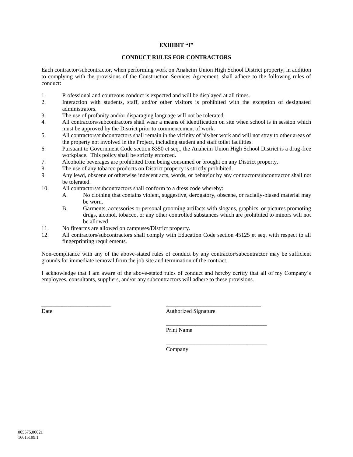#### **EXHIBIT "I"**

#### **CONDUCT RULES FOR CONTRACTORS**

Each contractor/subcontractor, when performing work on Anaheim Union High School District property, in addition to complying with the provisions of the Construction Services Agreement, shall adhere to the following rules of conduct:

- 1. Professional and courteous conduct is expected and will be displayed at all times.
- 2. Interaction with students, staff, and/or other visitors is prohibited with the exception of designated administrators.
- 3. The use of profanity and/or disparaging language will not be tolerated.
- 4. All contractors/subcontractors shall wear a means of identification on site when school is in session which must be approved by the District prior to commencement of work.
- 5. All contractors/subcontractors shall remain in the vicinity of his/her work and will not stray to other areas of the property not involved in the Project, including student and staff toilet facilities.
- 6. Pursuant to Government Code section 8350 et seq., the Anaheim Union High School District is a drug-free workplace. This policy shall be strictly enforced.
- 7. Alcoholic beverages are prohibited from being consumed or brought on any District property.
- 8. The use of any tobacco products on District property is strictly prohibited.
- 9. Any lewd, obscene or otherwise indecent acts, words, or behavior by any contractor/subcontractor shall not be tolerated.
- 10. All contractors/subcontractors shall conform to a dress code whereby:
	- A. No clothing that contains violent, suggestive, derogatory, obscene, or racially-biased material may be worn.
	- B. Garments, accessories or personal grooming artifacts with slogans, graphics, or pictures promoting drugs, alcohol, tobacco, or any other controlled substances which are prohibited to minors will not be allowed.
- 11. No firearms are allowed on campuses/District property.
- 12. All contractors/subcontractors shall comply with Education Code section 45125 et seq. with respect to all fingerprinting requirements.

Non-compliance with any of the above-stated rules of conduct by any contractor/subcontractor may be sufficient grounds for immediate removal from the job site and termination of the contract.

I acknowledge that I am aware of the above-stated rules of conduct and hereby certify that all of my Company's employees, consultants, suppliers, and/or any subcontractors will adhere to these provisions.

\_\_\_\_\_\_\_\_\_\_\_\_\_\_\_\_\_\_\_\_\_\_\_\_ \_\_\_\_\_\_\_\_\_\_\_\_\_\_\_\_\_\_\_\_\_\_\_\_\_\_\_\_\_\_\_\_\_ Date **Authorized Signature** 

\_\_\_\_\_\_\_\_\_\_\_\_\_\_\_\_\_\_\_\_\_\_\_\_\_\_\_\_\_\_\_\_\_\_\_

\_\_\_\_\_\_\_\_\_\_\_\_\_\_\_\_\_\_\_\_\_\_\_\_\_\_\_\_\_\_\_\_\_\_\_

Print Name

Company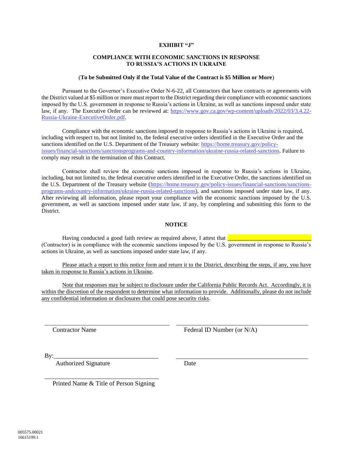#### **EXHIBIT "J"**

#### **COMPLIANCE WITH ECONOMIC SANCTIONS IN RESPONSE TO RUSSIA'S ACTIONS IN UKRAINE**

#### (**To be Submitted Only if the Total Value of the Contract is \$5 Million or More**)

Pursuant to the Governor's Executive Order N-6-22, all Contractors that have contracts or agreements with the District valued at \$5 million or more must report to the District regarding their compliance with economic sanctions imposed by the U.S. government in response to Russia's actions in Ukraine, as well as sanctions imposed under state law, if any. The Executive Order can be reviewed at: [https://www.gov.ca.gov/wp-content/uploads/2022/03/3.4.22-](https://www.gov.ca.gov/wp-content/uploads/2022/03/3.4.22-Russia-Ukraine-ExecutiveOrder.pdf) [Russia-Ukraine-ExecutiveOrder.pdf.](https://www.gov.ca.gov/wp-content/uploads/2022/03/3.4.22-Russia-Ukraine-ExecutiveOrder.pdf)

Compliance with the economic sanctions imposed in response to Russia's actions in Ukraine is required, including with respect to, but not limited to, the federal executive orders identified in the Executive Order and the sanctions identified on the U.S. Department of the Treasury website: [https://home.treasury.gov/policy](https://home.treasury.gov/policy-issues/financial-sanctions/sanctionsprograms-and-country-information/ukraine-russia-related-sanctions)[issues/financial-sanctions/sanctionsprograms-and-country-information/ukraine-russia-related-sanctions.](https://home.treasury.gov/policy-issues/financial-sanctions/sanctionsprograms-and-country-information/ukraine-russia-related-sanctions) Failure to comply may result in the termination of this Contract.

Contractor shall review the economic sanctions imposed in response to Russia's actions in Ukraine, including, but not limited to, the federal executive orders identified in the Executive Order, the sanctions identified on the U.S. Department of the Treasury website [\(https://home.treasury.gov/policy-issues/financial-sanctions/sanctions](https://home.treasury.gov/policy-issues/financial-sanctions/sanctions-programs-andcountry-information/ukraine-russia-related-sanctions)[programs-andcountry-information/ukraine-russia-related-sanctions\)](https://home.treasury.gov/policy-issues/financial-sanctions/sanctions-programs-andcountry-information/ukraine-russia-related-sanctions), and sanctions imposed under state law, if any. After reviewing all information, please report your compliance with the economic sanctions imposed by the U.S. government, as well as sanctions imposed under state law, if any, by completing and submitting this form to the District.

#### **NOTICE**

Having conducted a good faith review as required above, I attest that  $\Box$ (Contractor) is in compliance with the economic sanctions imposed by the U.S. government in response to Russia's actions in Ukraine, as well as sanctions imposed under state law, if any.

Please attach a report to this notice form and return it to the District, describing the steps, if any, you have taken in response to Russia's actions in Ukraine.

Note that responses may be subject to disclosure under the California Public Records Act. Accordingly, it is within the discretion of the respondent to determine what information to provide. Additionally, please do not include any confidential information or disclosures that could pose security risks.

Contractor Name Federal ID Number (or N/A)

By:\_\_\_\_\_\_\_\_\_\_\_\_\_\_\_\_\_\_\_\_\_\_\_\_\_\_\_\_\_\_\_\_\_

Authorized Signature

**Date** 

\_\_\_\_\_\_\_\_\_\_\_\_\_\_\_\_\_\_\_\_\_\_\_\_\_\_\_\_\_\_\_\_\_\_\_\_ Printed Name & Title of Person Signing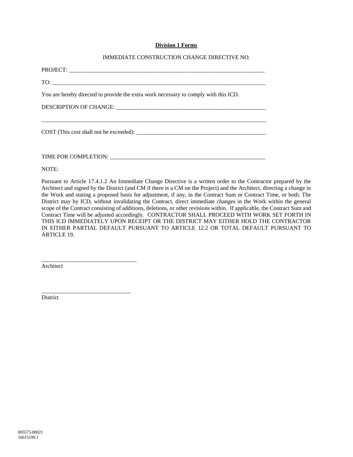#### **Division 1 Forms**

#### IMMEDIATE CONSTRUCTION CHANGE DIRECTIVE NO.

| $\text{TO:}\n \overrightarrow{\phantom{I}}$                                          |
|--------------------------------------------------------------------------------------|
| You are hereby directed to provide the extra work necessary to comply with this ICD. |
|                                                                                      |
|                                                                                      |
|                                                                                      |
|                                                                                      |
| NOTE:                                                                                |

Pursuant to Article [17.4.1.2](#page-44-0) An Immediate Change Directive is a written order to the Contractor prepared by the Architect and signed by the District (and CM if there is a CM on the Project) and the Architect, directing a change in the Work and stating a proposed basis for adjustment, if any, in the Contract Sum or Contract Time, or both. The District may by ICD, without invalidating the Contract, direct immediate changes in the Work within the general scope of the Contract consisting of additions, deletions, or other revisions within. If applicable, the Contract Sum and Contract Time will be adjusted accordingly. CONTRACTOR SHALL PROCEED WITH WORK SET FORTH IN THIS ICD IMMEDIATELY UPON RECEIPT OR THE DISTRICT MAY EITHER HOLD THE CONTRACTOR IN EITHER PARTIAL DEFAULT PURSUANT TO ARTICLE [12.2](#page-25-0) OR TOTAL DEFAULT PURSUANT TO ARTICL[E 19.](#page-50-0)

Architect

\_\_\_\_\_\_\_\_\_\_\_\_\_\_\_\_\_\_\_\_\_\_\_\_\_\_\_\_\_\_\_\_\_

\_\_\_\_\_\_\_\_\_\_\_\_\_\_\_\_\_\_\_\_\_\_\_\_\_\_\_\_\_\_\_

District